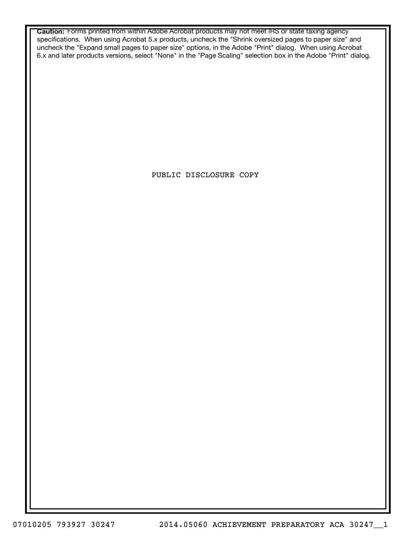**Caution:** Forms printed from within Adobe Acrobat products may not meet IRS or state taxing agency specifications. When using Acrobat 5.x products, uncheck the "Shrink oversized pages to paper size" and uncheck the "Expand small pages to paper size" options, in the Adobe "Print" dialog. When using Acrobat 6.x and later products versions, select "None" in the "Page Scaling" selection box in the Adobe "Print" dialog.

PUBLIC DISCLOSURE COPY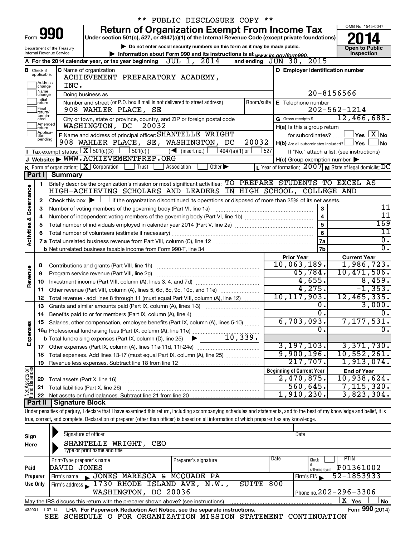|                                |                               | PUBLIC DISCLOSURE COPY **                                                                                                                                                  |                                          |                                                     |                                                                        |
|--------------------------------|-------------------------------|----------------------------------------------------------------------------------------------------------------------------------------------------------------------------|------------------------------------------|-----------------------------------------------------|------------------------------------------------------------------------|
|                                |                               | <b>Return of Organization Exempt From Income Tax</b>                                                                                                                       |                                          |                                                     | OMB No. 1545-0047                                                      |
| Form                           |                               | 990<br>Under section 501(c), 527, or 4947(a)(1) of the Internal Revenue Code (except private foundations)                                                                  |                                          |                                                     |                                                                        |
|                                |                               | Do not enter social security numbers on this form as it may be made public.<br>Department of the Treasury                                                                  |                                          |                                                     | <b>Open to Public</b>                                                  |
|                                |                               | Internal Revenue Service<br>Information about Form 990 and its instructions is at www.irs.gov/form990.                                                                     | and ending $J\bar{U}N$ 30, $2015$        |                                                     | Inspection                                                             |
|                                |                               | A For the 2014 calendar year, or tax year beginning $JUL$ 1, $2014$                                                                                                        |                                          |                                                     |                                                                        |
|                                | <b>B</b> Check if applicable: | <b>C</b> Name of organization<br>ACHIEVEMENT PREPARATORY ACADEMY,                                                                                                          |                                          | D Employer identification number                    |                                                                        |
|                                | ]Address<br>]change           | INC.                                                                                                                                                                       |                                          |                                                     |                                                                        |
|                                | ]Name<br>]change              | Doing business as                                                                                                                                                          |                                          | 20-8156566                                          |                                                                        |
|                                | Initial<br>return             | Number and street (or P.O. box if mail is not delivered to street address)                                                                                                 | Room/suite $\mathsf{E}$ Telephone number |                                                     |                                                                        |
|                                | Final<br>return/              | 908 WAHLER PLACE, SE                                                                                                                                                       |                                          |                                                     | $202 - 562 - 1214$                                                     |
|                                | termin-<br>ated               | City or town, state or province, country, and ZIP or foreign postal code                                                                                                   | G Gross receipts \$                      |                                                     | 12,466,688.                                                            |
|                                | Amended<br>Ireturn            | 20032<br>WASHINGTON, DC                                                                                                                                                    |                                          | H(a) Is this a group return                         |                                                                        |
|                                | Applica-<br>tion<br>pending   | F Name and address of principal officer: SHANTELLE WRIGHT                                                                                                                  |                                          | for subordinates?                                   | $\sqrt{\ }$ Yes $\sqrt{\ \mathrm{X}}\ \mathrm{No}$                     |
|                                |                               | 908 WAHLER PLACE, SE, WASHINGTON, DC<br>20032                                                                                                                              |                                          |                                                     | H(b) Are all subordinates included? Ves<br><b>No</b>                   |
|                                |                               | <b>I</b> Tax-exempt status: $X \over 301(c)(3)$<br>$501(c)$ (<br>$\sqrt{\frac{1}{1}}$ (insert no.)<br>$4947(a)(1)$ or<br>J Website: WWW.ACHIEVEMENTPREP.ORG                | 527                                      |                                                     | If "No," attach a list. (see instructions)                             |
|                                |                               | K Form of organization: $X$ Corporation<br>Other $\blacktriangleright$<br>  Trust<br>Association                                                                           |                                          | $H(c)$ Group exemption number $\blacktriangleright$ | L Year of formation: $2007$ M State of legal domicile: $\overline{DC}$ |
|                                | Part I                        | <b>Summary</b>                                                                                                                                                             |                                          |                                                     |                                                                        |
|                                |                               | Briefly describe the organization's mission or most significant activities: TO PREPARE STUDENTS TO EXCEL AS                                                                |                                          |                                                     |                                                                        |
| Governance                     | 1                             | HIGH-ACHIEVING SCHOLARS AND LEADERS IN HIGH SCHOOL, COLLEGE AND                                                                                                            |                                          |                                                     |                                                                        |
|                                | 2                             | Check this box $\blacktriangleright$ $\Box$ if the organization discontinued its operations or disposed of more than 25% of its net assets.                                |                                          |                                                     |                                                                        |
|                                | 3                             | Number of voting members of the governing body (Part VI, line 1a)                                                                                                          |                                          | 3                                                   | 11                                                                     |
|                                | 4                             |                                                                                                                                                                            |                                          | 4                                                   | $\overline{11}$                                                        |
|                                | 5                             |                                                                                                                                                                            |                                          | 5                                                   | 169                                                                    |
| <b>Activities &amp;</b>        | 6                             |                                                                                                                                                                            |                                          | 6                                                   | $\overline{11}$                                                        |
|                                |                               |                                                                                                                                                                            |                                          | 7a                                                  | $\overline{0}$ .                                                       |
|                                |                               |                                                                                                                                                                            |                                          | 7 <sub>b</sub>                                      | $\overline{0}$ .                                                       |
|                                |                               |                                                                                                                                                                            | <b>Prior Year</b>                        |                                                     | <b>Current Year</b>                                                    |
|                                | 8                             | Contributions and grants (Part VIII, line 1h)                                                                                                                              | 10,063,189.                              |                                                     | 1,986,723.                                                             |
| Revenue                        | 9                             | Program service revenue (Part VIII, line 2g)                                                                                                                               |                                          | 45,784.                                             | 10,471,506.                                                            |
|                                | 10                            |                                                                                                                                                                            |                                          | 4,655.                                              | 8,459.                                                                 |
|                                | 11                            | Other revenue (Part VIII, column (A), lines 5, 6d, 8c, 9c, 10c, and 11e)                                                                                                   |                                          | 4,275.                                              | $-1, 353.$                                                             |
|                                | 12                            | Total revenue - add lines 8 through 11 (must equal Part VIII, column (A), line 12)                                                                                         |                                          | 10, 117, 903.                                       | 12,465,335.                                                            |
|                                | 13                            | Grants and similar amounts paid (Part IX, column (A), lines 1-3)                                                                                                           |                                          | 0.<br>σ.                                            | 3,000.<br>$\overline{0}$ .                                             |
|                                | 14                            | Benefits paid to or for members (Part IX, column (A), line 4)                                                                                                              |                                          | 6,703,093.                                          | 7,177,531.                                                             |
| Expenses                       |                               | 15 Salaries, other compensation, employee benefits (Part IX, column (A), lines 5-10)                                                                                       |                                          | О.                                                  | 0.                                                                     |
|                                |                               |                                                                                                                                                                            |                                          |                                                     |                                                                        |
|                                |                               |                                                                                                                                                                            |                                          | 3, 197, 103.                                        | 3,371,730.                                                             |
|                                | 18                            | Total expenses. Add lines 13-17 (must equal Part IX, column (A), line 25)                                                                                                  |                                          | 9,900,196.                                          | 10,552,261.                                                            |
|                                | 19                            |                                                                                                                                                                            |                                          | 217,707.                                            | 1,913,074.                                                             |
|                                |                               |                                                                                                                                                                            | <b>Beginning of Current Year</b>         |                                                     | <b>End of Year</b>                                                     |
| Net Assets or<br>Fund Balances | 20                            | Total assets (Part X, line 16)                                                                                                                                             |                                          | 2,470,875.                                          | 10,938,624.                                                            |
|                                | 21                            | Total liabilities (Part X, line 26)                                                                                                                                        |                                          | 560, 645.                                           | 7, 115, 320.                                                           |
|                                | 22                            |                                                                                                                                                                            |                                          | 1,910,230.                                          | 3,823,304.                                                             |
|                                | Part II                       | <b>Signature Block</b>                                                                                                                                                     |                                          |                                                     |                                                                        |
|                                |                               | Under penalties of perjury, I declare that I have examined this return, including accompanying schedules and statements, and to the best of my knowledge and belief, it is |                                          |                                                     |                                                                        |
|                                |                               | true, correct, and complete. Declaration of preparer (other than officer) is based on all information of which preparer has any knowledge.                                 |                                          |                                                     |                                                                        |
| Sign                           |                               | Signature of officer                                                                                                                                                       |                                          | Date                                                |                                                                        |

| Here            | SHANTELLE WRIGHT,<br>CEO<br>Type or print name and title                          |                      |      |                                             |
|-----------------|-----------------------------------------------------------------------------------|----------------------|------|---------------------------------------------|
| Paid            | Print/Type preparer's name<br>DAVID JONES                                         | Preparer's signature | Date | PTIN<br>Check<br>P01361002<br>self-emploved |
| Preparer        | JONES MARESCA & MCQUADE PA<br>Firm's name                                         |                      |      | 52-1853933<br>Firm's EIN                    |
| Use Only        | Firm's address 1730 RHODE ISLAND AVE, N.W.,                                       | SUITE 800            |      |                                             |
|                 | WASHINGTON, DC 20036                                                              |                      |      | Phone no. $202 - 296 - 3306$                |
|                 | May the IRS discuss this return with the preparer shown above? (see instructions) |                      |      | X<br><b>No</b><br>Yes                       |
| 432001 11-07-14 | LHA For Paperwork Reduction Act Notice, see the separate instructions.            |                      |      | Form 990 (2014)                             |
|                 | SEE SCHEDULE O FOR ORGANIZATION MISSION STATEMENT CONTINUATION                    |                      |      |                                             |

|  |  |  |  | SEE SCHEDULE O FOR ORGANIZATION MISSION STATEMENT CONTINUATION |  |  |  |
|--|--|--|--|----------------------------------------------------------------|--|--|--|
|--|--|--|--|----------------------------------------------------------------|--|--|--|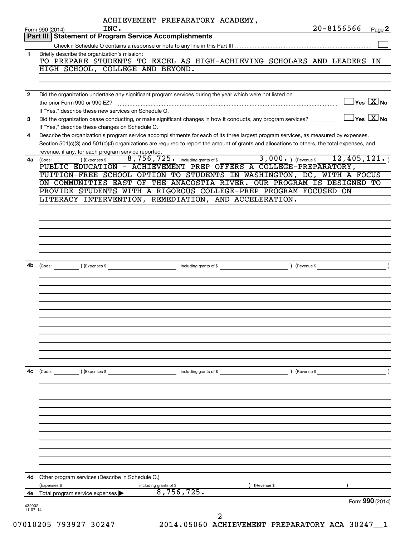|              | INC.<br>Form 990 (2014)                                                                                                                                                                                                                                                                                                                                                                                                                                                                                                                                                                                                                                                                                                                                                                                                                                                                                                                                                                                                                                                                                                                                                                                                                                                                                                                                                                                                                                                                                                                                                                                                                                                                                                                                                                                                                                                                                                              | ACHIEVEMENT PREPARATORY ACADEMY, |  | $20 - 8156566$ | Page 2 |
|--------------|--------------------------------------------------------------------------------------------------------------------------------------------------------------------------------------------------------------------------------------------------------------------------------------------------------------------------------------------------------------------------------------------------------------------------------------------------------------------------------------------------------------------------------------------------------------------------------------------------------------------------------------------------------------------------------------------------------------------------------------------------------------------------------------------------------------------------------------------------------------------------------------------------------------------------------------------------------------------------------------------------------------------------------------------------------------------------------------------------------------------------------------------------------------------------------------------------------------------------------------------------------------------------------------------------------------------------------------------------------------------------------------------------------------------------------------------------------------------------------------------------------------------------------------------------------------------------------------------------------------------------------------------------------------------------------------------------------------------------------------------------------------------------------------------------------------------------------------------------------------------------------------------------------------------------------------|----------------------------------|--|----------------|--------|
|              | Part III   Statement of Program Service Accomplishments                                                                                                                                                                                                                                                                                                                                                                                                                                                                                                                                                                                                                                                                                                                                                                                                                                                                                                                                                                                                                                                                                                                                                                                                                                                                                                                                                                                                                                                                                                                                                                                                                                                                                                                                                                                                                                                                              |                                  |  |                |        |
|              |                                                                                                                                                                                                                                                                                                                                                                                                                                                                                                                                                                                                                                                                                                                                                                                                                                                                                                                                                                                                                                                                                                                                                                                                                                                                                                                                                                                                                                                                                                                                                                                                                                                                                                                                                                                                                                                                                                                                      |                                  |  |                |        |
| 1            | Briefly describe the organization's mission:                                                                                                                                                                                                                                                                                                                                                                                                                                                                                                                                                                                                                                                                                                                                                                                                                                                                                                                                                                                                                                                                                                                                                                                                                                                                                                                                                                                                                                                                                                                                                                                                                                                                                                                                                                                                                                                                                         |                                  |  |                |        |
| $\mathbf{2}$ |                                                                                                                                                                                                                                                                                                                                                                                                                                                                                                                                                                                                                                                                                                                                                                                                                                                                                                                                                                                                                                                                                                                                                                                                                                                                                                                                                                                                                                                                                                                                                                                                                                                                                                                                                                                                                                                                                                                                      |                                  |  |                |        |
| 3            |                                                                                                                                                                                                                                                                                                                                                                                                                                                                                                                                                                                                                                                                                                                                                                                                                                                                                                                                                                                                                                                                                                                                                                                                                                                                                                                                                                                                                                                                                                                                                                                                                                                                                                                                                                                                                                                                                                                                      |                                  |  |                |        |
| 4            |                                                                                                                                                                                                                                                                                                                                                                                                                                                                                                                                                                                                                                                                                                                                                                                                                                                                                                                                                                                                                                                                                                                                                                                                                                                                                                                                                                                                                                                                                                                                                                                                                                                                                                                                                                                                                                                                                                                                      |                                  |  |                |        |
| 4a           | (Expenses \$<br>(Code:                                                                                                                                                                                                                                                                                                                                                                                                                                                                                                                                                                                                                                                                                                                                                                                                                                                                                                                                                                                                                                                                                                                                                                                                                                                                                                                                                                                                                                                                                                                                                                                                                                                                                                                                                                                                                                                                                                               |                                  |  |                |        |
|              |                                                                                                                                                                                                                                                                                                                                                                                                                                                                                                                                                                                                                                                                                                                                                                                                                                                                                                                                                                                                                                                                                                                                                                                                                                                                                                                                                                                                                                                                                                                                                                                                                                                                                                                                                                                                                                                                                                                                      |                                  |  |                |        |
|              |                                                                                                                                                                                                                                                                                                                                                                                                                                                                                                                                                                                                                                                                                                                                                                                                                                                                                                                                                                                                                                                                                                                                                                                                                                                                                                                                                                                                                                                                                                                                                                                                                                                                                                                                                                                                                                                                                                                                      |                                  |  |                |        |
|              |                                                                                                                                                                                                                                                                                                                                                                                                                                                                                                                                                                                                                                                                                                                                                                                                                                                                                                                                                                                                                                                                                                                                                                                                                                                                                                                                                                                                                                                                                                                                                                                                                                                                                                                                                                                                                                                                                                                                      |                                  |  |                |        |
| 4b           |                                                                                                                                                                                                                                                                                                                                                                                                                                                                                                                                                                                                                                                                                                                                                                                                                                                                                                                                                                                                                                                                                                                                                                                                                                                                                                                                                                                                                                                                                                                                                                                                                                                                                                                                                                                                                                                                                                                                      |                                  |  |                |        |
|              |                                                                                                                                                                                                                                                                                                                                                                                                                                                                                                                                                                                                                                                                                                                                                                                                                                                                                                                                                                                                                                                                                                                                                                                                                                                                                                                                                                                                                                                                                                                                                                                                                                                                                                                                                                                                                                                                                                                                      |                                  |  |                |        |
|              |                                                                                                                                                                                                                                                                                                                                                                                                                                                                                                                                                                                                                                                                                                                                                                                                                                                                                                                                                                                                                                                                                                                                                                                                                                                                                                                                                                                                                                                                                                                                                                                                                                                                                                                                                                                                                                                                                                                                      |                                  |  |                |        |
|              |                                                                                                                                                                                                                                                                                                                                                                                                                                                                                                                                                                                                                                                                                                                                                                                                                                                                                                                                                                                                                                                                                                                                                                                                                                                                                                                                                                                                                                                                                                                                                                                                                                                                                                                                                                                                                                                                                                                                      |                                  |  |                |        |
| 4с           | (Code: ) (Expenses \$                                                                                                                                                                                                                                                                                                                                                                                                                                                                                                                                                                                                                                                                                                                                                                                                                                                                                                                                                                                                                                                                                                                                                                                                                                                                                                                                                                                                                                                                                                                                                                                                                                                                                                                                                                                                                                                                                                                |                                  |  |                |        |
|              | TO PREPARE STUDENTS TO EXCEL AS HIGH-ACHIEVING SCHOLARS AND LEADERS IN<br>HIGH SCHOOL, COLLEGE AND BEYOND.<br>Did the organization undertake any significant program services during the year which were not listed on<br>$\sqrt{}$ Yes $\sqrt{ \ \overline{\text{X}}}$ No<br>the prior Form 990 or 990-EZ?<br>If "Yes," describe these new services on Schedule O.<br>$\overline{\ }$ Yes $\overline{\rm X}$ No<br>Did the organization cease conducting, or make significant changes in how it conducts, any program services?<br>If "Yes," describe these changes on Schedule O.<br>Describe the organization's program service accomplishments for each of its three largest program services, as measured by expenses.<br>Section 501(c)(3) and 501(c)(4) organizations are required to report the amount of grants and allocations to others, the total expenses, and<br>revenue, if any, for each program service reported.<br>8,756,725. including grants of \$ 3,000. $($ Revenue \$ 12,405,121.<br>PUBLIC EDUCATION - ACHIEVEMENT PREP OFFERS A COLLEGE-PREPARATORY,<br>TUITION-FREE SCHOOL OPTION TO STUDENTS IN WASHINGTON, DC, WITH A FOCUS<br>ON COMMUNITIES EAST OF THE ANACOSTIA RIVER. OUR PROGRAM IS DESIGNED TO<br>PROVIDE STUDENTS WITH A RIGOROUS COLLEGE-PREP PROGRAM FOCUSED ON<br>LITERACY INTERVENTION, REMEDIATION, AND ACCELERATION.<br>(Code: (Compared to the control of the control of the control of the control of the control of the control of the control of the control of the control of the control of the control of the control of the control of the con<br>) (Revenue \$<br>including grants of \$<br>Other program services (Describe in Schedule O.)<br>(Expenses \$<br>(Revenue \$<br>including grants of \$<br>8,756,725.<br>Total program service expenses<br>Form 990 (2014)<br>432002<br>$11-07-14$<br>2<br>07010205 793927 30247<br>2014.05060 ACHIEVEMENT PREPARATORY ACA 30247 1 |                                  |  |                |        |
|              |                                                                                                                                                                                                                                                                                                                                                                                                                                                                                                                                                                                                                                                                                                                                                                                                                                                                                                                                                                                                                                                                                                                                                                                                                                                                                                                                                                                                                                                                                                                                                                                                                                                                                                                                                                                                                                                                                                                                      |                                  |  |                |        |
|              |                                                                                                                                                                                                                                                                                                                                                                                                                                                                                                                                                                                                                                                                                                                                                                                                                                                                                                                                                                                                                                                                                                                                                                                                                                                                                                                                                                                                                                                                                                                                                                                                                                                                                                                                                                                                                                                                                                                                      |                                  |  |                |        |
|              |                                                                                                                                                                                                                                                                                                                                                                                                                                                                                                                                                                                                                                                                                                                                                                                                                                                                                                                                                                                                                                                                                                                                                                                                                                                                                                                                                                                                                                                                                                                                                                                                                                                                                                                                                                                                                                                                                                                                      |                                  |  |                |        |
| 4d           |                                                                                                                                                                                                                                                                                                                                                                                                                                                                                                                                                                                                                                                                                                                                                                                                                                                                                                                                                                                                                                                                                                                                                                                                                                                                                                                                                                                                                                                                                                                                                                                                                                                                                                                                                                                                                                                                                                                                      |                                  |  |                |        |
| 4е           |                                                                                                                                                                                                                                                                                                                                                                                                                                                                                                                                                                                                                                                                                                                                                                                                                                                                                                                                                                                                                                                                                                                                                                                                                                                                                                                                                                                                                                                                                                                                                                                                                                                                                                                                                                                                                                                                                                                                      |                                  |  |                |        |
|              |                                                                                                                                                                                                                                                                                                                                                                                                                                                                                                                                                                                                                                                                                                                                                                                                                                                                                                                                                                                                                                                                                                                                                                                                                                                                                                                                                                                                                                                                                                                                                                                                                                                                                                                                                                                                                                                                                                                                      |                                  |  |                |        |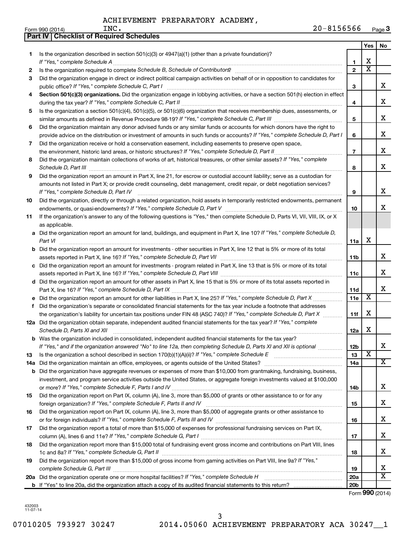|     | <b>Part IV   Checklist of Required Schedules</b>                                                                                                                                                                                    |                 |                         |                         |
|-----|-------------------------------------------------------------------------------------------------------------------------------------------------------------------------------------------------------------------------------------|-----------------|-------------------------|-------------------------|
|     |                                                                                                                                                                                                                                     |                 | Yes                     | No                      |
| 1   | Is the organization described in section 501(c)(3) or 4947(a)(1) (other than a private foundation)?                                                                                                                                 |                 |                         |                         |
|     |                                                                                                                                                                                                                                     | 1               | X                       |                         |
| 2   | Is the organization required to complete Schedule B, Schedule of Contributors? [111] [12] the organization required to complete Schedule B, Schedule of Contributors?                                                               | $\mathbf{2}$    | $\overline{\text{x}}$   |                         |
| З   | Did the organization engage in direct or indirect political campaign activities on behalf of or in opposition to candidates for                                                                                                     |                 |                         |                         |
|     |                                                                                                                                                                                                                                     |                 |                         | x                       |
|     |                                                                                                                                                                                                                                     | 3               |                         |                         |
| 4   | Section 501(c)(3) organizations. Did the organization engage in lobbying activities, or have a section 501(h) election in effect                                                                                                    |                 |                         |                         |
|     |                                                                                                                                                                                                                                     | 4               |                         | x                       |
| 5   | Is the organization a section 501(c)(4), 501(c)(5), or 501(c)(6) organization that receives membership dues, assessments, or                                                                                                        |                 |                         |                         |
|     |                                                                                                                                                                                                                                     | 5               |                         | x                       |
| 6   | Did the organization maintain any donor advised funds or any similar funds or accounts for which donors have the right to                                                                                                           |                 |                         |                         |
|     | provide advice on the distribution or investment of amounts in such funds or accounts? If "Yes," complete Schedule D, Part I                                                                                                        | 6               |                         | x                       |
| 7   | Did the organization receive or hold a conservation easement, including easements to preserve open space,                                                                                                                           |                 |                         |                         |
|     |                                                                                                                                                                                                                                     | $\overline{7}$  |                         | x                       |
| 8   | Did the organization maintain collections of works of art, historical treasures, or other similar assets? If "Yes," complete                                                                                                        |                 |                         |                         |
|     | Schedule D, Part III <b>Marting Constructs</b> 2014 11 2014 12:00 12:00 12:00 12:00 12:00 12:00 12:00 12:00 12:00 12:00 12:00 12:00 12:00 12:00 12:00 12:00 12:00 12:00 12:00 12:00 12:00 12:00 12:00 12:00 12:00 12:00 12:00 12:00 | 8               |                         | x                       |
| 9   | Did the organization report an amount in Part X, line 21, for escrow or custodial account liability; serve as a custodian for                                                                                                       |                 |                         |                         |
|     | amounts not listed in Part X; or provide credit counseling, debt management, credit repair, or debt negotiation services?                                                                                                           |                 |                         |                         |
|     |                                                                                                                                                                                                                                     | 9               |                         | x                       |
| 10  | Did the organization, directly or through a related organization, hold assets in temporarily restricted endowments, permanent                                                                                                       |                 |                         |                         |
|     |                                                                                                                                                                                                                                     | 10              |                         | X.                      |
|     |                                                                                                                                                                                                                                     |                 |                         |                         |
| 11  | If the organization's answer to any of the following questions is "Yes," then complete Schedule D, Parts VI, VII, VIII, IX, or X                                                                                                    |                 |                         |                         |
|     | as applicable.                                                                                                                                                                                                                      |                 |                         |                         |
|     | a Did the organization report an amount for land, buildings, and equipment in Part X, line 10? If "Yes," complete Schedule D,                                                                                                       |                 | X                       |                         |
|     | Part VI                                                                                                                                                                                                                             | 11a             |                         |                         |
|     | <b>b</b> Did the organization report an amount for investments - other securities in Part X, line 12 that is 5% or more of its total                                                                                                |                 |                         |                         |
|     |                                                                                                                                                                                                                                     | 11 <sub>b</sub> |                         | x                       |
|     | c Did the organization report an amount for investments - program related in Part X, line 13 that is 5% or more of its total                                                                                                        |                 |                         |                         |
|     |                                                                                                                                                                                                                                     | 11c             |                         | X.                      |
|     | d Did the organization report an amount for other assets in Part X, line 15 that is 5% or more of its total assets reported in                                                                                                      |                 |                         |                         |
|     |                                                                                                                                                                                                                                     | <b>11d</b>      |                         | x                       |
|     |                                                                                                                                                                                                                                     | 11e             | $\overline{\mathbf{x}}$ |                         |
| f   | Did the organization's separate or consolidated financial statements for the tax year include a footnote that addresses                                                                                                             |                 |                         |                         |
|     | the organization's liability for uncertain tax positions under FIN 48 (ASC 740)? If "Yes," complete Schedule D, Part X                                                                                                              | 11f             | X                       |                         |
|     | 12a Did the organization obtain separate, independent audited financial statements for the tax year? If "Yes," complete                                                                                                             |                 |                         |                         |
|     | Schedule D, Parts XI and XII                                                                                                                                                                                                        | 12a             | х                       |                         |
|     | <b>b</b> Was the organization included in consolidated, independent audited financial statements for the tax year?                                                                                                                  |                 |                         |                         |
|     | If "Yes," and if the organization answered "No" to line 12a, then completing Schedule D, Parts XI and XII is optional                                                                                                               | 12b             |                         | x                       |
| 13  |                                                                                                                                                                                                                                     | 13              | $\overline{\textbf{x}}$ |                         |
| 14a |                                                                                                                                                                                                                                     | 14a             |                         | $\overline{\mathbf{X}}$ |
| b   | Did the organization have aggregate revenues or expenses of more than \$10,000 from grantmaking, fundraising, business,                                                                                                             |                 |                         |                         |
|     | investment, and program service activities outside the United States, or aggregate foreign investments valued at \$100,000                                                                                                          |                 |                         |                         |
|     |                                                                                                                                                                                                                                     |                 |                         | x                       |
| 15  | Did the organization report on Part IX, column (A), line 3, more than \$5,000 of grants or other assistance to or for any                                                                                                           | 14b             |                         |                         |
|     |                                                                                                                                                                                                                                     |                 |                         | x                       |
|     |                                                                                                                                                                                                                                     | 15              |                         |                         |
| 16  | Did the organization report on Part IX, column (A), line 3, more than \$5,000 of aggregate grants or other assistance to                                                                                                            |                 |                         |                         |
|     |                                                                                                                                                                                                                                     | 16              |                         | x                       |
| 17  | Did the organization report a total of more than \$15,000 of expenses for professional fundraising services on Part IX,                                                                                                             |                 |                         |                         |
|     |                                                                                                                                                                                                                                     | 17              |                         | x                       |
| 18  | Did the organization report more than \$15,000 total of fundraising event gross income and contributions on Part VIII, lines                                                                                                        |                 |                         |                         |
|     |                                                                                                                                                                                                                                     | 18              |                         | x                       |
| 19  | Did the organization report more than \$15,000 of gross income from gaming activities on Part VIII, line 9a? If "Yes,"                                                                                                              |                 |                         |                         |
|     |                                                                                                                                                                                                                                     | 19              |                         | x                       |
|     | 20a Did the organization operate one or more hospital facilities? If "Yes," complete Schedule H                                                                                                                                     | 20a             |                         | $\overline{\mathbf{X}}$ |
|     |                                                                                                                                                                                                                                     | 20 <sub>b</sub> |                         |                         |

Form (2014) **990**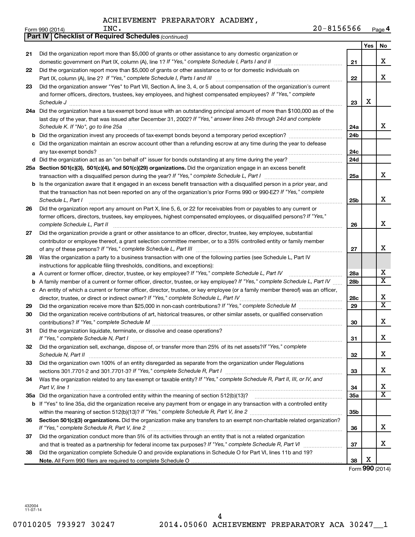| $20 - 8156566$ | Page 4 |
|----------------|--------|
|----------------|--------|

|    | $20 - 8156566$<br>INC.<br>Form 990 (2014)                                                                                         |                 |     | Page 4                  |
|----|-----------------------------------------------------------------------------------------------------------------------------------|-----------------|-----|-------------------------|
|    | <b>Part IV   Checklist of Required Schedules (continued)</b>                                                                      |                 |     |                         |
|    |                                                                                                                                   |                 | Yes | No                      |
| 21 | Did the organization report more than \$5,000 of grants or other assistance to any domestic organization or                       |                 |     |                         |
|    |                                                                                                                                   | 21              |     | X                       |
| 22 | Did the organization report more than \$5,000 of grants or other assistance to or for domestic individuals on                     |                 |     |                         |
|    |                                                                                                                                   | 22              |     | X                       |
| 23 | Did the organization answer "Yes" to Part VII, Section A, line 3, 4, or 5 about compensation of the organization's current        |                 |     |                         |
|    | and former officers, directors, trustees, key employees, and highest compensated employees? If "Yes," complete                    |                 |     |                         |
|    | Schedule J                                                                                                                        | 23              | X   |                         |
|    | 24a Did the organization have a tax-exempt bond issue with an outstanding principal amount of more than \$100,000 as of the       |                 |     |                         |
|    | last day of the year, that was issued after December 31, 2002? If "Yes," answer lines 24b through 24d and complete                |                 |     |                         |
|    | Schedule K. If "No", go to line 25a                                                                                               | 24a             |     | x                       |
|    | <b>b</b> Did the organization invest any proceeds of tax-exempt bonds beyond a temporary period exception?                        | 24 <sub>b</sub> |     |                         |
|    | c Did the organization maintain an escrow account other than a refunding escrow at any time during the year to defease            |                 |     |                         |
|    |                                                                                                                                   | 24c             |     |                         |
|    | d Did the organization act as an "on behalf of" issuer for bonds outstanding at any time during the year?                         | 24d             |     |                         |
|    | 25a Section 501(c)(3), 501(c)(4), and 501(c)(29) organizations. Did the organization engage in an excess benefit                  |                 |     |                         |
|    |                                                                                                                                   | 25a             |     | X                       |
|    | b Is the organization aware that it engaged in an excess benefit transaction with a disqualified person in a prior year, and      |                 |     |                         |
|    | that the transaction has not been reported on any of the organization's prior Forms 990 or 990-EZ? If "Yes," complete             |                 |     |                         |
|    | Schedule L, Part I                                                                                                                | 25 <sub>b</sub> |     | X                       |
| 26 | Did the organization report any amount on Part X, line 5, 6, or 22 for receivables from or payables to any current or             |                 |     |                         |
|    | former officers, directors, trustees, key employees, highest compensated employees, or disqualified persons? If "Yes,"            |                 |     |                         |
|    | complete Schedule L, Part II                                                                                                      | 26              |     | X                       |
| 27 | Did the organization provide a grant or other assistance to an officer, director, trustee, key employee, substantial              |                 |     |                         |
|    | contributor or employee thereof, a grant selection committee member, or to a 35% controlled entity or family member               |                 |     |                         |
|    |                                                                                                                                   | 27              |     | х                       |
| 28 | Was the organization a party to a business transaction with one of the following parties (see Schedule L, Part IV                 |                 |     |                         |
|    | instructions for applicable filing thresholds, conditions, and exceptions):                                                       |                 |     |                         |
|    | a A current or former officer, director, trustee, or key employee? If "Yes," complete Schedule L, Part IV                         | 28a             |     | Χ                       |
|    | b A family member of a current or former officer, director, trustee, or key employee? If "Yes," complete Schedule L, Part IV      | 28 <sub>b</sub> |     | $\overline{\mathbf{x}}$ |
|    | c An entity of which a current or former officer, director, trustee, or key employee (or a family member thereof) was an officer, |                 |     |                         |
|    | director, trustee, or direct or indirect owner? If "Yes," complete Schedule L, Part IV                                            | 28c             |     | X                       |
| 29 |                                                                                                                                   | 29              |     | $\overline{\mathbf{x}}$ |
| 30 | Did the organization receive contributions of art, historical treasures, or other similar assets, or qualified conservation       |                 |     |                         |
|    |                                                                                                                                   | 30              |     | X                       |
| 31 | Did the organization liquidate, terminate, or dissolve and cease operations?                                                      |                 |     |                         |
|    | If "Yes," complete Schedule N, Part I                                                                                             | 31              |     | X                       |
| 32 | Did the organization sell, exchange, dispose of, or transfer more than 25% of its net assets?If "Yes," complete                   |                 |     |                         |
|    |                                                                                                                                   | 32              |     | x                       |
| 33 | Did the organization own 100% of an entity disregarded as separate from the organization under Regulations                        |                 |     |                         |
|    |                                                                                                                                   | 33              |     | x                       |
| 34 | Was the organization related to any tax-exempt or taxable entity? If "Yes," complete Schedule R, Part II, III, or IV, and         |                 |     |                         |
|    | Part V, line 1                                                                                                                    | 34              |     | х                       |
|    |                                                                                                                                   | 35a             |     | $\overline{\mathbf{x}}$ |
|    | b If "Yes" to line 35a, did the organization receive any payment from or engage in any transaction with a controlled entity       |                 |     |                         |
|    |                                                                                                                                   | 35b             |     |                         |
| 36 | Section 501(c)(3) organizations. Did the organization make any transfers to an exempt non-charitable related organization?        |                 |     |                         |
|    |                                                                                                                                   | 36              |     | x                       |
| 37 | Did the organization conduct more than 5% of its activities through an entity that is not a related organization                  |                 |     |                         |
|    |                                                                                                                                   | 37              |     | x                       |
| 38 | Did the organization complete Schedule O and provide explanations in Schedule O for Part VI, lines 11b and 19?                    |                 |     |                         |
|    |                                                                                                                                   | 38              | х   |                         |

Form (2014) **990**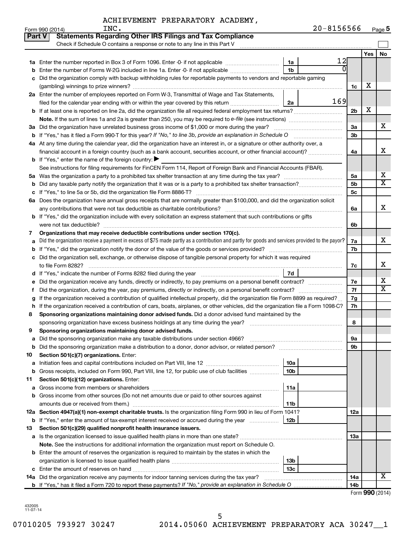|        | INC.<br>Form 990 (2014)                                                                                                                         |                 | 20-8156566 |                 |     | Page 5                  |
|--------|-------------------------------------------------------------------------------------------------------------------------------------------------|-----------------|------------|-----------------|-----|-------------------------|
| Part V | <b>Statements Regarding Other IRS Filings and Tax Compliance</b>                                                                                |                 |            |                 |     |                         |
|        | Check if Schedule O contains a response or note to any line in this Part V                                                                      |                 |            |                 |     |                         |
|        |                                                                                                                                                 |                 |            |                 | Yes | No                      |
|        |                                                                                                                                                 | 1a              | 12         |                 |     |                         |
| b      | Enter the number of Forms W-2G included in line 1a. Enter -0- if not applicable                                                                 | 1 <sub>b</sub>  |            |                 |     |                         |
| с      | Did the organization comply with backup withholding rules for reportable payments to vendors and reportable gaming                              |                 |            |                 |     |                         |
|        |                                                                                                                                                 |                 |            | 1c              | х   |                         |
|        | 2a Enter the number of employees reported on Form W-3, Transmittal of Wage and Tax Statements,                                                  |                 |            |                 |     |                         |
|        | filed for the calendar year ending with or within the year covered by this return                                                               | 2a              | 169        |                 |     |                         |
|        | <b>b</b> If at least one is reported on line 2a, did the organization file all required federal employment tax returns?                         |                 |            | 2 <sub>b</sub>  | х   |                         |
|        |                                                                                                                                                 |                 |            |                 |     |                         |
|        | 3a Did the organization have unrelated business gross income of \$1,000 or more during the year?                                                |                 |            | За              |     | х                       |
|        |                                                                                                                                                 |                 |            | 3 <sub>b</sub>  |     |                         |
|        | 4a At any time during the calendar year, did the organization have an interest in, or a signature or other authority over, a                    |                 |            |                 |     |                         |
|        | financial account in a foreign country (such as a bank account, securities account, or other financial account)?                                |                 |            | 4a              |     | х                       |
|        | <b>b</b> If "Yes," enter the name of the foreign country: $\blacktriangleright$                                                                 |                 |            |                 |     |                         |
|        | See instructions for filing requirements for FinCEN Form 114, Report of Foreign Bank and Financial Accounts (FBAR).                             |                 |            |                 |     |                         |
|        |                                                                                                                                                 |                 |            | 5a              |     | x                       |
| b      |                                                                                                                                                 |                 |            | 5 <sub>b</sub>  |     | $\overline{\mathbf{X}}$ |
| с      |                                                                                                                                                 |                 |            | 5 <sub>c</sub>  |     |                         |
|        | 6a Does the organization have annual gross receipts that are normally greater than \$100,000, and did the organization solicit                  |                 |            |                 |     |                         |
|        |                                                                                                                                                 |                 |            | 6a              |     | x                       |
|        | <b>b</b> If "Yes," did the organization include with every solicitation an express statement that such contributions or gifts                   |                 |            |                 |     |                         |
|        |                                                                                                                                                 |                 |            | 6b              |     |                         |
| 7      | Organizations that may receive deductible contributions under section 170(c).                                                                   |                 |            |                 |     |                         |
| а      | Did the organization receive a payment in excess of \$75 made partly as a contribution and partly for goods and services provided to the payor? |                 |            | 7a              |     | х                       |
| b      |                                                                                                                                                 |                 |            | 7b              |     |                         |
| c      | Did the organization sell, exchange, or otherwise dispose of tangible personal property for which it was required                               |                 |            |                 |     |                         |
|        |                                                                                                                                                 |                 |            | 7c              |     | х                       |
|        |                                                                                                                                                 | 7d              |            |                 |     |                         |
| е      | Did the organization receive any funds, directly or indirectly, to pay premiums on a personal benefit contract?                                 |                 |            | 7е              |     | х                       |
| Ť.     | Did the organization, during the year, pay premiums, directly or indirectly, on a personal benefit contract?                                    |                 |            | 7f              |     | $\overline{X}$          |
| g      | If the organization received a contribution of qualified intellectual property, did the organization file Form 8899 as required?                |                 |            | 7g              |     |                         |
| h      | If the organization received a contribution of cars, boats, airplanes, or other vehicles, did the organization file a Form 1098-C?              |                 |            | 7h              |     |                         |
| 8      | Sponsoring organizations maintaining donor advised funds. Did a donor advised fund maintained by the                                            |                 |            |                 |     |                         |
|        | sponsoring organization have excess business holdings at any time during the year?                                                              |                 |            | 8               |     |                         |
|        | Sponsoring organizations maintaining donor advised funds.                                                                                       |                 |            |                 |     |                         |
| а      | Did the sponsoring organization make any taxable distributions under section 4966?                                                              |                 |            | 9а              |     |                         |
| b      | Did the sponsoring organization make a distribution to a donor, donor advisor, or related person?                                               |                 |            | 9b              |     |                         |
| 10     | Section 501(c)(7) organizations. Enter:                                                                                                         |                 |            |                 |     |                         |
| а      |                                                                                                                                                 | 10a             |            |                 |     |                         |
| b      | Gross receipts, included on Form 990, Part VIII, line 12, for public use of club facilities                                                     | 10 <sub>b</sub> |            |                 |     |                         |
| 11     | Section 501(c)(12) organizations. Enter:                                                                                                        |                 |            |                 |     |                         |
| а      |                                                                                                                                                 | 11a             |            |                 |     |                         |
| b      | Gross income from other sources (Do not net amounts due or paid to other sources against                                                        |                 |            |                 |     |                         |
|        | amounts due or received from them.)                                                                                                             | 11b             |            |                 |     |                         |
|        | 12a Section 4947(a)(1) non-exempt charitable trusts. Is the organization filing Form 990 in lieu of Form 1041?                                  |                 |            | 12a             |     |                         |
|        | <b>b</b> If "Yes," enter the amount of tax-exempt interest received or accrued during the year                                                  | 12b             |            |                 |     |                         |
| 13     | Section 501(c)(29) qualified nonprofit health insurance issuers.                                                                                |                 |            |                 |     |                         |
|        | a Is the organization licensed to issue qualified health plans in more than one state?                                                          |                 |            | 13a             |     |                         |
|        | Note. See the instructions for additional information the organization must report on Schedule O.                                               |                 |            |                 |     |                         |
|        | <b>b</b> Enter the amount of reserves the organization is required to maintain by the states in which the                                       |                 |            |                 |     |                         |
|        |                                                                                                                                                 | 13b             |            |                 |     |                         |
|        | <b>c</b> Enter the amount of reserves on hand                                                                                                   | 13 <sub>c</sub> |            |                 |     |                         |
|        | 14a Did the organization receive any payments for indoor tanning services during the tax year?                                                  |                 |            | 14a             |     | X                       |
|        |                                                                                                                                                 |                 |            | 14 <sub>b</sub> |     |                         |

|  |  | Form 990 (2014) |
|--|--|-----------------|
|--|--|-----------------|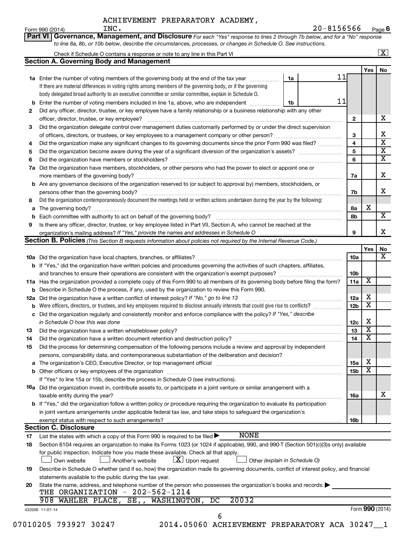| ACHIEVEMENT PREPARATORY ACADEMY, |  |  |  |
|----------------------------------|--|--|--|
|----------------------------------|--|--|--|

Form 990 (2014) Page **6** INC. 20-8156566

| b                          |                                                                                                                                                                                                                                                                                                                                                                                                                                                                                                                                                                                                                                                                                                                                                                                                                                                                                                                                                                                                                                                                                                                                                                                                                                                                                                                                                                                                                                                                                                                                                                                                                                                                                                                                                                                                                                                                                                                                                                                                                                                                                                                                                                                                                                                                                                                                                                                                                                                                                                                                                                                                                                                                                                                                                                                                                                                                                                                                                                                                                                                                                                                                                            |            |   |  |
|----------------------------|------------------------------------------------------------------------------------------------------------------------------------------------------------------------------------------------------------------------------------------------------------------------------------------------------------------------------------------------------------------------------------------------------------------------------------------------------------------------------------------------------------------------------------------------------------------------------------------------------------------------------------------------------------------------------------------------------------------------------------------------------------------------------------------------------------------------------------------------------------------------------------------------------------------------------------------------------------------------------------------------------------------------------------------------------------------------------------------------------------------------------------------------------------------------------------------------------------------------------------------------------------------------------------------------------------------------------------------------------------------------------------------------------------------------------------------------------------------------------------------------------------------------------------------------------------------------------------------------------------------------------------------------------------------------------------------------------------------------------------------------------------------------------------------------------------------------------------------------------------------------------------------------------------------------------------------------------------------------------------------------------------------------------------------------------------------------------------------------------------------------------------------------------------------------------------------------------------------------------------------------------------------------------------------------------------------------------------------------------------------------------------------------------------------------------------------------------------------------------------------------------------------------------------------------------------------------------------------------------------------------------------------------------------------------------------------------------------------------------------------------------------------------------------------------------------------------------------------------------------------------------------------------------------------------------------------------------------------------------------------------------------------------------------------------------------------------------------------------------------------------------------------------------------|------------|---|--|
| 2                          |                                                                                                                                                                                                                                                                                                                                                                                                                                                                                                                                                                                                                                                                                                                                                                                                                                                                                                                                                                                                                                                                                                                                                                                                                                                                                                                                                                                                                                                                                                                                                                                                                                                                                                                                                                                                                                                                                                                                                                                                                                                                                                                                                                                                                                                                                                                                                                                                                                                                                                                                                                                                                                                                                                                                                                                                                                                                                                                                                                                                                                                                                                                                                            |            |   |  |
|                            |                                                                                                                                                                                                                                                                                                                                                                                                                                                                                                                                                                                                                                                                                                                                                                                                                                                                                                                                                                                                                                                                                                                                                                                                                                                                                                                                                                                                                                                                                                                                                                                                                                                                                                                                                                                                                                                                                                                                                                                                                                                                                                                                                                                                                                                                                                                                                                                                                                                                                                                                                                                                                                                                                                                                                                                                                                                                                                                                                                                                                                                                                                                                                            |            |   |  |
| 3                          |                                                                                                                                                                                                                                                                                                                                                                                                                                                                                                                                                                                                                                                                                                                                                                                                                                                                                                                                                                                                                                                                                                                                                                                                                                                                                                                                                                                                                                                                                                                                                                                                                                                                                                                                                                                                                                                                                                                                                                                                                                                                                                                                                                                                                                                                                                                                                                                                                                                                                                                                                                                                                                                                                                                                                                                                                                                                                                                                                                                                                                                                                                                                                            |            |   |  |
|                            |                                                                                                                                                                                                                                                                                                                                                                                                                                                                                                                                                                                                                                                                                                                                                                                                                                                                                                                                                                                                                                                                                                                                                                                                                                                                                                                                                                                                                                                                                                                                                                                                                                                                                                                                                                                                                                                                                                                                                                                                                                                                                                                                                                                                                                                                                                                                                                                                                                                                                                                                                                                                                                                                                                                                                                                                                                                                                                                                                                                                                                                                                                                                                            |            |   |  |
| 4                          |                                                                                                                                                                                                                                                                                                                                                                                                                                                                                                                                                                                                                                                                                                                                                                                                                                                                                                                                                                                                                                                                                                                                                                                                                                                                                                                                                                                                                                                                                                                                                                                                                                                                                                                                                                                                                                                                                                                                                                                                                                                                                                                                                                                                                                                                                                                                                                                                                                                                                                                                                                                                                                                                                                                                                                                                                                                                                                                                                                                                                                                                                                                                                            |            |   |  |
| 5                          |                                                                                                                                                                                                                                                                                                                                                                                                                                                                                                                                                                                                                                                                                                                                                                                                                                                                                                                                                                                                                                                                                                                                                                                                                                                                                                                                                                                                                                                                                                                                                                                                                                                                                                                                                                                                                                                                                                                                                                                                                                                                                                                                                                                                                                                                                                                                                                                                                                                                                                                                                                                                                                                                                                                                                                                                                                                                                                                                                                                                                                                                                                                                                            | 5          |   |  |
| 6                          |                                                                                                                                                                                                                                                                                                                                                                                                                                                                                                                                                                                                                                                                                                                                                                                                                                                                                                                                                                                                                                                                                                                                                                                                                                                                                                                                                                                                                                                                                                                                                                                                                                                                                                                                                                                                                                                                                                                                                                                                                                                                                                                                                                                                                                                                                                                                                                                                                                                                                                                                                                                                                                                                                                                                                                                                                                                                                                                                                                                                                                                                                                                                                            | 6          |   |  |
| 7a                         | Did the organization have members, stockholders, or other persons who had the power to elect or appoint one or                                                                                                                                                                                                                                                                                                                                                                                                                                                                                                                                                                                                                                                                                                                                                                                                                                                                                                                                                                                                                                                                                                                                                                                                                                                                                                                                                                                                                                                                                                                                                                                                                                                                                                                                                                                                                                                                                                                                                                                                                                                                                                                                                                                                                                                                                                                                                                                                                                                                                                                                                                                                                                                                                                                                                                                                                                                                                                                                                                                                                                             |            |   |  |
|                            |                                                                                                                                                                                                                                                                                                                                                                                                                                                                                                                                                                                                                                                                                                                                                                                                                                                                                                                                                                                                                                                                                                                                                                                                                                                                                                                                                                                                                                                                                                                                                                                                                                                                                                                                                                                                                                                                                                                                                                                                                                                                                                                                                                                                                                                                                                                                                                                                                                                                                                                                                                                                                                                                                                                                                                                                                                                                                                                                                                                                                                                                                                                                                            | 7a         |   |  |
|                            | <b>b</b> Are any governance decisions of the organization reserved to (or subject to approval by) members, stockholders, or                                                                                                                                                                                                                                                                                                                                                                                                                                                                                                                                                                                                                                                                                                                                                                                                                                                                                                                                                                                                                                                                                                                                                                                                                                                                                                                                                                                                                                                                                                                                                                                                                                                                                                                                                                                                                                                                                                                                                                                                                                                                                                                                                                                                                                                                                                                                                                                                                                                                                                                                                                                                                                                                                                                                                                                                                                                                                                                                                                                                                                |            |   |  |
|                            | persons other than the governing body?                                                                                                                                                                                                                                                                                                                                                                                                                                                                                                                                                                                                                                                                                                                                                                                                                                                                                                                                                                                                                                                                                                                                                                                                                                                                                                                                                                                                                                                                                                                                                                                                                                                                                                                                                                                                                                                                                                                                                                                                                                                                                                                                                                                                                                                                                                                                                                                                                                                                                                                                                                                                                                                                                                                                                                                                                                                                                                                                                                                                                                                                                                                     | 7b         |   |  |
| 8                          | Did the organization contemporaneously document the meetings held or written actions undertaken during the year by the following:                                                                                                                                                                                                                                                                                                                                                                                                                                                                                                                                                                                                                                                                                                                                                                                                                                                                                                                                                                                                                                                                                                                                                                                                                                                                                                                                                                                                                                                                                                                                                                                                                                                                                                                                                                                                                                                                                                                                                                                                                                                                                                                                                                                                                                                                                                                                                                                                                                                                                                                                                                                                                                                                                                                                                                                                                                                                                                                                                                                                                          |            |   |  |
| а                          |                                                                                                                                                                                                                                                                                                                                                                                                                                                                                                                                                                                                                                                                                                                                                                                                                                                                                                                                                                                                                                                                                                                                                                                                                                                                                                                                                                                                                                                                                                                                                                                                                                                                                                                                                                                                                                                                                                                                                                                                                                                                                                                                                                                                                                                                                                                                                                                                                                                                                                                                                                                                                                                                                                                                                                                                                                                                                                                                                                                                                                                                                                                                                            |            | X |  |
| b                          |                                                                                                                                                                                                                                                                                                                                                                                                                                                                                                                                                                                                                                                                                                                                                                                                                                                                                                                                                                                                                                                                                                                                                                                                                                                                                                                                                                                                                                                                                                                                                                                                                                                                                                                                                                                                                                                                                                                                                                                                                                                                                                                                                                                                                                                                                                                                                                                                                                                                                                                                                                                                                                                                                                                                                                                                                                                                                                                                                                                                                                                                                                                                                            |            |   |  |
| 9                          |                                                                                                                                                                                                                                                                                                                                                                                                                                                                                                                                                                                                                                                                                                                                                                                                                                                                                                                                                                                                                                                                                                                                                                                                                                                                                                                                                                                                                                                                                                                                                                                                                                                                                                                                                                                                                                                                                                                                                                                                                                                                                                                                                                                                                                                                                                                                                                                                                                                                                                                                                                                                                                                                                                                                                                                                                                                                                                                                                                                                                                                                                                                                                            |            |   |  |
|                            |                                                                                                                                                                                                                                                                                                                                                                                                                                                                                                                                                                                                                                                                                                                                                                                                                                                                                                                                                                                                                                                                                                                                                                                                                                                                                                                                                                                                                                                                                                                                                                                                                                                                                                                                                                                                                                                                                                                                                                                                                                                                                                                                                                                                                                                                                                                                                                                                                                                                                                                                                                                                                                                                                                                                                                                                                                                                                                                                                                                                                                                                                                                                                            | 9          |   |  |
|                            |                                                                                                                                                                                                                                                                                                                                                                                                                                                                                                                                                                                                                                                                                                                                                                                                                                                                                                                                                                                                                                                                                                                                                                                                                                                                                                                                                                                                                                                                                                                                                                                                                                                                                                                                                                                                                                                                                                                                                                                                                                                                                                                                                                                                                                                                                                                                                                                                                                                                                                                                                                                                                                                                                                                                                                                                                                                                                                                                                                                                                                                                                                                                                            |            |   |  |
|                            |                                                                                                                                                                                                                                                                                                                                                                                                                                                                                                                                                                                                                                                                                                                                                                                                                                                                                                                                                                                                                                                                                                                                                                                                                                                                                                                                                                                                                                                                                                                                                                                                                                                                                                                                                                                                                                                                                                                                                                                                                                                                                                                                                                                                                                                                                                                                                                                                                                                                                                                                                                                                                                                                                                                                                                                                                                                                                                                                                                                                                                                                                                                                                            |            |   |  |
|                            |                                                                                                                                                                                                                                                                                                                                                                                                                                                                                                                                                                                                                                                                                                                                                                                                                                                                                                                                                                                                                                                                                                                                                                                                                                                                                                                                                                                                                                                                                                                                                                                                                                                                                                                                                                                                                                                                                                                                                                                                                                                                                                                                                                                                                                                                                                                                                                                                                                                                                                                                                                                                                                                                                                                                                                                                                                                                                                                                                                                                                                                                                                                                                            |            |   |  |
|                            |                                                                                                                                                                                                                                                                                                                                                                                                                                                                                                                                                                                                                                                                                                                                                                                                                                                                                                                                                                                                                                                                                                                                                                                                                                                                                                                                                                                                                                                                                                                                                                                                                                                                                                                                                                                                                                                                                                                                                                                                                                                                                                                                                                                                                                                                                                                                                                                                                                                                                                                                                                                                                                                                                                                                                                                                                                                                                                                                                                                                                                                                                                                                                            |            |   |  |
|                            |                                                                                                                                                                                                                                                                                                                                                                                                                                                                                                                                                                                                                                                                                                                                                                                                                                                                                                                                                                                                                                                                                                                                                                                                                                                                                                                                                                                                                                                                                                                                                                                                                                                                                                                                                                                                                                                                                                                                                                                                                                                                                                                                                                                                                                                                                                                                                                                                                                                                                                                                                                                                                                                                                                                                                                                                                                                                                                                                                                                                                                                                                                                                                            |            |   |  |
|                            |                                                                                                                                                                                                                                                                                                                                                                                                                                                                                                                                                                                                                                                                                                                                                                                                                                                                                                                                                                                                                                                                                                                                                                                                                                                                                                                                                                                                                                                                                                                                                                                                                                                                                                                                                                                                                                                                                                                                                                                                                                                                                                                                                                                                                                                                                                                                                                                                                                                                                                                                                                                                                                                                                                                                                                                                                                                                                                                                                                                                                                                                                                                                                            |            |   |  |
|                            |                                                                                                                                                                                                                                                                                                                                                                                                                                                                                                                                                                                                                                                                                                                                                                                                                                                                                                                                                                                                                                                                                                                                                                                                                                                                                                                                                                                                                                                                                                                                                                                                                                                                                                                                                                                                                                                                                                                                                                                                                                                                                                                                                                                                                                                                                                                                                                                                                                                                                                                                                                                                                                                                                                                                                                                                                                                                                                                                                                                                                                                                                                                                                            |            |   |  |
|                            |                                                                                                                                                                                                                                                                                                                                                                                                                                                                                                                                                                                                                                                                                                                                                                                                                                                                                                                                                                                                                                                                                                                                                                                                                                                                                                                                                                                                                                                                                                                                                                                                                                                                                                                                                                                                                                                                                                                                                                                                                                                                                                                                                                                                                                                                                                                                                                                                                                                                                                                                                                                                                                                                                                                                                                                                                                                                                                                                                                                                                                                                                                                                                            |            |   |  |
| 12a                        |                                                                                                                                                                                                                                                                                                                                                                                                                                                                                                                                                                                                                                                                                                                                                                                                                                                                                                                                                                                                                                                                                                                                                                                                                                                                                                                                                                                                                                                                                                                                                                                                                                                                                                                                                                                                                                                                                                                                                                                                                                                                                                                                                                                                                                                                                                                                                                                                                                                                                                                                                                                                                                                                                                                                                                                                                                                                                                                                                                                                                                                                                                                                                            |            |   |  |
|                            |                                                                                                                                                                                                                                                                                                                                                                                                                                                                                                                                                                                                                                                                                                                                                                                                                                                                                                                                                                                                                                                                                                                                                                                                                                                                                                                                                                                                                                                                                                                                                                                                                                                                                                                                                                                                                                                                                                                                                                                                                                                                                                                                                                                                                                                                                                                                                                                                                                                                                                                                                                                                                                                                                                                                                                                                                                                                                                                                                                                                                                                                                                                                                            |            |   |  |
|                            |                                                                                                                                                                                                                                                                                                                                                                                                                                                                                                                                                                                                                                                                                                                                                                                                                                                                                                                                                                                                                                                                                                                                                                                                                                                                                                                                                                                                                                                                                                                                                                                                                                                                                                                                                                                                                                                                                                                                                                                                                                                                                                                                                                                                                                                                                                                                                                                                                                                                                                                                                                                                                                                                                                                                                                                                                                                                                                                                                                                                                                                                                                                                                            |            |   |  |
|                            |                                                                                                                                                                                                                                                                                                                                                                                                                                                                                                                                                                                                                                                                                                                                                                                                                                                                                                                                                                                                                                                                                                                                                                                                                                                                                                                                                                                                                                                                                                                                                                                                                                                                                                                                                                                                                                                                                                                                                                                                                                                                                                                                                                                                                                                                                                                                                                                                                                                                                                                                                                                                                                                                                                                                                                                                                                                                                                                                                                                                                                                                                                                                                            |            |   |  |
| 13                         |                                                                                                                                                                                                                                                                                                                                                                                                                                                                                                                                                                                                                                                                                                                                                                                                                                                                                                                                                                                                                                                                                                                                                                                                                                                                                                                                                                                                                                                                                                                                                                                                                                                                                                                                                                                                                                                                                                                                                                                                                                                                                                                                                                                                                                                                                                                                                                                                                                                                                                                                                                                                                                                                                                                                                                                                                                                                                                                                                                                                                                                                                                                                                            |            |   |  |
|                            |                                                                                                                                                                                                                                                                                                                                                                                                                                                                                                                                                                                                                                                                                                                                                                                                                                                                                                                                                                                                                                                                                                                                                                                                                                                                                                                                                                                                                                                                                                                                                                                                                                                                                                                                                                                                                                                                                                                                                                                                                                                                                                                                                                                                                                                                                                                                                                                                                                                                                                                                                                                                                                                                                                                                                                                                                                                                                                                                                                                                                                                                                                                                                            |            |   |  |
|                            |                                                                                                                                                                                                                                                                                                                                                                                                                                                                                                                                                                                                                                                                                                                                                                                                                                                                                                                                                                                                                                                                                                                                                                                                                                                                                                                                                                                                                                                                                                                                                                                                                                                                                                                                                                                                                                                                                                                                                                                                                                                                                                                                                                                                                                                                                                                                                                                                                                                                                                                                                                                                                                                                                                                                                                                                                                                                                                                                                                                                                                                                                                                                                            |            |   |  |
|                            | Did the process for determining compensation of the following persons include a review and approval by independent                                                                                                                                                                                                                                                                                                                                                                                                                                                                                                                                                                                                                                                                                                                                                                                                                                                                                                                                                                                                                                                                                                                                                                                                                                                                                                                                                                                                                                                                                                                                                                                                                                                                                                                                                                                                                                                                                                                                                                                                                                                                                                                                                                                                                                                                                                                                                                                                                                                                                                                                                                                                                                                                                                                                                                                                                                                                                                                                                                                                                                         |            |   |  |
|                            | persons, comparability data, and contemporaneous substantiation of the deliberation and decision?                                                                                                                                                                                                                                                                                                                                                                                                                                                                                                                                                                                                                                                                                                                                                                                                                                                                                                                                                                                                                                                                                                                                                                                                                                                                                                                                                                                                                                                                                                                                                                                                                                                                                                                                                                                                                                                                                                                                                                                                                                                                                                                                                                                                                                                                                                                                                                                                                                                                                                                                                                                                                                                                                                                                                                                                                                                                                                                                                                                                                                                          |            |   |  |
|                            |                                                                                                                                                                                                                                                                                                                                                                                                                                                                                                                                                                                                                                                                                                                                                                                                                                                                                                                                                                                                                                                                                                                                                                                                                                                                                                                                                                                                                                                                                                                                                                                                                                                                                                                                                                                                                                                                                                                                                                                                                                                                                                                                                                                                                                                                                                                                                                                                                                                                                                                                                                                                                                                                                                                                                                                                                                                                                                                                                                                                                                                                                                                                                            | <b>15a</b> | X |  |
|                            |                                                                                                                                                                                                                                                                                                                                                                                                                                                                                                                                                                                                                                                                                                                                                                                                                                                                                                                                                                                                                                                                                                                                                                                                                                                                                                                                                                                                                                                                                                                                                                                                                                                                                                                                                                                                                                                                                                                                                                                                                                                                                                                                                                                                                                                                                                                                                                                                                                                                                                                                                                                                                                                                                                                                                                                                                                                                                                                                                                                                                                                                                                                                                            | 15b        | X |  |
|                            |                                                                                                                                                                                                                                                                                                                                                                                                                                                                                                                                                                                                                                                                                                                                                                                                                                                                                                                                                                                                                                                                                                                                                                                                                                                                                                                                                                                                                                                                                                                                                                                                                                                                                                                                                                                                                                                                                                                                                                                                                                                                                                                                                                                                                                                                                                                                                                                                                                                                                                                                                                                                                                                                                                                                                                                                                                                                                                                                                                                                                                                                                                                                                            |            |   |  |
|                            | <b>Part VI Governance, Management, and Disclosure</b> For each "Yes" response to lines 2 through 7b below, and for a "No" response<br>to line 8a, 8b, or 10b below, describe the circumstances, processes, or changes in Schedule O. See instructions.<br><b>Section A. Governing Body and Management</b><br>Yes $ $<br>11<br>1a Enter the number of voting members of the governing body at the end of the tax year<br>1a<br>If there are material differences in voting rights among members of the governing body, or if the governing<br>body delegated broad authority to an executive committee or similar committee, explain in Schedule O.<br>11<br>Enter the number of voting members included in line 1a, above, who are independent<br>1b<br>Did any officer, director, trustee, or key employee have a family relationship or a business relationship with any other<br>$\mathbf{2}$<br>officer, director, trustee, or key employee?<br>Did the organization delegate control over management duties customarily performed by or under the direct supervision<br>3<br>Did the organization make any significant changes to its governing documents since the prior Form 990 was filed?<br>4<br>8а<br>8b<br>Is there any officer, director, trustee, or key employee listed in Part VII, Section A, who cannot be reached at the<br>Section B. Policies (This Section B requests information about policies not required by the Internal Revenue Code.)<br>Yes  <br>10a<br>b If "Yes," did the organization have written policies and procedures governing the activities of such chapters, affiliates,<br>10b<br>х<br>11a Has the organization provided a complete copy of this Form 990 to all members of its governing body before filing the form?<br>11a<br><b>b</b> Describe in Schedule O the process, if any, used by the organization to review this Form 990.<br>Х<br>Did the organization have a written conflict of interest policy? If "No," go to line 13<br>12a<br>X<br>Were officers, directors, or trustees, and key employees required to disclose annually interests that could give rise to conflicts?<br>12 <sub>b</sub><br>c Did the organization regularly and consistently monitor and enforce compliance with the policy? If "Yes," describe<br>X<br>in Schedule O how this was done <b>construction and construction</b> construction of the schedule O how this was done<br>12c<br>$\overline{\mathbf{X}}$<br>13<br>$\overline{\textbf{x}}$<br>14<br>Did the organization have a written document retention and destruction policy? [11] manufaction in the organization have a written document retention and destruction policy?<br><b>16a</b><br>16 <sub>b</sub><br><b>NONE</b><br>Section 6104 requires an organization to make its Forms 1023 (or 1024 if applicable), 990, and 990-T (Section 501(c)(3)s only) available<br>$\lfloor x \rfloor$ Upon request<br>Another's website<br>Other (explain in Schedule O)<br>Describe in Schedule O whether (and if so, how) the organization made its governing documents, conflict of interest policy, and financial<br>20032<br>Form 990 (2014)<br>432006 11-07-14 |            |   |  |
|                            | If "Yes" to line 15a or 15b, describe the process in Schedule O (see instructions).<br>16a Did the organization invest in, contribute assets to, or participate in a joint venture or similar arrangement with a                                                                                                                                                                                                                                                                                                                                                                                                                                                                                                                                                                                                                                                                                                                                                                                                                                                                                                                                                                                                                                                                                                                                                                                                                                                                                                                                                                                                                                                                                                                                                                                                                                                                                                                                                                                                                                                                                                                                                                                                                                                                                                                                                                                                                                                                                                                                                                                                                                                                                                                                                                                                                                                                                                                                                                                                                                                                                                                                           |            |   |  |
|                            | taxable entity during the year?                                                                                                                                                                                                                                                                                                                                                                                                                                                                                                                                                                                                                                                                                                                                                                                                                                                                                                                                                                                                                                                                                                                                                                                                                                                                                                                                                                                                                                                                                                                                                                                                                                                                                                                                                                                                                                                                                                                                                                                                                                                                                                                                                                                                                                                                                                                                                                                                                                                                                                                                                                                                                                                                                                                                                                                                                                                                                                                                                                                                                                                                                                                            |            |   |  |
|                            | b If "Yes," did the organization follow a written policy or procedure requiring the organization to evaluate its participation                                                                                                                                                                                                                                                                                                                                                                                                                                                                                                                                                                                                                                                                                                                                                                                                                                                                                                                                                                                                                                                                                                                                                                                                                                                                                                                                                                                                                                                                                                                                                                                                                                                                                                                                                                                                                                                                                                                                                                                                                                                                                                                                                                                                                                                                                                                                                                                                                                                                                                                                                                                                                                                                                                                                                                                                                                                                                                                                                                                                                             |            |   |  |
|                            | in joint venture arrangements under applicable federal tax law, and take steps to safeguard the organization's                                                                                                                                                                                                                                                                                                                                                                                                                                                                                                                                                                                                                                                                                                                                                                                                                                                                                                                                                                                                                                                                                                                                                                                                                                                                                                                                                                                                                                                                                                                                                                                                                                                                                                                                                                                                                                                                                                                                                                                                                                                                                                                                                                                                                                                                                                                                                                                                                                                                                                                                                                                                                                                                                                                                                                                                                                                                                                                                                                                                                                             |            |   |  |
|                            | exempt status with respect to such arrangements?                                                                                                                                                                                                                                                                                                                                                                                                                                                                                                                                                                                                                                                                                                                                                                                                                                                                                                                                                                                                                                                                                                                                                                                                                                                                                                                                                                                                                                                                                                                                                                                                                                                                                                                                                                                                                                                                                                                                                                                                                                                                                                                                                                                                                                                                                                                                                                                                                                                                                                                                                                                                                                                                                                                                                                                                                                                                                                                                                                                                                                                                                                           |            |   |  |
|                            | <b>Section C. Disclosure</b>                                                                                                                                                                                                                                                                                                                                                                                                                                                                                                                                                                                                                                                                                                                                                                                                                                                                                                                                                                                                                                                                                                                                                                                                                                                                                                                                                                                                                                                                                                                                                                                                                                                                                                                                                                                                                                                                                                                                                                                                                                                                                                                                                                                                                                                                                                                                                                                                                                                                                                                                                                                                                                                                                                                                                                                                                                                                                                                                                                                                                                                                                                                               |            |   |  |
|                            | List the states with which a copy of this Form 990 is required to be filed >                                                                                                                                                                                                                                                                                                                                                                                                                                                                                                                                                                                                                                                                                                                                                                                                                                                                                                                                                                                                                                                                                                                                                                                                                                                                                                                                                                                                                                                                                                                                                                                                                                                                                                                                                                                                                                                                                                                                                                                                                                                                                                                                                                                                                                                                                                                                                                                                                                                                                                                                                                                                                                                                                                                                                                                                                                                                                                                                                                                                                                                                               |            |   |  |
|                            |                                                                                                                                                                                                                                                                                                                                                                                                                                                                                                                                                                                                                                                                                                                                                                                                                                                                                                                                                                                                                                                                                                                                                                                                                                                                                                                                                                                                                                                                                                                                                                                                                                                                                                                                                                                                                                                                                                                                                                                                                                                                                                                                                                                                                                                                                                                                                                                                                                                                                                                                                                                                                                                                                                                                                                                                                                                                                                                                                                                                                                                                                                                                                            |            |   |  |
|                            | for public inspection. Indicate how you made these available. Check all that apply.                                                                                                                                                                                                                                                                                                                                                                                                                                                                                                                                                                                                                                                                                                                                                                                                                                                                                                                                                                                                                                                                                                                                                                                                                                                                                                                                                                                                                                                                                                                                                                                                                                                                                                                                                                                                                                                                                                                                                                                                                                                                                                                                                                                                                                                                                                                                                                                                                                                                                                                                                                                                                                                                                                                                                                                                                                                                                                                                                                                                                                                                        |            |   |  |
|                            | Own website                                                                                                                                                                                                                                                                                                                                                                                                                                                                                                                                                                                                                                                                                                                                                                                                                                                                                                                                                                                                                                                                                                                                                                                                                                                                                                                                                                                                                                                                                                                                                                                                                                                                                                                                                                                                                                                                                                                                                                                                                                                                                                                                                                                                                                                                                                                                                                                                                                                                                                                                                                                                                                                                                                                                                                                                                                                                                                                                                                                                                                                                                                                                                |            |   |  |
| 14<br>15<br>17<br>18<br>19 |                                                                                                                                                                                                                                                                                                                                                                                                                                                                                                                                                                                                                                                                                                                                                                                                                                                                                                                                                                                                                                                                                                                                                                                                                                                                                                                                                                                                                                                                                                                                                                                                                                                                                                                                                                                                                                                                                                                                                                                                                                                                                                                                                                                                                                                                                                                                                                                                                                                                                                                                                                                                                                                                                                                                                                                                                                                                                                                                                                                                                                                                                                                                                            |            |   |  |
|                            | statements available to the public during the tax year.                                                                                                                                                                                                                                                                                                                                                                                                                                                                                                                                                                                                                                                                                                                                                                                                                                                                                                                                                                                                                                                                                                                                                                                                                                                                                                                                                                                                                                                                                                                                                                                                                                                                                                                                                                                                                                                                                                                                                                                                                                                                                                                                                                                                                                                                                                                                                                                                                                                                                                                                                                                                                                                                                                                                                                                                                                                                                                                                                                                                                                                                                                    |            |   |  |
| 20                         | State the name, address, and telephone number of the person who possesses the organization's books and records:                                                                                                                                                                                                                                                                                                                                                                                                                                                                                                                                                                                                                                                                                                                                                                                                                                                                                                                                                                                                                                                                                                                                                                                                                                                                                                                                                                                                                                                                                                                                                                                                                                                                                                                                                                                                                                                                                                                                                                                                                                                                                                                                                                                                                                                                                                                                                                                                                                                                                                                                                                                                                                                                                                                                                                                                                                                                                                                                                                                                                                            |            |   |  |
|                            | THE ORGANIZATION - 202-562-1214                                                                                                                                                                                                                                                                                                                                                                                                                                                                                                                                                                                                                                                                                                                                                                                                                                                                                                                                                                                                                                                                                                                                                                                                                                                                                                                                                                                                                                                                                                                                                                                                                                                                                                                                                                                                                                                                                                                                                                                                                                                                                                                                                                                                                                                                                                                                                                                                                                                                                                                                                                                                                                                                                                                                                                                                                                                                                                                                                                                                                                                                                                                            |            |   |  |
|                            | 908 WAHLER PLACE, SE,, WASHINGTON, DC                                                                                                                                                                                                                                                                                                                                                                                                                                                                                                                                                                                                                                                                                                                                                                                                                                                                                                                                                                                                                                                                                                                                                                                                                                                                                                                                                                                                                                                                                                                                                                                                                                                                                                                                                                                                                                                                                                                                                                                                                                                                                                                                                                                                                                                                                                                                                                                                                                                                                                                                                                                                                                                                                                                                                                                                                                                                                                                                                                                                                                                                                                                      |            |   |  |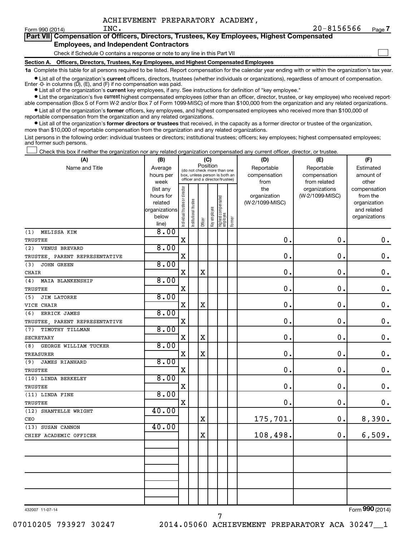$\Box$ 

| Form 990 (2014) | INC.                                   | $20 - 8156566$                                                                                     | Page |
|-----------------|----------------------------------------|----------------------------------------------------------------------------------------------------|------|
|                 |                                        | <b>Part VIII Compensation of Officers, Directors, Trustees, Key Employees, Highest Compensated</b> |      |
|                 | Employees, and Indonesdent Contractors |                                                                                                    |      |

#### **Employees, and Independent Contractors**

Check if Schedule O contains a response or note to any line in this Part VII

**Section A. Officers, Directors, Trustees, Key Employees, and Highest Compensated Employees**

**1a**  Complete this table for all persons required to be listed. Report compensation for the calendar year ending with or within the organization's tax year.

 $\bullet$  List all of the organization's current officers, directors, trustees (whether individuals or organizations), regardless of amount of compensation. Enter -0- in columns  $(D)$ ,  $(E)$ , and  $(F)$  if no compensation was paid.

**•** List all of the organization's **current** key employees, if any. See instructions for definition of "key employee."

**•** List the organization's five current highest compensated employees (other than an officer, director, trustee, or key employee) who received reportable compensation (Box 5 of Form W-2 and/or Box 7 of Form 1099-MISC) of more than \$100,000 from the organization and any related organizations.

**•** List all of the organization's former officers, key employees, and highest compensated employees who received more than \$100,000 of reportable compensation from the organization and any related organizations.

**•** List all of the organization's former directors or trustees that received, in the capacity as a former director or trustee of the organization, more than \$10,000 of reportable compensation from the organization and any related organizations.

List persons in the following order: individual trustees or directors; institutional trustees; officers; key employees; highest compensated employees; and former such persons.

|  |  |  | Check this box if neither the organization nor any related organization compensated any current officer, director, or trustee. |  |  |
|--|--|--|--------------------------------------------------------------------------------------------------------------------------------|--|--|
|  |  |  |                                                                                                                                |  |  |

| (A)                            | (B)                      |                                |                                                                  | (C)         |              |                                 |        | (D)             | (E)             | (F)                         |
|--------------------------------|--------------------------|--------------------------------|------------------------------------------------------------------|-------------|--------------|---------------------------------|--------|-----------------|-----------------|-----------------------------|
| Name and Title                 | Average                  |                                | (do not check more than one                                      | Position    |              |                                 |        | Reportable      | Reportable      | Estimated                   |
|                                | hours per                |                                | box, unless person is both an<br>officer and a director/trustee) |             |              |                                 |        | compensation    | compensation    | amount of                   |
|                                | week                     |                                |                                                                  |             |              |                                 |        | from            | from related    | other                       |
|                                | (list any                |                                |                                                                  |             |              |                                 |        | the             | organizations   | compensation                |
|                                | hours for                |                                |                                                                  |             |              |                                 |        | organization    | (W-2/1099-MISC) | from the                    |
|                                | related<br>organizations |                                |                                                                  |             |              |                                 |        | (W-2/1099-MISC) |                 | organization<br>and related |
|                                | below                    |                                |                                                                  |             |              |                                 |        |                 |                 | organizations               |
|                                | line)                    | Individual trustee or director | Institutional trustee                                            | Officer     | Key employee | Highest compensated<br>employee | Former |                 |                 |                             |
| MELISSA KIM<br>(1)             | 8.00                     |                                |                                                                  |             |              |                                 |        |                 |                 |                             |
| <b>TRUSTEE</b>                 |                          | $\mathbf X$                    |                                                                  |             |              |                                 |        | $\mathbf 0$ .   | 0.              | $\mathbf 0$ .               |
| (2)<br>VENUS BREVARD           | 8.00                     |                                |                                                                  |             |              |                                 |        |                 |                 |                             |
| TRUSTEE, PARENT REPRESENTATIVE |                          | $\mathbf X$                    |                                                                  |             |              |                                 |        | $\mathbf 0$ .   | 0.              | $\mathbf 0$ .               |
| <b>JOHN GREEN</b><br>(3)       | 8.00                     |                                |                                                                  |             |              |                                 |        |                 |                 |                             |
| <b>CHAIR</b>                   |                          | X                              |                                                                  | $\mathbf X$ |              |                                 |        | $\mathbf 0$ .   | $\mathbf 0$ .   | $\boldsymbol{0}$ .          |
| (4)<br>MAIA BLANKENSHIP        | 8.00                     |                                |                                                                  |             |              |                                 |        |                 |                 |                             |
| <b>TRUSTEE</b>                 |                          | $\mathbf X$                    |                                                                  |             |              |                                 |        | $\mathbf 0$ .   | 0.              | $\mathbf 0$ .               |
| (5)<br><b>JIM LATORRE</b>      | 8.00                     |                                |                                                                  |             |              |                                 |        |                 |                 |                             |
| VICE CHAIR                     |                          | $\mathbf X$                    |                                                                  | $\mathbf X$ |              |                                 |        | $\mathbf 0$ .   | 0.              | $\boldsymbol{0}$ .          |
| ERRICK JAMES<br>(6)            | 8.00                     |                                |                                                                  |             |              |                                 |        |                 |                 |                             |
| TRUSTEE, PARENT REPRESENTATIVE |                          | $\mathbf X$                    |                                                                  |             |              |                                 |        | 0.              | $\mathbf 0$ .   | $\mathbf 0$ .               |
| TIMOTHY TILLMAN<br>(7)         | 8.00                     |                                |                                                                  |             |              |                                 |        |                 |                 |                             |
| <b>SECRETARY</b>               |                          | $\mathbf X$                    |                                                                  | $\mathbf X$ |              |                                 |        | $\mathbf 0$ .   | $\mathbf 0$ .   | $\boldsymbol{0}$ .          |
| (8)<br>GEORGE WILLIAM TUCKER   | 8.00                     |                                |                                                                  |             |              |                                 |        |                 |                 |                             |
| <b>TREASURER</b>               |                          | $\mathbf X$                    |                                                                  | $\rm X$     |              |                                 |        | $\mathbf 0$ .   | $\mathbf 0$ .   | $\boldsymbol{0}$ .          |
| (9)<br><b>JAMES RIANHARD</b>   | 8.00                     |                                |                                                                  |             |              |                                 |        |                 |                 |                             |
| <b>TRUSTEE</b>                 |                          | $\mathbf X$                    |                                                                  |             |              |                                 |        | 0.              | $\mathbf 0$ .   | $\boldsymbol{0}$ .          |
| (10) LINDA BERKELEY            | 8.00                     |                                |                                                                  |             |              |                                 |        |                 |                 |                             |
| <b>TRUSTEE</b>                 |                          | $\rm X$                        |                                                                  |             |              |                                 |        | $\mathbf 0$ .   | $\mathbf 0$ .   | $\boldsymbol{0}$ .          |
| (11) LINDA FINE                | 8.00                     |                                |                                                                  |             |              |                                 |        |                 |                 |                             |
| <b>TRUSTEE</b>                 |                          | $\mathbf X$                    |                                                                  |             |              |                                 |        | $\mathbf 0$ .   | $\mathbf 0$ .   | 0.                          |
| (12) SHANTELLE WRIGHT          | 40.00                    |                                |                                                                  |             |              |                                 |        |                 |                 |                             |
| CEO                            |                          |                                |                                                                  | $\mathbf X$ |              |                                 |        | 175,701.        | 0.              | 8,390.                      |
| SUSAN CANNON<br>(13)           | 40.00                    |                                |                                                                  |             |              |                                 |        |                 |                 |                             |
| CHIEF ACADEMIC OFFICER         |                          |                                |                                                                  | $\mathbf X$ |              |                                 |        | 108,498.        | 0.              | 6,509.                      |
|                                |                          |                                |                                                                  |             |              |                                 |        |                 |                 |                             |
|                                |                          |                                |                                                                  |             |              |                                 |        |                 |                 |                             |
|                                |                          |                                |                                                                  |             |              |                                 |        |                 |                 |                             |
|                                |                          |                                |                                                                  |             |              |                                 |        |                 |                 |                             |
|                                |                          |                                |                                                                  |             |              |                                 |        |                 |                 |                             |
|                                |                          |                                |                                                                  |             |              |                                 |        |                 |                 |                             |
|                                |                          |                                |                                                                  |             |              |                                 |        |                 |                 |                             |
|                                |                          |                                |                                                                  |             |              |                                 |        |                 |                 |                             |

432007 11-07-14

7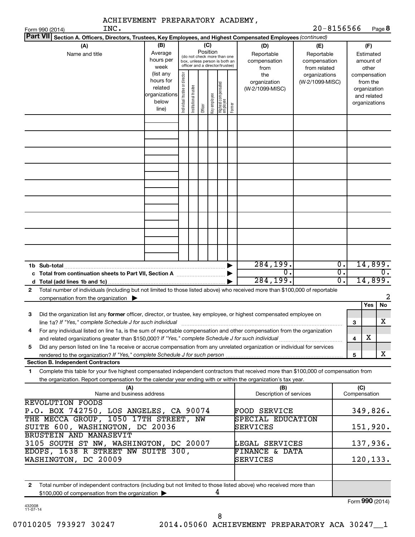| ACHIEVEMENT PREPARATORY ACADEMY,                                                                                                                                                                                                                            |                                                                      |                                |                       |          |              |                                                                                                 |        |                                        |                                            |                        |                     |                                                                          |  |
|-------------------------------------------------------------------------------------------------------------------------------------------------------------------------------------------------------------------------------------------------------------|----------------------------------------------------------------------|--------------------------------|-----------------------|----------|--------------|-------------------------------------------------------------------------------------------------|--------|----------------------------------------|--------------------------------------------|------------------------|---------------------|--------------------------------------------------------------------------|--|
| INC.<br>Form 990 (2014)                                                                                                                                                                                                                                     |                                                                      |                                |                       |          |              |                                                                                                 |        |                                        | $20 - 8156566$                             |                        |                     | Page 8                                                                   |  |
| <b>Part VII</b><br>Section A. Officers, Directors, Trustees, Key Employees, and Highest Compensated Employees (continued)<br>(A)                                                                                                                            | (B)                                                                  |                                |                       | (C)      |              |                                                                                                 |        | (D)                                    | (E)                                        |                        |                     | (F)                                                                      |  |
| Name and title                                                                                                                                                                                                                                              | Average<br>hours per<br>week                                         |                                |                       | Position |              | (do not check more than one<br>box, unless person is both an<br>officer and a director/trustee) |        | Reportable<br>compensation<br>from     | Reportable<br>compensation<br>from related |                        |                     | Estimated<br>amount of<br>other                                          |  |
|                                                                                                                                                                                                                                                             | (list any<br>hours for<br>related<br>organizations<br>below<br>line) | Individual trustee or director | Institutional trustee | Officer  | Key employee | Highest compensated<br>employee                                                                 | Former | the<br>organization<br>(W-2/1099-MISC) | organizations<br>(W-2/1099-MISC)           |                        |                     | compensation<br>from the<br>organization<br>and related<br>organizations |  |
|                                                                                                                                                                                                                                                             |                                                                      |                                |                       |          |              |                                                                                                 |        |                                        |                                            |                        |                     |                                                                          |  |
|                                                                                                                                                                                                                                                             |                                                                      |                                |                       |          |              |                                                                                                 |        |                                        |                                            |                        |                     |                                                                          |  |
|                                                                                                                                                                                                                                                             |                                                                      |                                |                       |          |              |                                                                                                 |        |                                        |                                            |                        |                     |                                                                          |  |
|                                                                                                                                                                                                                                                             |                                                                      |                                |                       |          |              |                                                                                                 |        |                                        |                                            |                        |                     |                                                                          |  |
|                                                                                                                                                                                                                                                             |                                                                      |                                |                       |          |              |                                                                                                 |        |                                        |                                            |                        |                     |                                                                          |  |
|                                                                                                                                                                                                                                                             |                                                                      |                                |                       |          |              |                                                                                                 |        |                                        |                                            |                        |                     |                                                                          |  |
|                                                                                                                                                                                                                                                             |                                                                      |                                |                       |          |              |                                                                                                 |        |                                        |                                            |                        |                     |                                                                          |  |
|                                                                                                                                                                                                                                                             |                                                                      |                                |                       |          |              |                                                                                                 |        |                                        |                                            |                        |                     |                                                                          |  |
|                                                                                                                                                                                                                                                             |                                                                      |                                |                       |          |              |                                                                                                 |        |                                        |                                            |                        |                     |                                                                          |  |
|                                                                                                                                                                                                                                                             |                                                                      |                                |                       |          |              |                                                                                                 |        |                                        |                                            |                        |                     |                                                                          |  |
|                                                                                                                                                                                                                                                             |                                                                      |                                |                       |          |              |                                                                                                 |        |                                        |                                            |                        |                     |                                                                          |  |
| 1b Sub-total                                                                                                                                                                                                                                                |                                                                      |                                |                       |          |              |                                                                                                 |        | 284,199.<br>$\overline{0}$ .           |                                            | $\overline{0}$ .<br>σ. |                     | 14,899.<br>$\overline{0}$ .                                              |  |
|                                                                                                                                                                                                                                                             |                                                                      |                                |                       |          |              |                                                                                                 |        | 284,199.                               |                                            | σ.                     |                     | 14,899.                                                                  |  |
| Total number of individuals (including but not limited to those listed above) who received more than \$100,000 of reportable<br>2<br>compensation from the organization $\blacktriangleright$                                                               |                                                                      |                                |                       |          |              |                                                                                                 |        |                                        |                                            |                        |                     | 2                                                                        |  |
| Did the organization list any <b>former</b> officer, director, or trustee, key employee, or highest compensated employee on<br>З                                                                                                                            |                                                                      |                                |                       |          |              |                                                                                                 |        |                                        |                                            |                        |                     | No<br>Yes                                                                |  |
| line 1a? If "Yes," complete Schedule J for such individual manufactured content content for the complete schedu                                                                                                                                             |                                                                      |                                |                       |          |              |                                                                                                 |        |                                        |                                            |                        | З                   | X                                                                        |  |
| For any individual listed on line 1a, is the sum of reportable compensation and other compensation from the organization<br>4                                                                                                                               |                                                                      |                                |                       |          |              |                                                                                                 |        |                                        |                                            |                        | 4                   | х                                                                        |  |
| Did any person listed on line 1a receive or accrue compensation from any unrelated organization or individual for services<br>5                                                                                                                             |                                                                      |                                |                       |          |              |                                                                                                 |        |                                        |                                            |                        | 5                   | x                                                                        |  |
| <b>Section B. Independent Contractors</b>                                                                                                                                                                                                                   |                                                                      |                                |                       |          |              |                                                                                                 |        |                                        |                                            |                        |                     |                                                                          |  |
| Complete this table for your five highest compensated independent contractors that received more than \$100,000 of compensation from<br>1<br>the organization. Report compensation for the calendar year ending with or within the organization's tax year. |                                                                      |                                |                       |          |              |                                                                                                 |        |                                        |                                            |                        |                     |                                                                          |  |
| (A)<br>Name and business address                                                                                                                                                                                                                            |                                                                      |                                |                       |          |              |                                                                                                 |        | (B)<br>Description of services         |                                            |                        | (C)<br>Compensation |                                                                          |  |
| <b>REVOLUTION FOODS</b><br>P.O. BOX 742750, LOS ANGELES, CA 90074                                                                                                                                                                                           |                                                                      |                                |                       |          |              |                                                                                                 |        | <b>FOOD SERVICE</b>                    |                                            |                        |                     | 349,826.                                                                 |  |
| THE MECCA GROUP, 1050 17TH STREET, NW<br>SUITE 600, WASHINGTON, DC 20036                                                                                                                                                                                    |                                                                      |                                |                       |          |              |                                                                                                 |        | SPECIAL EDUCATION<br>SERVICES          |                                            |                        |                     | 151,920.                                                                 |  |
| BRUSTEIN AND MANASEVIT<br>3105 SOUTH ST NW, WASHINGTON, DC 20007                                                                                                                                                                                            |                                                                      |                                |                       |          |              |                                                                                                 |        | LEGAL SERVICES                         |                                            |                        |                     | 137,936.                                                                 |  |
| EDOPS, 1638 R STREET NW SUITE 300,<br>WASHINGTON, DC 20009                                                                                                                                                                                                  |                                                                      |                                |                       |          |              |                                                                                                 |        | <b>FINANCE &amp; DATA</b><br>SERVICES  |                                            |                        |                     | 120,133.                                                                 |  |
|                                                                                                                                                                                                                                                             |                                                                      |                                |                       |          |              |                                                                                                 |        |                                        |                                            |                        |                     |                                                                          |  |
| $\mathbf{2}$<br>Total number of independent contractors (including but not limited to those listed above) who received more than                                                                                                                            |                                                                      |                                |                       |          |              | 4                                                                                               |        |                                        |                                            |                        |                     |                                                                          |  |
| \$100,000 of compensation from the organization                                                                                                                                                                                                             |                                                                      |                                |                       |          |              |                                                                                                 |        |                                        |                                            |                        |                     | Form 990 (2014)                                                          |  |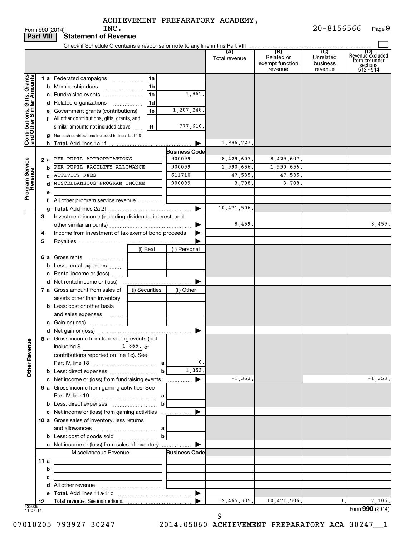|                                                           | <b>Part VIII</b> | <b>Statement of Revenue</b>                                             |                |                       |                      |                                                 |                                         |                                                                    |
|-----------------------------------------------------------|------------------|-------------------------------------------------------------------------|----------------|-----------------------|----------------------|-------------------------------------------------|-----------------------------------------|--------------------------------------------------------------------|
|                                                           |                  |                                                                         |                |                       |                      |                                                 |                                         |                                                                    |
|                                                           |                  |                                                                         |                |                       | (A)<br>Total revenue | (B)<br>Related or<br>exempt function<br>revenue | (C)<br>Unrelated<br>business<br>revenue | (D)<br>Revenue excluded<br>from tax under<br>sections<br>512 - 514 |
|                                                           |                  | <b>1 a</b> Federated campaigns                                          | 1a             |                       |                      |                                                 |                                         |                                                                    |
|                                                           |                  | <b>b</b> Membership dues                                                | 1 <sub>b</sub> |                       |                      |                                                 |                                         |                                                                    |
|                                                           |                  | c Fundraising events                                                    | 1c             | 1,865.                |                      |                                                 |                                         |                                                                    |
|                                                           |                  | d Related organizations<br>.                                            | 1d             |                       |                      |                                                 |                                         |                                                                    |
| Contributions, Gifts, Grants<br>and Other Similar Amounts |                  | e Government grants (contributions)                                     | 1e             | 1,207,248.            |                      |                                                 |                                         |                                                                    |
|                                                           |                  | f All other contributions, gifts, grants, and                           |                |                       |                      |                                                 |                                         |                                                                    |
|                                                           |                  | similar amounts not included above                                      | 1f             | 777,610.              |                      |                                                 |                                         |                                                                    |
|                                                           |                  | g Noncash contributions included in lines 1a-1f: \$                     |                |                       |                      |                                                 |                                         |                                                                    |
|                                                           |                  |                                                                         |                |                       | 1,986,723.           |                                                 |                                         |                                                                    |
|                                                           |                  |                                                                         |                | <b>Business Code</b>  |                      |                                                 |                                         |                                                                    |
|                                                           | 2а               | PER PUPIL APPROPRIATIONS                                                |                | 900099<br>900099      | 8,429,607.           | 8,429,607.                                      |                                         |                                                                    |
|                                                           | b                | PER PUPIL FACILITY ALLOWANCE<br><b>ACTIVITY FEES</b>                    |                | 611710                | 1,990,656.           | 1,990,656.                                      |                                         |                                                                    |
|                                                           | c                | MISCELLANEOUS PROGRAM INCOME                                            |                | 900099                | 47,535.<br>3,708.    | 47,535.<br>3,708                                |                                         |                                                                    |
| Program Service<br>Revenue                                | d                |                                                                         |                |                       |                      |                                                 |                                         |                                                                    |
|                                                           | е<br>t           | All other program service revenue                                       |                |                       |                      |                                                 |                                         |                                                                    |
|                                                           |                  |                                                                         |                |                       | 10,471,506           |                                                 |                                         |                                                                    |
|                                                           | З                | Investment income (including dividends, interest, and                   |                |                       |                      |                                                 |                                         |                                                                    |
|                                                           |                  |                                                                         |                |                       | 8,459.               |                                                 |                                         | 8,459.                                                             |
|                                                           | 4                | Income from investment of tax-exempt bond proceeds                      |                |                       |                      |                                                 |                                         |                                                                    |
|                                                           | 5                |                                                                         |                |                       |                      |                                                 |                                         |                                                                    |
|                                                           |                  |                                                                         | (i) Real       | (ii) Personal         |                      |                                                 |                                         |                                                                    |
|                                                           |                  | <b>6 a</b> Gross rents                                                  |                |                       |                      |                                                 |                                         |                                                                    |
|                                                           |                  | <b>b</b> Less: rental expenses                                          |                |                       |                      |                                                 |                                         |                                                                    |
|                                                           |                  | c Rental income or (loss)                                               |                |                       |                      |                                                 |                                         |                                                                    |
|                                                           |                  |                                                                         |                |                       |                      |                                                 |                                         |                                                                    |
|                                                           |                  | 7 a Gross amount from sales of                                          | (i) Securities | (ii) Other            |                      |                                                 |                                         |                                                                    |
|                                                           |                  | assets other than inventory                                             |                |                       |                      |                                                 |                                         |                                                                    |
|                                                           |                  | <b>b</b> Less: cost or other basis<br>and sales expenses                |                |                       |                      |                                                 |                                         |                                                                    |
|                                                           |                  |                                                                         |                |                       |                      |                                                 |                                         |                                                                    |
|                                                           |                  |                                                                         |                | ▶                     |                      |                                                 |                                         |                                                                    |
|                                                           |                  | 8 a Gross income from fundraising events (not                           |                |                       |                      |                                                 |                                         |                                                                    |
| <b>Other Revenue</b>                                      |                  | $1,865.$ of<br>including \$                                             |                |                       |                      |                                                 |                                         |                                                                    |
|                                                           |                  | contributions reported on line 1c). See                                 |                |                       |                      |                                                 |                                         |                                                                    |
|                                                           |                  |                                                                         |                | 0.                    |                      |                                                 |                                         |                                                                    |
|                                                           |                  |                                                                         | $\mathbf b$    | 1.353.                |                      |                                                 |                                         |                                                                    |
|                                                           |                  | c Net income or (loss) from fundraising events                          |                | ▶<br>.                | $-1, 353.$           |                                                 |                                         | $-1, 353.$                                                         |
|                                                           |                  | 9 a Gross income from gaming activities. See                            |                |                       |                      |                                                 |                                         |                                                                    |
|                                                           |                  |                                                                         |                |                       |                      |                                                 |                                         |                                                                    |
|                                                           |                  |                                                                         | b              |                       |                      |                                                 |                                         |                                                                    |
|                                                           |                  |                                                                         |                |                       |                      |                                                 |                                         |                                                                    |
|                                                           |                  | 10 a Gross sales of inventory, less returns                             |                |                       |                      |                                                 |                                         |                                                                    |
|                                                           |                  |                                                                         |                |                       |                      |                                                 |                                         |                                                                    |
|                                                           |                  |                                                                         |                |                       |                      |                                                 |                                         |                                                                    |
|                                                           |                  | c Net income or (loss) from sales of inventory<br>Miscellaneous Revenue |                | <b>Business Code</b>  |                      |                                                 |                                         |                                                                    |
|                                                           | 11 $a$           |                                                                         |                |                       |                      |                                                 |                                         |                                                                    |
|                                                           | b                |                                                                         |                |                       |                      |                                                 |                                         |                                                                    |
|                                                           | с                | the control of the control of the control of the                        |                |                       |                      |                                                 |                                         |                                                                    |
|                                                           |                  |                                                                         |                |                       |                      |                                                 |                                         |                                                                    |
|                                                           |                  |                                                                         |                | $\blacktriangleright$ |                      |                                                 |                                         |                                                                    |
|                                                           | 12               |                                                                         |                |                       | 12,465,335.          | 10,471,506.                                     | 0.                                      | 7,106.                                                             |
| 432009<br>$11-07-14$                                      |                  |                                                                         |                |                       |                      |                                                 |                                         | Form 990 (2014)                                                    |

07010205 793927 30247 2014.05060 ACHIEVEMENT PREPARATORY ACA 30247 1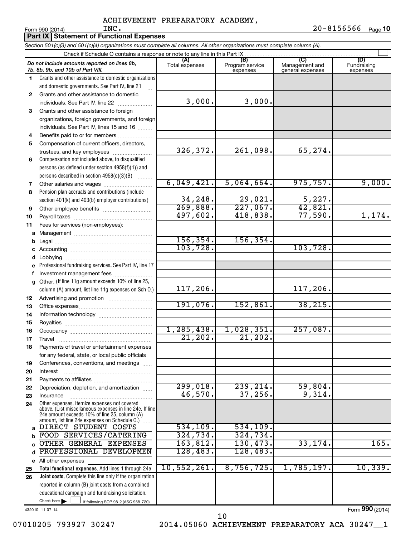$\blacksquare$ Form 990 (2014)  $\blacksquare$   $\blacksquare$   $\blacksquare$   $\blacksquare$   $\blacksquare$   $\blacksquare$   $\blacksquare$   $\blacksquare$   $\blacksquare$   $\blacksquare$   $\blacksquare$   $\blacksquare$   $\blacksquare$   $\blacksquare$   $\blacksquare$   $\blacksquare$   $\blacksquare$   $\blacksquare$   $\blacksquare$   $\blacksquare$   $\blacksquare$   $\blacksquare$   $\blacksquare$   $\blacksquare$   $\blacksquare$   $\blacksquare$   $\blacksquare$   $\blacksquare$   $\bl$ 20-8156566 Page 10 INC. 20-8156566

|          | <b>Part IX Statement of Functional Expenses</b>                                                                                                                                                                         |                       |                                    |                                           |                                |
|----------|-------------------------------------------------------------------------------------------------------------------------------------------------------------------------------------------------------------------------|-----------------------|------------------------------------|-------------------------------------------|--------------------------------|
|          | Section 501(c)(3) and 501(c)(4) organizations must complete all columns. All other organizations must complete column (A).                                                                                              |                       |                                    |                                           |                                |
|          | Check if Schedule O contains a response or note to any line in this Part IX.                                                                                                                                            |                       |                                    |                                           |                                |
|          | Do not include amounts reported on lines 6b,<br>7b, 8b, 9b, and 10b of Part VIII.                                                                                                                                       | (A)<br>Total expenses | (B)<br>Program service<br>expenses | (C)<br>Management and<br>general expenses | (D)<br>Fundraising<br>expenses |
| 1.       | Grants and other assistance to domestic organizations                                                                                                                                                                   |                       |                                    |                                           |                                |
|          | and domestic governments. See Part IV, line 21                                                                                                                                                                          |                       |                                    |                                           |                                |
| 2        | Grants and other assistance to domestic                                                                                                                                                                                 |                       |                                    |                                           |                                |
|          | individuals. See Part IV, line 22                                                                                                                                                                                       | 3,000.                | 3,000.                             |                                           |                                |
| 3        | Grants and other assistance to foreign                                                                                                                                                                                  |                       |                                    |                                           |                                |
|          | organizations, foreign governments, and foreign                                                                                                                                                                         |                       |                                    |                                           |                                |
|          | individuals. See Part IV, lines 15 and 16                                                                                                                                                                               |                       |                                    |                                           |                                |
| 4        | Benefits paid to or for members                                                                                                                                                                                         |                       |                                    |                                           |                                |
| 5        | Compensation of current officers, directors,                                                                                                                                                                            | 326,372.              | 261,098.                           | 65,274.                                   |                                |
| 6        | trustees, and key employees<br>Compensation not included above, to disqualified                                                                                                                                         |                       |                                    |                                           |                                |
|          | persons (as defined under section 4958(f)(1)) and                                                                                                                                                                       |                       |                                    |                                           |                                |
|          | persons described in section 4958(c)(3)(B)                                                                                                                                                                              |                       |                                    |                                           |                                |
| 7        | .                                                                                                                                                                                                                       | 6,049,421.            | 5,064,664.                         | 975, 757.                                 | 9,000.                         |
| 8        | Pension plan accruals and contributions (include                                                                                                                                                                        |                       |                                    |                                           |                                |
|          | section 401(k) and 403(b) employer contributions)                                                                                                                                                                       | 34,248.               | 29,021.                            | 5,227.                                    |                                |
| 9        | Other employee benefits                                                                                                                                                                                                 | 269,888.              | 227,067.                           | 42,821.                                   |                                |
| 10       |                                                                                                                                                                                                                         | 497,602.              | 418,838.                           | 77,590.                                   | 1,174.                         |
| 11       | Fees for services (non-employees):                                                                                                                                                                                      |                       |                                    |                                           |                                |
| a        |                                                                                                                                                                                                                         |                       |                                    |                                           |                                |
| b        |                                                                                                                                                                                                                         | 156, 354.             | 156, 354.                          |                                           |                                |
|          |                                                                                                                                                                                                                         | 103, 728.             |                                    | 103, 728.                                 |                                |
| d        |                                                                                                                                                                                                                         |                       |                                    |                                           |                                |
|          | Professional fundraising services. See Part IV, line 17                                                                                                                                                                 |                       |                                    |                                           |                                |
| f        | Investment management fees                                                                                                                                                                                              |                       |                                    |                                           |                                |
| a        | Other. (If line 11g amount exceeds 10% of line 25,                                                                                                                                                                      |                       |                                    |                                           |                                |
|          | column (A) amount, list line 11g expenses on Sch O.)                                                                                                                                                                    | 117,206.              |                                    | 117,206.                                  |                                |
| 12       |                                                                                                                                                                                                                         | 191,076.              | 152,861.                           | 38, 215.                                  |                                |
| 13       |                                                                                                                                                                                                                         |                       |                                    |                                           |                                |
| 14       |                                                                                                                                                                                                                         |                       |                                    |                                           |                                |
| 15       |                                                                                                                                                                                                                         | 1, 285, 438.          | 1,028,351.                         | 257,087.                                  |                                |
| 16       |                                                                                                                                                                                                                         | 21,202.               | 21,202.                            |                                           |                                |
| 17<br>18 | Travel<br>Payments of travel or entertainment expenses                                                                                                                                                                  |                       |                                    |                                           |                                |
|          | for any federal, state, or local public officials                                                                                                                                                                       |                       |                                    |                                           |                                |
| 19       | Conferences, conventions, and meetings                                                                                                                                                                                  |                       |                                    |                                           |                                |
| 20       | Interest                                                                                                                                                                                                                |                       |                                    |                                           |                                |
| 21       |                                                                                                                                                                                                                         |                       |                                    |                                           |                                |
| 22       | Depreciation, depletion, and amortization                                                                                                                                                                               | 299,018.              | 239, 214.                          | 59,804.                                   |                                |
| 23       | Insurance                                                                                                                                                                                                               | 46,570.               | 37,256.                            | 9,314.                                    |                                |
| 24       | Other expenses. Itemize expenses not covered<br>above. (List miscellaneous expenses in line 24e. If line<br>24e amount exceeds 10% of line 25, column (A)<br>amount, list line 24e expenses on Schedule $0.$ ) $\ldots$ |                       |                                    |                                           |                                |
| a        | DIRECT STUDENT COSTS                                                                                                                                                                                                    | 534, 109.             | 534, 109.                          |                                           |                                |
| b        | FOOD SERVICES/CATERING                                                                                                                                                                                                  | 324, 734.             | 324,734.                           |                                           |                                |
|          | OTHER GENERAL EXPENSES                                                                                                                                                                                                  | 163, 812.             | 130, 473.                          | 33,174.                                   | 165.                           |
| d        | PROFESSIONAL DEVELOPMEN                                                                                                                                                                                                 | 128,483.              | 128,483.                           |                                           |                                |
|          | e All other expenses                                                                                                                                                                                                    |                       |                                    |                                           |                                |
| 25       | Total functional expenses. Add lines 1 through 24e                                                                                                                                                                      | 10,552,261.           | 8,756,725.                         | 1,785,197.                                | 10,339.                        |
| 26       | Joint costs. Complete this line only if the organization                                                                                                                                                                |                       |                                    |                                           |                                |
|          | reported in column (B) joint costs from a combined                                                                                                                                                                      |                       |                                    |                                           |                                |
|          | educational campaign and fundraising solicitation.<br>Check here $\blacktriangleright$                                                                                                                                  |                       |                                    |                                           |                                |
|          | if following SOP 98-2 (ASC 958-720)                                                                                                                                                                                     |                       |                                    |                                           |                                |

432010 11-07-14

Form (2014) **990**

07010205 793927 30247 2014.05060 ACHIEVEMENT PREPARATORY ACA 30247\_1 10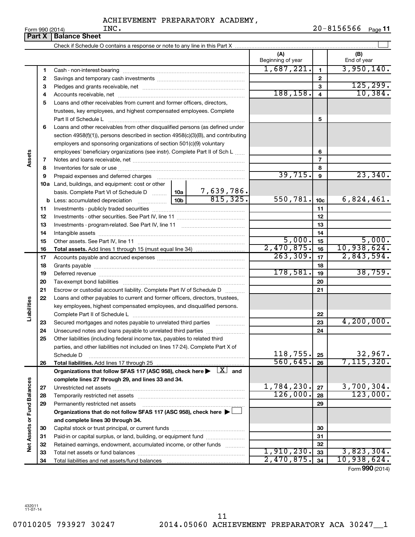|                             | Part $X$     | <b>Balance Sheet</b>                                                                                                                                                                                                           |                          |                         |                       |
|-----------------------------|--------------|--------------------------------------------------------------------------------------------------------------------------------------------------------------------------------------------------------------------------------|--------------------------|-------------------------|-----------------------|
|                             |              |                                                                                                                                                                                                                                |                          |                         |                       |
|                             |              |                                                                                                                                                                                                                                | (A)<br>Beginning of year |                         | (B)<br>End of year    |
|                             | $\mathbf{1}$ |                                                                                                                                                                                                                                | 1,687,221.               | $\mathbf{1}$            | 3,950,140.            |
|                             | $\mathbf{2}$ |                                                                                                                                                                                                                                |                          | $\mathbf{2}$            |                       |
|                             | з            |                                                                                                                                                                                                                                |                          | 3                       | 125, 299.             |
|                             | 4            |                                                                                                                                                                                                                                | 188, 158.                | $\overline{\mathbf{4}}$ | 10,384.               |
|                             | 5            | Loans and other receivables from current and former officers, directors,                                                                                                                                                       |                          |                         |                       |
|                             |              | trustees, key employees, and highest compensated employees. Complete                                                                                                                                                           |                          |                         |                       |
|                             |              |                                                                                                                                                                                                                                |                          | 5                       |                       |
|                             | 6            | Loans and other receivables from other disqualified persons (as defined under                                                                                                                                                  |                          |                         |                       |
|                             |              | section 4958(f)(1)), persons described in section 4958(c)(3)(B), and contributing                                                                                                                                              |                          |                         |                       |
|                             |              | employers and sponsoring organizations of section 501(c)(9) voluntary                                                                                                                                                          |                          |                         |                       |
|                             |              | employees' beneficiary organizations (see instr). Complete Part II of Sch L                                                                                                                                                    |                          | 6                       |                       |
| Assets                      | 7            |                                                                                                                                                                                                                                |                          | $\overline{7}$          |                       |
|                             | 8            |                                                                                                                                                                                                                                |                          | 8                       |                       |
|                             | 9            | Prepaid expenses and deferred charges [11] [11] prepaid expenses and deferred charges [11] [11] minimum and the Prepaid expenses and deferred charges [11] minimum and the Prepaid experiment of Prepaid experiment and the Pr | 39,715.                  | 9                       | 23,340.               |
|                             |              | 10a Land, buildings, and equipment: cost or other                                                                                                                                                                              |                          |                         |                       |
|                             |              | $\frac{7,639,786}{815,325}$<br>basis. Complete Part VI of Schedule D  10a                                                                                                                                                      |                          |                         |                       |
|                             |              |                                                                                                                                                                                                                                | 550,781.                 | 10 <sub>c</sub>         | 6,824,461.            |
|                             | 11           |                                                                                                                                                                                                                                |                          | 11                      |                       |
|                             | 12           |                                                                                                                                                                                                                                |                          | 12                      |                       |
|                             | 13           |                                                                                                                                                                                                                                |                          | 13                      |                       |
|                             | 14           |                                                                                                                                                                                                                                |                          | 14                      |                       |
|                             | 15           |                                                                                                                                                                                                                                | 5,000.                   | 15                      | 5,000.                |
|                             | 16           |                                                                                                                                                                                                                                | 2,470,875.               | 16                      | 10,938,624.           |
|                             | 17           |                                                                                                                                                                                                                                | 263,309.                 | 17                      | 2,843,594.            |
|                             | 18           |                                                                                                                                                                                                                                |                          | 18                      |                       |
|                             | 19           |                                                                                                                                                                                                                                | 178,581.                 | 19                      | 38,759.               |
|                             | 20           |                                                                                                                                                                                                                                |                          | 20                      |                       |
|                             | 21           | Escrow or custodial account liability. Complete Part IV of Schedule D                                                                                                                                                          |                          | 21                      |                       |
|                             | 22           | Loans and other payables to current and former officers, directors, trustees,                                                                                                                                                  |                          |                         |                       |
| Liabilities                 |              | key employees, highest compensated employees, and disqualified persons.                                                                                                                                                        |                          |                         |                       |
|                             |              |                                                                                                                                                                                                                                |                          | 22                      |                       |
|                             | 23           | Secured mortgages and notes payable to unrelated third parties                                                                                                                                                                 |                          | 23                      | 4, 200, 000.          |
|                             | 24           | Unsecured notes and loans payable to unrelated third parties                                                                                                                                                                   |                          | 24                      |                       |
|                             | 25           | Other liabilities (including federal income tax, payables to related third                                                                                                                                                     |                          |                         |                       |
|                             |              | parties, and other liabilities not included on lines 17-24). Complete Part X of                                                                                                                                                | 118,755.                 |                         |                       |
|                             |              | Schedule D<br>Total liabilities. Add lines 17 through 25                                                                                                                                                                       | 560, 645.                | 25<br>26                | 32,967.<br>7,115,320. |
|                             | 26           | Organizations that follow SFAS 117 (ASC 958), check here $\blacktriangleright \begin{array}{c} \boxed{X} \\ \end{array}$ and                                                                                                   |                          |                         |                       |
|                             |              | complete lines 27 through 29, and lines 33 and 34.                                                                                                                                                                             |                          |                         |                       |
|                             | 27           |                                                                                                                                                                                                                                | 1,784,230.               | 27                      | 3,700,304.            |
|                             | 28           | Temporarily restricted net assets                                                                                                                                                                                              | 126,000.                 | 28                      | 123,000.              |
|                             | 29           | Permanently restricted net assets                                                                                                                                                                                              |                          | 29                      |                       |
|                             |              | Organizations that do not follow SFAS 117 (ASC 958), check here ▶                                                                                                                                                              |                          |                         |                       |
|                             |              | and complete lines 30 through 34.                                                                                                                                                                                              |                          |                         |                       |
| Net Assets or Fund Balances | 30           |                                                                                                                                                                                                                                |                          | 30                      |                       |
|                             | 31           | Paid-in or capital surplus, or land, building, or equipment fund                                                                                                                                                               |                          | 31                      |                       |
|                             | 32           | Retained earnings, endowment, accumulated income, or other funds                                                                                                                                                               |                          | 32                      |                       |
|                             | 33           |                                                                                                                                                                                                                                | 1,910,230.               | 33                      | 3,823,304.            |
|                             | 34           |                                                                                                                                                                                                                                | 2,470,875.               | 34                      | 10,938,624.           |
|                             |              |                                                                                                                                                                                                                                |                          |                         | Form 990 (2014)       |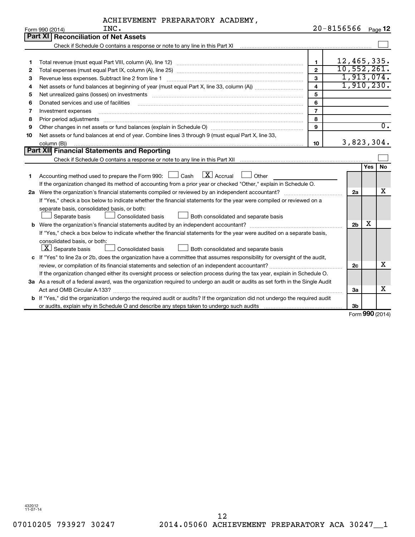| ACHIEVEMENT PREPARATORY ACADEMY, |  |  |
|----------------------------------|--|--|
|----------------------------------|--|--|

|    | INC.<br>Form 990 (2014)                                                                                                                                                                                                        | $20 - 8156566$ |                          |            | Page 12          |  |  |  |  |
|----|--------------------------------------------------------------------------------------------------------------------------------------------------------------------------------------------------------------------------------|----------------|--------------------------|------------|------------------|--|--|--|--|
|    | Part XI Reconciliation of Net Assets                                                                                                                                                                                           |                |                          |            |                  |  |  |  |  |
|    |                                                                                                                                                                                                                                |                |                          |            |                  |  |  |  |  |
|    |                                                                                                                                                                                                                                |                |                          |            |                  |  |  |  |  |
| 1  |                                                                                                                                                                                                                                | $\mathbf{1}$   | 12,465,335.              |            |                  |  |  |  |  |
| 2  |                                                                                                                                                                                                                                | $\overline{2}$ | 10,552,261.              |            |                  |  |  |  |  |
| З  | Revenue less expenses. Subtract line 2 from line 1                                                                                                                                                                             | $\mathbf{3}$   | 1,913,074.<br>1,910,230. |            |                  |  |  |  |  |
| 4  | $\overline{\mathbf{4}}$                                                                                                                                                                                                        |                |                          |            |                  |  |  |  |  |
| 5  | Net unrealized gains (losses) on investments [11] matter than the control of the state of the state of the state of the state of the state of the state of the state of the state of the state of the state of the state of th | 5              |                          |            |                  |  |  |  |  |
| 6  | Donated services and use of facilities                                                                                                                                                                                         | 6              |                          |            |                  |  |  |  |  |
| 7  | Investment expenses                                                                                                                                                                                                            | $\overline{7}$ |                          |            |                  |  |  |  |  |
| 8  |                                                                                                                                                                                                                                | 8              |                          |            |                  |  |  |  |  |
| 9  |                                                                                                                                                                                                                                | 9              |                          |            | $\overline{0}$ . |  |  |  |  |
| 10 | Net assets or fund balances at end of year. Combine lines 3 through 9 (must equal Part X, line 33,                                                                                                                             |                |                          |            |                  |  |  |  |  |
|    | column (B))                                                                                                                                                                                                                    | 10             | 3,823,304.               |            |                  |  |  |  |  |
|    | <b>Part XII Financial Statements and Reporting</b>                                                                                                                                                                             |                |                          |            |                  |  |  |  |  |
|    |                                                                                                                                                                                                                                |                |                          |            |                  |  |  |  |  |
|    |                                                                                                                                                                                                                                |                |                          | <b>Yes</b> | No               |  |  |  |  |
| 1  | $\boxed{\text{X}}$ Accrual<br>Accounting method used to prepare the Form 990: [130] Cash<br>$\Box$ Other                                                                                                                       |                |                          |            |                  |  |  |  |  |
|    | If the organization changed its method of accounting from a prior year or checked "Other," explain in Schedule O.                                                                                                              |                |                          |            |                  |  |  |  |  |
|    | 2a Were the organization's financial statements compiled or reviewed by an independent accountant?                                                                                                                             |                | 2a                       |            | X                |  |  |  |  |
|    | If "Yes," check a box below to indicate whether the financial statements for the year were compiled or reviewed on a                                                                                                           |                |                          |            |                  |  |  |  |  |
|    | separate basis, consolidated basis, or both:                                                                                                                                                                                   |                |                          |            |                  |  |  |  |  |
|    | Separate basis<br>Consolidated basis<br>Both consolidated and separate basis                                                                                                                                                   |                |                          |            |                  |  |  |  |  |
|    |                                                                                                                                                                                                                                |                | 2 <sub>b</sub>           | х          |                  |  |  |  |  |
|    | If "Yes," check a box below to indicate whether the financial statements for the year were audited on a separate basis,                                                                                                        |                |                          |            |                  |  |  |  |  |
|    | consolidated basis, or both:                                                                                                                                                                                                   |                |                          |            |                  |  |  |  |  |
|    | $ \mathbf{X} $ Separate basis<br>Consolidated basis<br>Both consolidated and separate basis                                                                                                                                    |                |                          |            |                  |  |  |  |  |
|    | c If "Yes" to line 2a or 2b, does the organization have a committee that assumes responsibility for oversight of the audit,                                                                                                    |                |                          |            |                  |  |  |  |  |
|    |                                                                                                                                                                                                                                |                | 2c                       |            | x                |  |  |  |  |
|    | If the organization changed either its oversight process or selection process during the tax year, explain in Schedule O.                                                                                                      |                |                          |            |                  |  |  |  |  |
|    | 3a As a result of a federal award, was the organization required to undergo an audit or audits as set forth in the Single Audit                                                                                                |                |                          |            |                  |  |  |  |  |
|    |                                                                                                                                                                                                                                |                | За                       |            | x                |  |  |  |  |
|    | b If "Yes," did the organization undergo the required audit or audits? If the organization did not undergo the required audit                                                                                                  |                |                          |            |                  |  |  |  |  |
|    |                                                                                                                                                                                                                                |                | 3 <sub>b</sub>           |            |                  |  |  |  |  |

Form (2014) **990**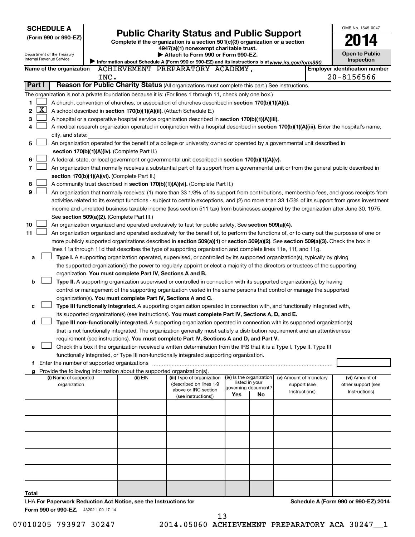|        | <b>SCHEDULE A</b>                                                |      |                                               |                                                                                                                                               |                                       |    |                        | OMB No. 1545-0047                     |
|--------|------------------------------------------------------------------|------|-----------------------------------------------|-----------------------------------------------------------------------------------------------------------------------------------------------|---------------------------------------|----|------------------------|---------------------------------------|
|        | (Form 990 or 990-EZ)                                             |      |                                               | <b>Public Charity Status and Public Support</b>                                                                                               |                                       |    |                        |                                       |
|        |                                                                  |      |                                               | Complete if the organization is a section 501(c)(3) organization or a section                                                                 |                                       |    |                        |                                       |
|        | Department of the Treasury                                       |      |                                               | 4947(a)(1) nonexempt charitable trust.<br>Attach to Form 990 or Form 990-EZ.                                                                  |                                       |    |                        | <b>Open to Public</b>                 |
|        | Internal Revenue Service                                         |      |                                               | Information about Schedule A (Form 990 or 990-EZ) and its instructions is at www.irs.gov/form990.                                             |                                       |    |                        | <b>Inspection</b>                     |
|        | Name of the organization                                         |      |                                               | ACHIEVEMENT PREPARATORY ACADEMY,                                                                                                              |                                       |    |                        | <b>Employer identification number</b> |
|        |                                                                  | INC. |                                               |                                                                                                                                               |                                       |    |                        | $20 - 8156566$                        |
| Part I |                                                                  |      |                                               | Reason for Public Charity Status (All organizations must complete this part.) See instructions.                                               |                                       |    |                        |                                       |
|        |                                                                  |      |                                               | The organization is not a private foundation because it is: (For lines 1 through 11, check only one box.)                                     |                                       |    |                        |                                       |
| 1      |                                                                  |      |                                               | A church, convention of churches, or association of churches described in section 170(b)(1)(A)(i).                                            |                                       |    |                        |                                       |
| 2      | <u>x</u>                                                         |      |                                               | A school described in section 170(b)(1)(A)(ii). (Attach Schedule E.)                                                                          |                                       |    |                        |                                       |
| 3      |                                                                  |      |                                               | A hospital or a cooperative hospital service organization described in section 170(b)(1)(A)(iii).                                             |                                       |    |                        |                                       |
| 4      |                                                                  |      |                                               | A medical research organization operated in conjunction with a hospital described in section 170(b)(1)(A)(iii). Enter the hospital's name,    |                                       |    |                        |                                       |
|        | city, and state:                                                 |      |                                               |                                                                                                                                               |                                       |    |                        |                                       |
| 5      |                                                                  |      |                                               | An organization operated for the benefit of a college or university owned or operated by a governmental unit described in                     |                                       |    |                        |                                       |
|        |                                                                  |      | section 170(b)(1)(A)(iv). (Complete Part II.) |                                                                                                                                               |                                       |    |                        |                                       |
| 6      |                                                                  |      |                                               | A federal, state, or local government or governmental unit described in section 170(b)(1)(A)(v).                                              |                                       |    |                        |                                       |
| 7      |                                                                  |      |                                               | An organization that normally receives a substantial part of its support from a governmental unit or from the general public described in     |                                       |    |                        |                                       |
|        |                                                                  |      | section 170(b)(1)(A)(vi). (Complete Part II.) |                                                                                                                                               |                                       |    |                        |                                       |
| 8      |                                                                  |      |                                               | A community trust described in section 170(b)(1)(A)(vi). (Complete Part II.)                                                                  |                                       |    |                        |                                       |
| 9      |                                                                  |      |                                               | An organization that normally receives: (1) more than 33 1/3% of its support from contributions, membership fees, and gross receipts from     |                                       |    |                        |                                       |
|        |                                                                  |      |                                               | activities related to its exempt functions - subject to certain exceptions, and (2) no more than 33 1/3% of its support from gross investment |                                       |    |                        |                                       |
|        |                                                                  |      | See section 509(a)(2). (Complete Part III.)   | income and unrelated business taxable income (less section 511 tax) from businesses acquired by the organization after June 30, 1975.         |                                       |    |                        |                                       |
| 10     |                                                                  |      |                                               | An organization organized and operated exclusively to test for public safety. See section 509(a)(4).                                          |                                       |    |                        |                                       |
| 11     |                                                                  |      |                                               | An organization organized and operated exclusively for the benefit of, to perform the functions of, or to carry out the purposes of one or    |                                       |    |                        |                                       |
|        |                                                                  |      |                                               | more publicly supported organizations described in section 509(a)(1) or section 509(a)(2). See section 509(a)(3). Check the box in            |                                       |    |                        |                                       |
|        |                                                                  |      |                                               | lines 11a through 11d that describes the type of supporting organization and complete lines 11e, 11f, and 11g.                                |                                       |    |                        |                                       |
| а      |                                                                  |      |                                               | Type I. A supporting organization operated, supervised, or controlled by its supported organization(s), typically by giving                   |                                       |    |                        |                                       |
|        |                                                                  |      |                                               | the supported organization(s) the power to regularly appoint or elect a majority of the directors or trustees of the supporting               |                                       |    |                        |                                       |
|        |                                                                  |      |                                               | organization. You must complete Part IV, Sections A and B.                                                                                    |                                       |    |                        |                                       |
| b      |                                                                  |      |                                               | Type II. A supporting organization supervised or controlled in connection with its supported organization(s), by having                       |                                       |    |                        |                                       |
|        |                                                                  |      |                                               | control or management of the supporting organization vested in the same persons that control or manage the supported                          |                                       |    |                        |                                       |
|        |                                                                  |      |                                               | organization(s). You must complete Part IV, Sections A and C.                                                                                 |                                       |    |                        |                                       |
| c      |                                                                  |      |                                               | Type III functionally integrated. A supporting organization operated in connection with, and functionally integrated with,                    |                                       |    |                        |                                       |
|        |                                                                  |      |                                               | its supported organization(s) (see instructions). You must complete Part IV, Sections A, D, and E.                                            |                                       |    |                        |                                       |
| d      |                                                                  |      |                                               | Type III non-functionally integrated. A supporting organization operated in connection with its supported organization(s)                     |                                       |    |                        |                                       |
|        |                                                                  |      |                                               | that is not functionally integrated. The organization generally must satisfy a distribution requirement and an attentiveness                  |                                       |    |                        |                                       |
|        |                                                                  |      |                                               | requirement (see instructions). You must complete Part IV, Sections A and D, and Part V.                                                      |                                       |    |                        |                                       |
| е      |                                                                  |      |                                               | Check this box if the organization received a written determination from the IRS that it is a Type I, Type II, Type III                       |                                       |    |                        |                                       |
|        |                                                                  |      |                                               | functionally integrated, or Type III non-functionally integrated supporting organization.                                                     |                                       |    |                        |                                       |
|        |                                                                  |      |                                               | Provide the following information about the supported organization(s).                                                                        |                                       |    |                        |                                       |
|        | (i) Name of supported                                            |      | (ii) EIN                                      | (iii) Type of organization                                                                                                                    | (iv) Is the organization              |    | (v) Amount of monetary | (vi) Amount of                        |
|        | organization                                                     |      |                                               | (described on lines 1-9                                                                                                                       | listed in your<br>governing document? |    | support (see           | other support (see                    |
|        |                                                                  |      |                                               | above or IRC section<br>(see instructions))                                                                                                   | Yes                                   | No | Instructions)          | Instructions)                         |
|        |                                                                  |      |                                               |                                                                                                                                               |                                       |    |                        |                                       |
|        |                                                                  |      |                                               |                                                                                                                                               |                                       |    |                        |                                       |
|        |                                                                  |      |                                               |                                                                                                                                               |                                       |    |                        |                                       |
|        |                                                                  |      |                                               |                                                                                                                                               |                                       |    |                        |                                       |
|        |                                                                  |      |                                               |                                                                                                                                               |                                       |    |                        |                                       |
|        |                                                                  |      |                                               |                                                                                                                                               |                                       |    |                        |                                       |
|        |                                                                  |      |                                               |                                                                                                                                               |                                       |    |                        |                                       |
|        |                                                                  |      |                                               |                                                                                                                                               |                                       |    |                        |                                       |
|        |                                                                  |      |                                               |                                                                                                                                               |                                       |    |                        |                                       |
|        |                                                                  |      |                                               |                                                                                                                                               |                                       |    |                        |                                       |
|        |                                                                  |      |                                               |                                                                                                                                               |                                       |    |                        |                                       |
| Total  | LHA For Paperwork Reduction Act Notice, see the Instructions for |      |                                               |                                                                                                                                               |                                       |    |                        | Schedule A (Form 990 or 990-EZ) 2014  |
|        | Form 990 or 990-EZ. 432021 09-17-14                              |      |                                               |                                                                                                                                               |                                       |    |                        |                                       |

07010205 793927 30247 2014.05060 ACHIEVEMENT PREPARATORY ACA 30247 1 13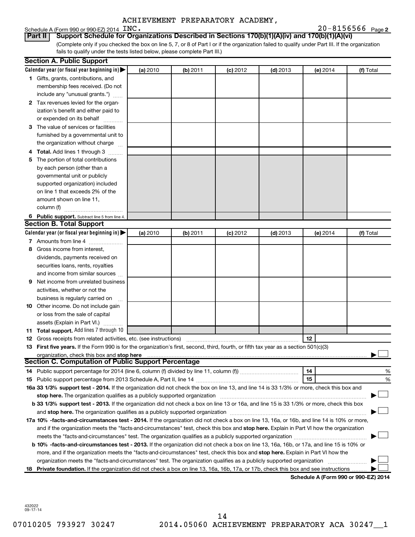## Schedule A (Form 990 or 990-EZ) 2014 INC.<br>**Part II** | Support Schedule for Orga

**2** INC. 20-8156566

(Complete only if you checked the box on line 5, 7, or 8 of Part I or if the organization failed to qualify under Part III. If the organization fails to qualify under the tests listed below, please complete Part III.) **Bupport Schedule for Organizations Described in Sections 170(b)(1)(A)(iv) and 170(b)(1)(A)(vi)** 

|    | <b>Section A. Public Support</b>                                                                                                                                                    |          |          |            |            |          |                                      |
|----|-------------------------------------------------------------------------------------------------------------------------------------------------------------------------------------|----------|----------|------------|------------|----------|--------------------------------------|
|    | Calendar year (or fiscal year beginning in)                                                                                                                                         | (a) 2010 | (b) 2011 | $(c)$ 2012 | $(d)$ 2013 | (e) 2014 | (f) Total                            |
|    | 1 Gifts, grants, contributions, and                                                                                                                                                 |          |          |            |            |          |                                      |
|    | membership fees received. (Do not                                                                                                                                                   |          |          |            |            |          |                                      |
|    | include any "unusual grants.")                                                                                                                                                      |          |          |            |            |          |                                      |
|    | 2 Tax revenues levied for the organ-                                                                                                                                                |          |          |            |            |          |                                      |
|    | ization's benefit and either paid to                                                                                                                                                |          |          |            |            |          |                                      |
|    | or expended on its behalf                                                                                                                                                           |          |          |            |            |          |                                      |
|    | 3 The value of services or facilities                                                                                                                                               |          |          |            |            |          |                                      |
|    | furnished by a governmental unit to                                                                                                                                                 |          |          |            |            |          |                                      |
|    | the organization without charge                                                                                                                                                     |          |          |            |            |          |                                      |
|    | 4 Total. Add lines 1 through 3                                                                                                                                                      |          |          |            |            |          |                                      |
|    | 5 The portion of total contributions                                                                                                                                                |          |          |            |            |          |                                      |
|    | by each person (other than a                                                                                                                                                        |          |          |            |            |          |                                      |
|    | governmental unit or publicly                                                                                                                                                       |          |          |            |            |          |                                      |
|    | supported organization) included                                                                                                                                                    |          |          |            |            |          |                                      |
|    | on line 1 that exceeds 2% of the                                                                                                                                                    |          |          |            |            |          |                                      |
|    | amount shown on line 11,                                                                                                                                                            |          |          |            |            |          |                                      |
|    | column (f)                                                                                                                                                                          |          |          |            |            |          |                                      |
|    | 6 Public support. Subtract line 5 from line 4.                                                                                                                                      |          |          |            |            |          |                                      |
|    | <b>Section B. Total Support</b>                                                                                                                                                     |          |          |            |            |          |                                      |
|    | Calendar year (or fiscal year beginning in)                                                                                                                                         | (a) 2010 | (b) 2011 | $(c)$ 2012 | $(d)$ 2013 | (e) 2014 | (f) Total                            |
|    | 7 Amounts from line 4                                                                                                                                                               |          |          |            |            |          |                                      |
|    | 8 Gross income from interest,                                                                                                                                                       |          |          |            |            |          |                                      |
|    | dividends, payments received on                                                                                                                                                     |          |          |            |            |          |                                      |
|    | securities loans, rents, royalties                                                                                                                                                  |          |          |            |            |          |                                      |
|    | and income from similar sources                                                                                                                                                     |          |          |            |            |          |                                      |
| 9  | Net income from unrelated business                                                                                                                                                  |          |          |            |            |          |                                      |
|    | activities, whether or not the                                                                                                                                                      |          |          |            |            |          |                                      |
|    | business is regularly carried on                                                                                                                                                    |          |          |            |            |          |                                      |
|    | 10 Other income. Do not include gain                                                                                                                                                |          |          |            |            |          |                                      |
|    | or loss from the sale of capital                                                                                                                                                    |          |          |            |            |          |                                      |
|    | assets (Explain in Part VI.)                                                                                                                                                        |          |          |            |            |          |                                      |
|    | 11 Total support. Add lines 7 through 10                                                                                                                                            |          |          |            |            |          |                                      |
|    | <b>12</b> Gross receipts from related activities, etc. (see instructions)                                                                                                           |          |          |            |            | 12       |                                      |
|    | 13 First five years. If the Form 990 is for the organization's first, second, third, fourth, or fifth tax year as a section 501(c)(3)<br>organization, check this box and stop here |          |          |            |            |          |                                      |
|    | <b>Section C. Computation of Public Support Percentage</b>                                                                                                                          |          |          |            |            |          |                                      |
|    |                                                                                                                                                                                     |          |          |            |            | 14       | %                                    |
|    |                                                                                                                                                                                     |          |          |            |            | 15       | %                                    |
|    | 16a 33 1/3% support test - 2014. If the organization did not check the box on line 13, and line 14 is 33 1/3% or more, check this box and                                           |          |          |            |            |          |                                      |
|    | stop here. The organization qualifies as a publicly supported organization                                                                                                          |          |          |            |            |          |                                      |
|    | b 33 1/3% support test - 2013. If the organization did not check a box on line 13 or 16a, and line 15 is 33 1/3% or more, check this box                                            |          |          |            |            |          |                                      |
|    |                                                                                                                                                                                     |          |          |            |            |          |                                      |
|    | 17a 10% -facts-and-circumstances test - 2014. If the organization did not check a box on line 13, 16a, or 16b, and line 14 is 10% or more,                                          |          |          |            |            |          |                                      |
|    | and if the organization meets the "facts-and-circumstances" test, check this box and stop here. Explain in Part VI how the organization                                             |          |          |            |            |          |                                      |
|    | meets the "facts-and-circumstances" test. The organization qualifies as a publicly supported organization                                                                           |          |          |            |            |          |                                      |
|    | b 10% -facts-and-circumstances test - 2013. If the organization did not check a box on line 13, 16a, 16b, or 17a, and line 15 is 10% or                                             |          |          |            |            |          |                                      |
|    | more, and if the organization meets the "facts-and-circumstances" test, check this box and stop here. Explain in Part VI how the                                                    |          |          |            |            |          |                                      |
|    | organization meets the "facts-and-circumstances" test. The organization qualifies as a publicly supported organization                                                              |          |          |            |            |          |                                      |
| 18 | Private foundation. If the organization did not check a box on line 13, 16a, 16b, 17a, or 17b, check this box and see instructions                                                  |          |          |            |            |          |                                      |
|    |                                                                                                                                                                                     |          |          |            |            |          | Schedule A (Form 990 or 990-EZ) 2014 |

432022 09-17-14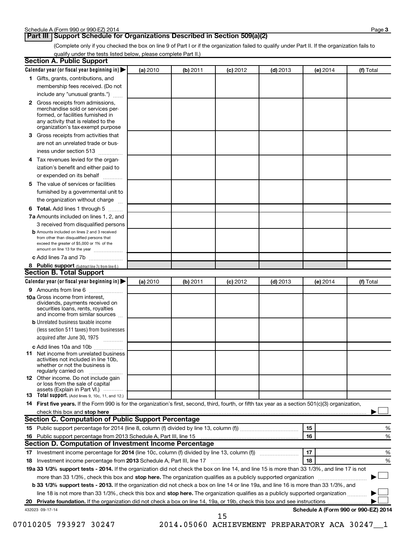### **Part III Support Schedule for Organizations Described in Section 509(a)(2)**

(Complete only if you checked the box on line 9 of Part I or if the organization failed to qualify under Part II. If the organization fails to qualify under the tests listed below, please complete Part II.)

| <b>Section A. Public Support</b>                                                                                                                                                         |          |          |            |            |                                      |           |
|------------------------------------------------------------------------------------------------------------------------------------------------------------------------------------------|----------|----------|------------|------------|--------------------------------------|-----------|
| Calendar year (or fiscal year beginning in)                                                                                                                                              | (a) 2010 | (b) 2011 | $(c)$ 2012 | $(d)$ 2013 | (e) 2014                             | (f) Total |
| 1 Gifts, grants, contributions, and                                                                                                                                                      |          |          |            |            |                                      |           |
| membership fees received. (Do not                                                                                                                                                        |          |          |            |            |                                      |           |
| include any "unusual grants.")                                                                                                                                                           |          |          |            |            |                                      |           |
| 2 Gross receipts from admissions,<br>merchandise sold or services per-<br>formed, or facilities furnished in<br>any activity that is related to the<br>organization's tax-exempt purpose |          |          |            |            |                                      |           |
| 3 Gross receipts from activities that                                                                                                                                                    |          |          |            |            |                                      |           |
| are not an unrelated trade or bus-                                                                                                                                                       |          |          |            |            |                                      |           |
| iness under section 513                                                                                                                                                                  |          |          |            |            |                                      |           |
| 4 Tax revenues levied for the organ-                                                                                                                                                     |          |          |            |            |                                      |           |
| ization's benefit and either paid to                                                                                                                                                     |          |          |            |            |                                      |           |
| or expended on its behalf<br>.                                                                                                                                                           |          |          |            |            |                                      |           |
| 5 The value of services or facilities                                                                                                                                                    |          |          |            |            |                                      |           |
| furnished by a governmental unit to                                                                                                                                                      |          |          |            |            |                                      |           |
| the organization without charge                                                                                                                                                          |          |          |            |            |                                      |           |
| 6 Total. Add lines 1 through 5                                                                                                                                                           |          |          |            |            |                                      |           |
| 7a Amounts included on lines 1, 2, and                                                                                                                                                   |          |          |            |            |                                      |           |
| 3 received from disqualified persons                                                                                                                                                     |          |          |            |            |                                      |           |
| <b>b</b> Amounts included on lines 2 and 3 received<br>from other than disqualified persons that<br>exceed the greater of \$5,000 or 1% of the<br>amount on line 13 for the year         |          |          |            |            |                                      |           |
| c Add lines 7a and 7b                                                                                                                                                                    |          |          |            |            |                                      |           |
| 8 Public support (Subtract line 7c from line 6.)                                                                                                                                         |          |          |            |            |                                      |           |
| <b>Section B. Total Support</b>                                                                                                                                                          |          |          |            |            |                                      |           |
| Calendar year (or fiscal year beginning in)                                                                                                                                              | (a) 2010 | (b) 2011 | $(c)$ 2012 | $(d)$ 2013 | (e) 2014                             | (f) Total |
| 9 Amounts from line 6                                                                                                                                                                    |          |          |            |            |                                      |           |
| <b>10a</b> Gross income from interest,<br>dividends, payments received on<br>securities loans, rents, royalties<br>and income from similar sources                                       |          |          |            |            |                                      |           |
| <b>b</b> Unrelated business taxable income<br>(less section 511 taxes) from businesses                                                                                                   |          |          |            |            |                                      |           |
| acquired after June 30, 1975<br>$\overline{\phantom{a}}$                                                                                                                                 |          |          |            |            |                                      |           |
| c Add lines 10a and 10b                                                                                                                                                                  |          |          |            |            |                                      |           |
| <b>11</b> Net income from unrelated business<br>activities not included in line 10b.<br>whether or not the business is<br>regularly carried on                                           |          |          |            |            |                                      |           |
| 12 Other income. Do not include gain<br>or loss from the sale of capital<br>assets (Explain in Part VI.)                                                                                 |          |          |            |            |                                      |           |
| <b>13</b> Total support. (Add lines 9, 10c, 11, and 12.)                                                                                                                                 |          |          |            |            |                                      |           |
| 14 First five years. If the Form 990 is for the organization's first, second, third, fourth, or fifth tax year as a section 501(c)(3) organization,                                      |          |          |            |            |                                      |           |
| check this box and stop here                                                                                                                                                             |          |          |            |            |                                      |           |
| <b>Section C. Computation of Public Support Percentage</b>                                                                                                                               |          |          |            |            |                                      |           |
|                                                                                                                                                                                          |          |          |            |            | 15                                   | %         |
|                                                                                                                                                                                          |          |          |            |            | 16                                   | %         |
| Section D. Computation of Investment Income Percentage                                                                                                                                   |          |          |            |            |                                      |           |
|                                                                                                                                                                                          |          |          |            |            | 17                                   | %         |
| 18 Investment income percentage from 2013 Schedule A, Part III, line 17                                                                                                                  |          |          |            |            | 18                                   | %         |
| 19a 33 1/3% support tests - 2014. If the organization did not check the box on line 14, and line 15 is more than 33 1/3%, and line 17 is not                                             |          |          |            |            |                                      |           |
| more than 33 1/3%, check this box and stop here. The organization qualifies as a publicly supported organization                                                                         |          |          |            |            |                                      |           |
| b 33 1/3% support tests - 2013. If the organization did not check a box on line 14 or line 19a, and line 16 is more than 33 1/3%, and                                                    |          |          |            |            |                                      |           |
| line 18 is not more than 33 1/3%, check this box and stop here. The organization qualifies as a publicly supported organization <i></i>                                                  |          |          |            |            |                                      |           |
|                                                                                                                                                                                          |          |          |            |            |                                      |           |
| 432023 09-17-14                                                                                                                                                                          |          |          | 15         |            | Schedule A (Form 990 or 990-EZ) 2014 |           |

07010205 793927 30247 2014.05060 ACHIEVEMENT PREPARATORY ACA 30247 1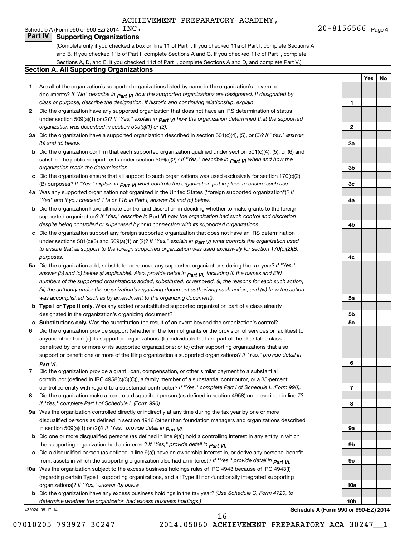**4** INC. **20** - 8156566 Page 4 Schedule A (Form 990 or 990-EZ) 2014  $~\rm LNC$ .

(Complete only if you checked a box on line 11 of Part I. If you checked 11a of Part I, complete Sections A and B. If you checked 11b of Part I, complete Sections A and C. If you checked 11c of Part I, complete Sections A, D, and E. If you checked 11d of Part I, complete Sections A and D, and complete Part V.)

### **Section A. All Supporting Organizations**

- **1** Are all of the organization's supported organizations listed by name in the organization's governing documents? If "No" describe in  $_{\mathsf{Part}}$   $_{\mathsf{V}}$  how the supported organizations are designated. If designated by *class or purpose, describe the designation. If historic and continuing relationship, explain.*
- **2** Did the organization have any supported organization that does not have an IRS determination of status under section 509(a)(1) or (2)? If "Yes," explain in  $_{\sf Part}$   $_{\sf VI}$  how the organization determined that the supported *organization was described in section 509(a)(1) or (2).*
- **3a** Did the organization have a supported organization described in section 501(c)(4), (5), or (6)? If "Yes," answer *(b) and (c) below.*
- **b** Did the organization confirm that each supported organization qualified under section 501(c)(4), (5), or (6) and satisfied the public support tests under section 509(a)(2)? If "Yes," describe in  $_{\rm Part}$   $_{\rm VI}$  when and how the *organization made the determination.*
- **c** Did the organization ensure that all support to such organizations was used exclusively for section 170(c)(2) (B) purposes? If "Yes," explain in  $_{\mathsf{Part}}$   $_{\mathsf{V}}$  what controls the organization put in place to ensure such use.
- **4 a** *If* Was any supported organization not organized in the United States ("foreign supported organization")? *"Yes" and if you checked 11a or 11b in Part I, answer (b) and (c) below.*
- **b** Did the organization have ultimate control and discretion in deciding whether to make grants to the foreign supported organization? If "Yes," describe in Part VI how the organization had such control and discretion *despite being controlled or supervised by or in connection with its supported organizations.*
- **c** Did the organization support any foreign supported organization that does not have an IRS determination under sections 501(c)(3) and 509(a)(1) or (2)? If "Yes," ex*plain in*  $_{\sf Part}$  *v*J what controls the organization used *to ensure that all support to the foreign supported organization was used exclusively for section 170(c)(2)(B) purposes.*
- **5a** Did the organization add, substitute, or remove any supported organizations during the tax year? If "Yes," answer (b) and (c) below (if applicable). Also, provide detail in  $_{\mathsf{Part}}$   $_{\mathsf{V{\mathsf{I}}}}$ , including (i) the names and EIN *numbers of the supported organizations added, substituted, or removed, (ii) the reasons for each such action, (iii) the authority under the organization's organizing document authorizing such action, and (iv) how the action was accomplished (such as by amendment to the organizing document).*
- **b** Type I or Type II only. Was any added or substituted supported organization part of a class already designated in the organization's organizing document?
- **c Substitutions only.**  Was the substitution the result of an event beyond the organization's control?
- **6** Did the organization provide support (whether in the form of grants or the provision of services or facilities) to support or benefit one or more of the filing organization's supported organizations? If "Yes," provide detail in anyone other than (a) its supported organizations; (b) individuals that are part of the charitable class benefited by one or more of its supported organizations; or (c) other supporting organizations that also *Part VI.*
- **7** Did the organization provide a grant, loan, compensation, or other similar payment to a substantial controlled entity with regard to a substantial contributor? If "Yes," complete Part I of Schedule L (Form 990). contributor (defined in IRC 4958(c)(3)(C)), a family member of a substantial contributor, or a 35-percent
- **8** Did the organization make a loan to a disqualified person (as defined in section 4958) not described in line 7? *If "Yes," complete Part I of Schedule L (Form 990).*
- **9 a** Was the organization controlled directly or indirectly at any time during the tax year by one or more *If "Yes," provide detail in*  in section 509(a)(1) or (2))? *Part VI.* disqualified persons as defined in section 4946 (other than foundation managers and organizations described
- **b** Did one or more disqualified persons (as defined in line 9(a)) hold a controlling interest in any entity in which  *If "Yes," provide detail in*  the supporting organization had an interest? *Part VI.*
- **c** Did a disqualified person (as defined in line 9(a)) have an ownership interest in, or derive any personal benefit from, assets in which the supporting organization also had an interest? If "Yes," *provide detail in Part VI.*
- **10 a** Was the organization subject to the excess business holdings rules of IRC 4943 because of IRC 4943(f)  *If "Yes," answer (b) below.* organizations)? (regarding certain Type II supporting organizations, and all Type III non-functionally integrated supporting
- **b** Did the organization have any excess business holdings in the tax year? (Use Schedule C, Form 4720, to *determine whether the organization had excess business holdings.)*

432024 09-17-14

**1 2 3a 3b 3c 4a 4b 4c 5a 5b 5c 6 7 8 9a 9b**

**Yes No**

**Schedule A (Form 990 or 990-EZ) 2014**

**9c**

**10a**

**10b**

07010205 793927 30247 2014.05060 ACHIEVEMENT PREPARATORY ACA 30247 1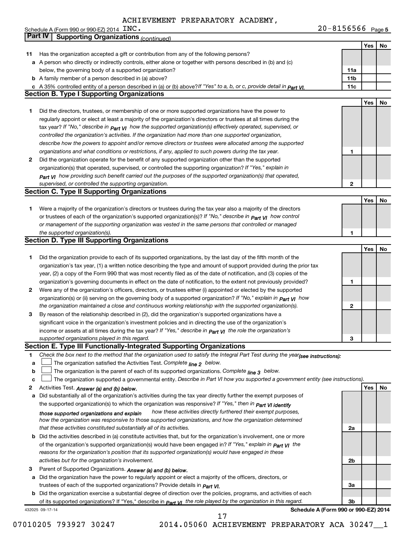|        | Schedule A (Form 990 or 990-EZ) 2014 INC.                                                                                                                                                                                     | $20 - 8156566$ Page 5                |              |            |    |
|--------|-------------------------------------------------------------------------------------------------------------------------------------------------------------------------------------------------------------------------------|--------------------------------------|--------------|------------|----|
|        | <b>Part IV</b><br><b>Supporting Organizations (continued)</b>                                                                                                                                                                 |                                      |              |            |    |
|        |                                                                                                                                                                                                                               |                                      |              | Yes        | No |
| 11     | Has the organization accepted a gift or contribution from any of the following persons?                                                                                                                                       |                                      |              |            |    |
|        | a A person who directly or indirectly controls, either alone or together with persons described in (b) and (c)                                                                                                                |                                      |              |            |    |
|        | below, the governing body of a supported organization?                                                                                                                                                                        |                                      | 11a          |            |    |
|        | <b>b</b> A family member of a person described in (a) above?                                                                                                                                                                  |                                      | 11b          |            |    |
|        | c A 35% controlled entity of a person described in (a) or (b) above? If "Yes" to a, b, or c, provide detail in part VI.                                                                                                       |                                      | 11c          |            |    |
|        | <b>Section B. Type I Supporting Organizations</b>                                                                                                                                                                             |                                      |              |            |    |
|        |                                                                                                                                                                                                                               |                                      |              | Yes        | No |
| 1      | Did the directors, trustees, or membership of one or more supported organizations have the power to                                                                                                                           |                                      |              |            |    |
|        | regularly appoint or elect at least a majority of the organization's directors or trustees at all times during the                                                                                                            |                                      |              |            |    |
|        | tax year? If "No," describe in $p_{art}$ VI how the supported organization(s) effectively operated, supervised, or<br>controlled the organization's activities. If the organization had more than one supported organization, |                                      |              |            |    |
|        | describe how the powers to appoint and/or remove directors or trustees were allocated among the supported                                                                                                                     |                                      |              |            |    |
|        | organizations and what conditions or restrictions, if any, applied to such powers during the tax year.                                                                                                                        |                                      | 1            |            |    |
| 2      | Did the organization operate for the benefit of any supported organization other than the supported                                                                                                                           |                                      |              |            |    |
|        | organization(s) that operated, supervised, or controlled the supporting organization? If "Yes," explain in                                                                                                                    |                                      |              |            |    |
|        | $_{Part}$ v <sub>I</sub> how providing such benefit carried out the purposes of the supported organization(s) that operated,                                                                                                  |                                      |              |            |    |
|        | supervised, or controlled the supporting organization.                                                                                                                                                                        |                                      | 2            |            |    |
|        | <b>Section C. Type II Supporting Organizations</b>                                                                                                                                                                            |                                      |              |            |    |
|        |                                                                                                                                                                                                                               |                                      |              | Yes        | No |
| 1      | Were a majority of the organization's directors or trustees during the tax year also a majority of the directors                                                                                                              |                                      |              |            |    |
|        | or trustees of each of the organization's supported organization(s)? If "No," describe in <b>Part VI</b> how control                                                                                                          |                                      |              |            |    |
|        | or management of the supporting organization was vested in the same persons that controlled or managed                                                                                                                        |                                      |              |            |    |
|        | the supported organization(s).                                                                                                                                                                                                |                                      | 1            |            |    |
|        | <b>Section D. Type III Supporting Organizations</b>                                                                                                                                                                           |                                      |              |            |    |
|        |                                                                                                                                                                                                                               |                                      |              | Yes        | No |
| 1      | Did the organization provide to each of its supported organizations, by the last day of the fifth month of the                                                                                                                |                                      |              |            |    |
|        | organization's tax year, (1) a written notice describing the type and amount of support provided during the prior tax                                                                                                         |                                      |              |            |    |
|        | year, (2) a copy of the Form 990 that was most recently filed as of the date of notification, and (3) copies of the                                                                                                           |                                      |              |            |    |
|        | organization's governing documents in effect on the date of notification, to the extent not previously provided?                                                                                                              |                                      | 1            |            |    |
| 2      | Were any of the organization's officers, directors, or trustees either (i) appointed or elected by the supported                                                                                                              |                                      |              |            |    |
|        | organization(s) or (ii) serving on the governing body of a supported organization? If "No," explain in part VI how                                                                                                            |                                      |              |            |    |
|        | the organization maintained a close and continuous working relationship with the supported organization(s).                                                                                                                   |                                      | $\mathbf{2}$ |            |    |
| з      | By reason of the relationship described in (2), did the organization's supported organizations have a                                                                                                                         |                                      |              |            |    |
|        | significant voice in the organization's investment policies and in directing the use of the organization's                                                                                                                    |                                      |              |            |    |
|        | income or assets at all times during the tax year? If "Yes," describe in part VI the role the organization's                                                                                                                  |                                      |              |            |    |
|        | supported organizations played in this regard.                                                                                                                                                                                |                                      | З            |            |    |
|        | Section E. Type III Functionally-Integrated Supporting Organizations                                                                                                                                                          |                                      |              |            |    |
| 1      | Check the box next to the method that the organization used to satisfy the Integral Part Test during the year(see instructions):                                                                                              |                                      |              |            |    |
| a<br>b | The organization satisfied the Activities Test. Complete line 2 below.<br>The organization is the parent of each of its supported organizations. Complete line 3 below.                                                       |                                      |              |            |    |
| c      | The organization supported a governmental entity. Describe in Part VI how you supported a government entity (see instructions).                                                                                               |                                      |              |            |    |
| 2      | Activities Test. Answer (a) and (b) below.                                                                                                                                                                                    |                                      |              | <b>Yes</b> | No |
| а      | Did substantially all of the organization's activities during the tax year directly further the exempt purposes of                                                                                                            |                                      |              |            |    |
|        | the supported organization(s) to which the organization was responsive? If "Yes," then in Part VI identify                                                                                                                    |                                      |              |            |    |
|        | how these activities directly furthered their exempt purposes,<br>those supported organizations and explain                                                                                                                   |                                      |              |            |    |
|        | how the organization was responsive to those supported organizations, and how the organization determined                                                                                                                     |                                      |              |            |    |
|        | that these activities constituted substantially all of its activities.                                                                                                                                                        |                                      | 2a           |            |    |
|        | <b>b</b> Did the activities described in (a) constitute activities that, but for the organization's involvement, one or more                                                                                                  |                                      |              |            |    |
|        | of the organization's supported organization(s) would have been engaged in? If "Yes," explain in <b>Part VI</b> the                                                                                                           |                                      |              |            |    |
|        | reasons for the organization's position that its supported organization(s) would have engaged in these                                                                                                                        |                                      |              |            |    |
|        | activities but for the organization's involvement.                                                                                                                                                                            |                                      | 2b           |            |    |
| з      | Parent of Supported Organizations. Answer (a) and (b) below.                                                                                                                                                                  |                                      |              |            |    |
| а      | Did the organization have the power to regularly appoint or elect a majority of the officers, directors, or                                                                                                                   |                                      |              |            |    |
|        | trustees of each of the supported organizations? Provide details in <i>Part VI.</i>                                                                                                                                           |                                      | За           |            |    |
|        | <b>b</b> Did the organization exercise a substantial degree of direction over the policies, programs, and activities of each                                                                                                  |                                      |              |            |    |
|        | of its supported organizations? If "Yes," describe in <b>Part VI</b> the role played by the organization in this regard.                                                                                                      |                                      | Зb           |            |    |
|        | 432025 09-17-14                                                                                                                                                                                                               | Schedule A (Form 990 or 990-EZ) 2014 |              |            |    |
|        | 17                                                                                                                                                                                                                            |                                      |              |            |    |

07010205 793927 30247 2014.05060 ACHIEVEMENT PREPARATORY ACA 30247\_1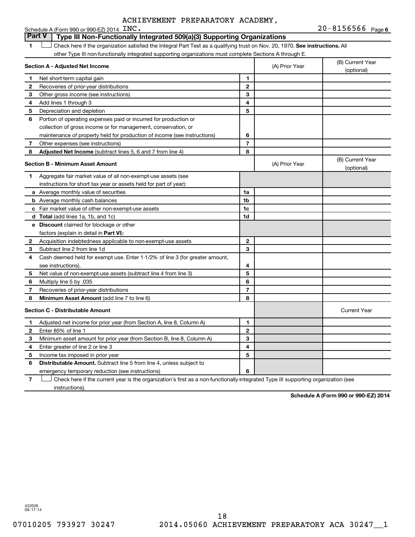|              | Schedule A (Form 990 or 990-EZ) 2014 INC.                                                                                     |                |                | $20 - 8156566$ Page 6          |
|--------------|-------------------------------------------------------------------------------------------------------------------------------|----------------|----------------|--------------------------------|
|              | <b>Part V</b><br>Type III Non-Functionally Integrated 509(a)(3) Supporting Organizations                                      |                |                |                                |
| 1            | Check here if the organization satisfied the Integral Part Test as a qualifying trust on Nov. 20, 1970. See instructions. All |                |                |                                |
|              | other Type III non-functionally integrated supporting organizations must complete Sections A through E.                       |                |                |                                |
|              | Section A - Adjusted Net Income                                                                                               |                | (A) Prior Year | (B) Current Year               |
|              |                                                                                                                               |                |                | (optional)                     |
| 1            | Net short-term capital gain                                                                                                   | 1              |                |                                |
| 2            | Recoveries of prior-year distributions                                                                                        | $\overline{2}$ |                |                                |
| З            | Other gross income (see instructions)                                                                                         | 3              |                |                                |
| 4            | Add lines 1 through 3                                                                                                         | 4              |                |                                |
| 5            | Depreciation and depletion                                                                                                    | 5              |                |                                |
| 6            | Portion of operating expenses paid or incurred for production or                                                              |                |                |                                |
|              | collection of gross income or for management, conservation, or                                                                |                |                |                                |
|              | maintenance of property held for production of income (see instructions)                                                      | 6              |                |                                |
| 7            | Other expenses (see instructions)                                                                                             | $\overline{7}$ |                |                                |
| 8            | Adjusted Net Income (subtract lines 5, 6 and 7 from line 4)                                                                   | 8              |                |                                |
|              | <b>Section B - Minimum Asset Amount</b>                                                                                       |                | (A) Prior Year | (B) Current Year<br>(optional) |
| 1            | Aggregate fair market value of all non-exempt-use assets (see                                                                 |                |                |                                |
|              | instructions for short tax year or assets held for part of year):                                                             |                |                |                                |
|              | a Average monthly value of securities                                                                                         | 1a             |                |                                |
|              | <b>b</b> Average monthly cash balances                                                                                        | 1 <sub>b</sub> |                |                                |
|              | <b>c</b> Fair market value of other non-exempt-use assets                                                                     | 1c             |                |                                |
|              | d Total (add lines 1a, 1b, and 1c)                                                                                            | 1 <sub>d</sub> |                |                                |
|              | e Discount claimed for blockage or other                                                                                      |                |                |                                |
|              | factors (explain in detail in <b>Part VI</b> ):                                                                               |                |                |                                |
| $\mathbf{2}$ | Acquisition indebtedness applicable to non-exempt-use assets                                                                  | $\mathbf{2}$   |                |                                |
| 3            | Subtract line 2 from line 1d                                                                                                  | 3              |                |                                |
| 4            | Cash deemed held for exempt use. Enter 1-1/2% of line 3 (for greater amount,                                                  |                |                |                                |
|              | see instructions).                                                                                                            | 4              |                |                                |
| 5            | Net value of non-exempt-use assets (subtract line 4 from line 3)                                                              | 5              |                |                                |
| 6            | 035. Multiply line 5 by                                                                                                       | 6              |                |                                |
| 7            | Recoveries of prior-year distributions                                                                                        | $\overline{7}$ |                |                                |
| 8            | Minimum Asset Amount (add line 7 to line 6)                                                                                   | 8              |                |                                |
|              | <b>Section C - Distributable Amount</b>                                                                                       |                |                | <b>Current Year</b>            |
| 1            | Adjusted net income for prior year (from Section A, line 8, Column A)                                                         | 1              |                |                                |
| 2            | Enter 85% of line 1                                                                                                           | $\mathbf{2}$   |                |                                |
| 3            | Minimum asset amount for prior year (from Section B, line 8, Column A)                                                        | 3              |                |                                |
| 4            | Enter greater of line 2 or line 3                                                                                             | 4              |                |                                |
| 5            | Income tax imposed in prior year                                                                                              | 5              |                |                                |
| 6            | <b>Distributable Amount.</b> Subtract line 5 from line 4, unless subject to                                                   |                |                |                                |
|              | emergency temporary reduction (see instructions)                                                                              | 6              |                |                                |

**7** Let Check here if the current year is the organization's first as a non-functionally-integrated Type III supporting organization (see instructions).

**Schedule A (Form 990 or 990-EZ) 2014**

432026 09-17-14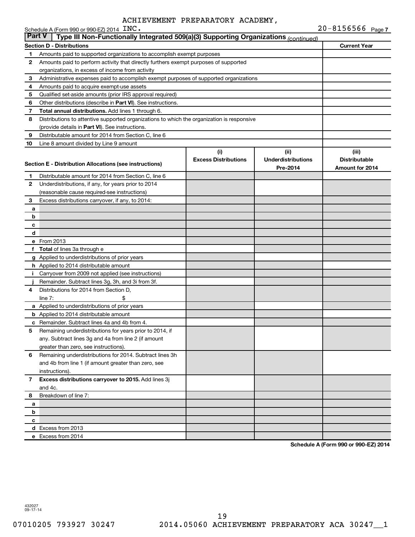|               | Schedule A (Form 990 or 990-EZ) 2014 $\text{INC}$ .                                        |                             |                    | $20 - 8156566$ Page 7 |
|---------------|--------------------------------------------------------------------------------------------|-----------------------------|--------------------|-----------------------|
| <b>Part V</b> | Type III Non-Functionally Integrated 509(a)(3) Supporting Organizations (continued)        |                             |                    |                       |
|               | <b>Section D - Distributions</b>                                                           |                             |                    | <b>Current Year</b>   |
| 1             | Amounts paid to supported organizations to accomplish exempt purposes                      |                             |                    |                       |
| 2             | Amounts paid to perform activity that directly furthers exempt purposes of supported       |                             |                    |                       |
|               | organizations, in excess of income from activity                                           |                             |                    |                       |
| 3             | Administrative expenses paid to accomplish exempt purposes of supported organizations      |                             |                    |                       |
| 4             | Amounts paid to acquire exempt-use assets                                                  |                             |                    |                       |
| 5             | Qualified set-aside amounts (prior IRS approval required)                                  |                             |                    |                       |
| 6             | Other distributions (describe in Part VI). See instructions.                               |                             |                    |                       |
| 7             | Total annual distributions. Add lines 1 through 6.                                         |                             |                    |                       |
| 8             | Distributions to attentive supported organizations to which the organization is responsive |                             |                    |                       |
|               | (provide details in Part VI). See instructions.                                            |                             |                    |                       |
| 9             | Distributable amount for 2014 from Section C, line 6                                       |                             |                    |                       |
| 10            | Line 8 amount divided by Line 9 amount                                                     |                             |                    |                       |
|               |                                                                                            | (i)                         | (ii)               | (iii)                 |
|               |                                                                                            | <b>Excess Distributions</b> | Underdistributions | <b>Distributable</b>  |
|               | Section E - Distribution Allocations (see instructions)                                    |                             | Pre-2014           | Amount for 2014       |
| 1             | Distributable amount for 2014 from Section C, line 6                                       |                             |                    |                       |
| 2             | Underdistributions, if any, for years prior to 2014                                        |                             |                    |                       |
|               | (reasonable cause required-see instructions)                                               |                             |                    |                       |
| 3             | Excess distributions carryover, if any, to 2014:                                           |                             |                    |                       |
| a             |                                                                                            |                             |                    |                       |
| b             |                                                                                            |                             |                    |                       |
| c             |                                                                                            |                             |                    |                       |
| d             |                                                                                            |                             |                    |                       |
|               | e From 2013                                                                                |                             |                    |                       |
|               | f Total of lines 3a through e                                                              |                             |                    |                       |
|               | g Applied to underdistributions of prior years                                             |                             |                    |                       |
|               | <b>h</b> Applied to 2014 distributable amount                                              |                             |                    |                       |
|               | i Carryover from 2009 not applied (see instructions)                                       |                             |                    |                       |
|               | Remainder. Subtract lines 3g, 3h, and 3i from 3f.                                          |                             |                    |                       |
| 4             | Distributions for 2014 from Section D,                                                     |                             |                    |                       |
|               | line $7:$<br>\$                                                                            |                             |                    |                       |
|               | a Applied to underdistributions of prior years                                             |                             |                    |                       |
|               | <b>b</b> Applied to 2014 distributable amount                                              |                             |                    |                       |
|               | <b>c</b> Remainder. Subtract lines 4a and 4b from 4.                                       |                             |                    |                       |
| 5             | Remaining underdistributions for years prior to 2014, if                                   |                             |                    |                       |
|               | any. Subtract lines 3g and 4a from line 2 (if amount                                       |                             |                    |                       |
|               | greater than zero, see instructions).                                                      |                             |                    |                       |
| 6             | Remaining underdistributions for 2014. Subtract lines 3h                                   |                             |                    |                       |
|               | and 4b from line 1 (if amount greater than zero, see                                       |                             |                    |                       |
|               | instructions).                                                                             |                             |                    |                       |
| 7             | Excess distributions carryover to 2015. Add lines 3j                                       |                             |                    |                       |
|               | and 4c.                                                                                    |                             |                    |                       |
| 8             | Breakdown of line 7:                                                                       |                             |                    |                       |
| a             |                                                                                            |                             |                    |                       |
| b             |                                                                                            |                             |                    |                       |
| c             |                                                                                            |                             |                    |                       |
|               | d Excess from 2013                                                                         |                             |                    |                       |
|               | e Excess from 2014                                                                         |                             |                    |                       |

**Schedule A (Form 990 or 990-EZ) 2014**

432027 09-17-14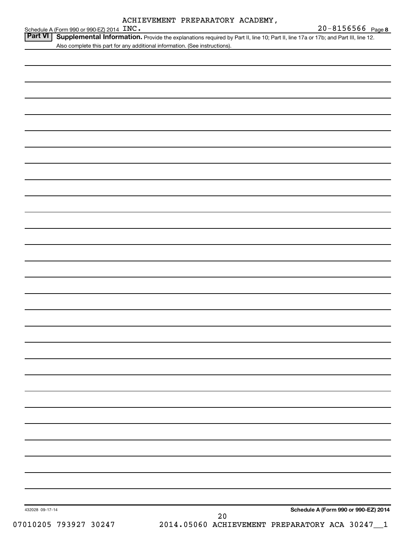|                                                    | ACHIEVEMENT PREPARATORY ACADEMY, |  |
|----------------------------------------------------|----------------------------------|--|
| Schedule A (Form 990 or 990-EZ) 2014 $\text{INC.}$ |                                  |  |

|                                                |  | Schedule A (Form 990 or 990-EZ) 2014 |
|------------------------------------------------|--|--------------------------------------|
| 2014.05060 ACHIEVEMENT PREPARATORY ACA 30247_1 |  |                                      |
|                                                |  | 20                                   |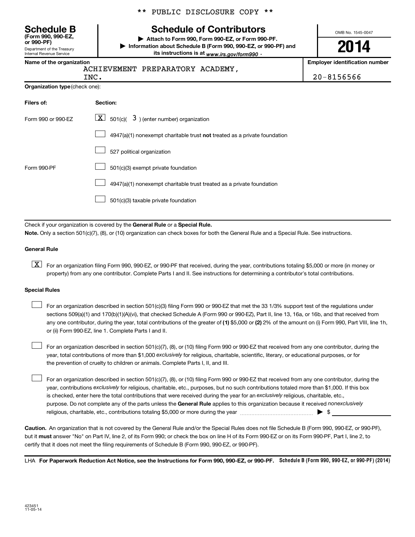\*\* PUBLIC DISCLOSURE COPY \*\*

## **Schedule B Schedule of Contributors**

**or 990-PF) | Attach to Form 990, Form 990-EZ, or Form 990-PF. | Information about Schedule B (Form 990, 990-EZ, or 990-PF) and** its instructions is at <sub>www.irs.gov/form990  $\cdot$ </sub>

OMB No. 1545-0047

# **2014**

**Name of the organization Employer identification number**

|  | Name of the organization |
|--|--------------------------|
|  |                          |

Department of the Treasury Internal Revenue Service

**(Form 990, 990-EZ,**

### ACHIEVEMENT PREPARATORY ACADEMY,

INC. 20-8156566

| Organization type (check one): |  |  |
|--------------------------------|--|--|

| Filers of:         | Section:                                                                           |
|--------------------|------------------------------------------------------------------------------------|
| Form 990 or 990-EZ | $\underline{\mathbf{X}}$ 501(c)( $3$ ) (enter number) organization                 |
|                    | $4947(a)(1)$ nonexempt charitable trust <b>not</b> treated as a private foundation |
|                    | 527 political organization                                                         |
| Form 990-PF        | 501(c)(3) exempt private foundation                                                |
|                    | 4947(a)(1) nonexempt charitable trust treated as a private foundation              |
|                    | 501(c)(3) taxable private foundation                                               |

Check if your organization is covered by the General Rule or a Special Rule.

**Note.**  Only a section 501(c)(7), (8), or (10) organization can check boxes for both the General Rule and a Special Rule. See instructions.

### **General Rule**

**K** For an organization filing Form 990, 990-EZ, or 990-PF that received, during the year, contributions totaling \$5,000 or more (in money or property) from any one contributor. Complete Parts I and II. See instructions for determining a contributor's total contributions.

### **Special Rules**

 $\Box$ 

any one contributor, during the year, total contributions of the greater of **(1)** \$5,000 or **(2)** 2% of the amount on (i) Form 990, Part VIII, line 1h, For an organization described in section 501(c)(3) filing Form 990 or 990-EZ that met the 33 1/3% support test of the regulations under sections 509(a)(1) and 170(b)(1)(A)(vi), that checked Schedule A (Form 990 or 990-EZ), Part II, line 13, 16a, or 16b, and that received from or (ii) Form 990-EZ, line 1. Complete Parts I and II.  $\Box$ 

year, total contributions of more than \$1,000 *exclusively* for religious, charitable, scientific, literary, or educational purposes, or for For an organization described in section 501(c)(7), (8), or (10) filing Form 990 or 990-EZ that received from any one contributor, during the the prevention of cruelty to children or animals. Complete Parts I, II, and III.  $\Box$ 

purpose. Do not complete any of the parts unless the General Rule applies to this organization because it received nonexclusively year, contributions exclusively for religious, charitable, etc., purposes, but no such contributions totaled more than \$1,000. If this box is checked, enter here the total contributions that were received during the year for an exclusively religious, charitable, etc., For an organization described in section 501(c)(7), (8), or (10) filing Form 990 or 990-EZ that received from any one contributor, during the religious, charitable, etc., contributions totaling \$5,000 or more during the year  $\ldots$  $\ldots$  $\ldots$  $\ldots$  $\ldots$  $\ldots$ 

**Caution.** An organization that is not covered by the General Rule and/or the Special Rules does not file Schedule B (Form 990, 990-EZ, or 990-PF),  **must** but it answer "No" on Part IV, line 2, of its Form 990; or check the box on line H of its Form 990-EZ or on its Form 990-PF, Part I, line 2, to certify that it does not meet the filing requirements of Schedule B (Form 990, 990-EZ, or 990-PF).

LHA For Paperwork Reduction Act Notice, see the Instructions for Form 990, 990-EZ, or 990-PF. Schedule B (Form 990, 990-EZ, or 990-PF) (2014)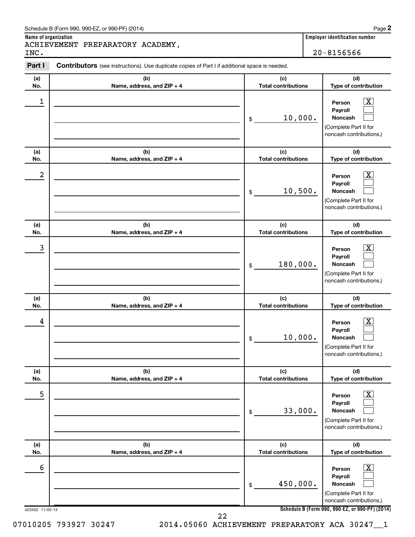| Schedule B (Form 990, 990-EZ, or 990-PF) (2014) | Page |  |
|-------------------------------------------------|------|--|
|                                                 |      |  |

**Name of organization Employer identification number**

INC. 20-8156566

ACHIEVEMENT PREPARATORY ACADEMY,

| (a)<br>No.           | (b)<br>Name, address, and ZIP + 4 | (c)<br><b>Total contributions</b> | (d)<br>Type of contribution                                                                                                                                 |
|----------------------|-----------------------------------|-----------------------------------|-------------------------------------------------------------------------------------------------------------------------------------------------------------|
| 1                    |                                   | 10,000.<br>\$                     | $\mathbf{X}$<br>Person<br>Payroll<br>Noncash<br>(Complete Part II for<br>noncash contributions.)                                                            |
| (a)<br>No.           | (b)<br>Name, address, and ZIP + 4 | (c)<br><b>Total contributions</b> | (d)<br>Type of contribution                                                                                                                                 |
| 2                    |                                   | 10,500.<br>\$                     | $\overline{\mathbf{X}}$<br>Person<br>Payroll<br>Noncash<br>(Complete Part II for<br>noncash contributions.)                                                 |
| (a)<br>No.           | (b)<br>Name, address, and ZIP + 4 | (c)<br><b>Total contributions</b> | (d)<br>Type of contribution                                                                                                                                 |
| 3                    |                                   | 180,000.<br>\$                    | $\overline{\mathbf{X}}$<br>Person<br>Payroll<br><b>Noncash</b><br>(Complete Part II for<br>noncash contributions.)                                          |
| (a)<br>No.           | (b)<br>Name, address, and ZIP + 4 | (c)<br><b>Total contributions</b> | (d)<br>Type of contribution                                                                                                                                 |
| 4                    |                                   | 10,000.<br>\$                     | $\overline{\text{X}}$<br>Person<br>Payroll<br><b>Noncash</b><br>(Complete Part II for<br>noncash contributions.)                                            |
| (a)<br>No.           | (b)<br>Name, address, and ZIP + 4 | (c)<br><b>Total contributions</b> | (d)<br>Type of contribution                                                                                                                                 |
| 5                    |                                   | 33,000.<br>$\,$                   | $\boxed{\textbf{X}}$<br>Person<br>Payroll<br>Noncash<br>(Complete Part II for<br>noncash contributions.)                                                    |
| (a)<br>No.           | (b)<br>Name, address, and ZIP + 4 | (c)<br><b>Total contributions</b> | (d)<br>Type of contribution                                                                                                                                 |
| 6<br>423452 11-05-14 |                                   | 450,000.<br>\$                    | $\boxed{\textbf{X}}$<br>Person<br>Payroll<br>Noncash<br>(Complete Part II for<br>noncash contributions.)<br>Schedule B (Form 990, 990-EZ, or 990-PF) (2014) |
|                      | 22                                |                                   |                                                                                                                                                             |

**Part I** Contributors (see instructions). Use duplicate copies of Part I if additional space is needed.

07010205 793927 30247 2014.05060 ACHIEVEMENT PREPARATORY ACA 30247\_1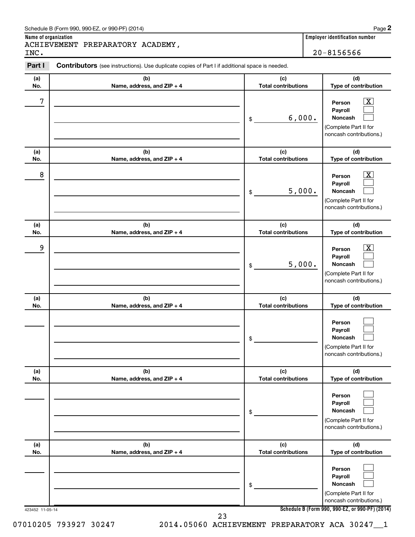| Schedule B (Form 990, 990-EZ, or 990-PF) (2014) | Page |
|-------------------------------------------------|------|
|                                                 |      |

**Name of organization** 

|  | lover identification numher |  |
|--|-----------------------------|--|

**Schedule B (Form 990, 990-EZ, or 990-PF) (2014)**

| INC.<br>Part I |                                                                                                       |                                   | $20 - 8156566$                                                                                              |
|----------------|-------------------------------------------------------------------------------------------------------|-----------------------------------|-------------------------------------------------------------------------------------------------------------|
|                | <b>Contributors</b> (see instructions). Use duplicate copies of Part I if additional space is needed. |                                   |                                                                                                             |
| (a)<br>No.     | (b)<br>Name, address, and ZIP + 4                                                                     | (c)<br><b>Total contributions</b> | (d)<br>Type of contribution                                                                                 |
| 7              |                                                                                                       | 6,000.<br>\$                      | $\overline{\mathbf{x}}$<br>Person<br>Payroll<br>Noncash<br>(Complete Part II for<br>noncash contributions.) |
| (a)<br>No.     | (b)<br>Name, address, and ZIP + 4                                                                     | (c)<br><b>Total contributions</b> | (d)<br>Type of contribution                                                                                 |
| 8              |                                                                                                       | 5,000.<br>\$                      | $\mathbf{X}$<br>Person<br>Payroll<br>Noncash<br>(Complete Part II for<br>noncash contributions.)            |
| (a)<br>No.     | (b)<br>Name, address, and ZIP + 4                                                                     | (c)<br><b>Total contributions</b> | (d)<br>Type of contribution                                                                                 |
| 9              |                                                                                                       | 5,000.<br>\$                      | $\mathbf{X}$<br>Person<br>Payroll<br>Noncash<br>(Complete Part II for<br>noncash contributions.)            |
| (a)<br>No.     | (b)<br>Name, address, and ZIP + 4                                                                     | (c)<br><b>Total contributions</b> | (d)<br>Type of contribution                                                                                 |
|                |                                                                                                       | \$                                | Person<br>Payroll<br>Noncash<br>(Complete Part II for<br>noncash contributions.)                            |
| (a)<br>No.     | (b)<br>Name, address, and ZIP + 4                                                                     | (c)<br><b>Total contributions</b> | (d)<br>Type of contribution                                                                                 |
|                |                                                                                                       | \$                                | Person<br>Payroll<br><b>Noncash</b><br>(Complete Part II for<br>noncash contributions.)                     |
| (a)<br>No.     | (b)<br>Name, address, and ZIP + 4                                                                     | (c)<br><b>Total contributions</b> | (d)<br>Type of contribution                                                                                 |
|                |                                                                                                       | \$                                | Person<br>Payroll<br>Noncash<br>(Complete Part II for<br>noncash contributions.)                            |

23

| Employer identification number |  |
|--------------------------------|--|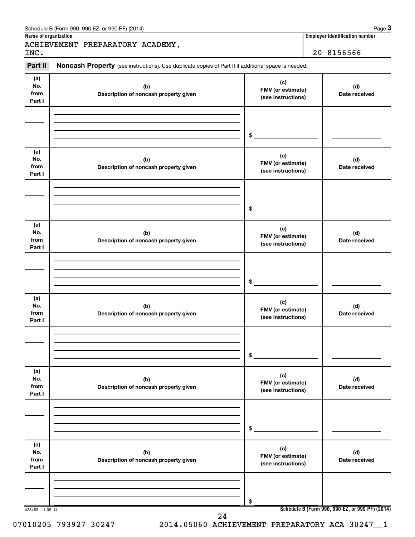| Part II                      | Noncash Property (see instructions). Use duplicate copies of Part II if additional space is needed. |                                                |                      |
|------------------------------|-----------------------------------------------------------------------------------------------------|------------------------------------------------|----------------------|
|                              |                                                                                                     |                                                |                      |
| (a)<br>No.<br>from<br>Part I | (b)<br>Description of noncash property given                                                        | (c)<br>FMV (or estimate)<br>(see instructions) | (d)<br>Date received |
|                              |                                                                                                     | \$                                             |                      |
| (a)<br>No.<br>from<br>Part I | (b)<br>Description of noncash property given                                                        | (c)<br>FMV (or estimate)<br>(see instructions) | (d)<br>Date received |
|                              |                                                                                                     | \$                                             |                      |
| (a)<br>No.<br>from<br>Part I | (b)<br>Description of noncash property given                                                        | (c)<br>FMV (or estimate)<br>(see instructions) | (d)<br>Date received |
|                              |                                                                                                     | \$                                             |                      |
| (a)<br>No.<br>from<br>Part I | (b)<br>Description of noncash property given                                                        | (c)<br>FMV (or estimate)<br>(see instructions) | (d)<br>Date received |
|                              |                                                                                                     | \$                                             |                      |
| (a)<br>No.<br>from<br>Part I | (b)<br>Description of noncash property given                                                        | (c)<br>FMV (or estimate)<br>(see instructions) | (d)<br>Date received |
|                              |                                                                                                     | \$                                             |                      |
| (a)<br>No.<br>from<br>Part I | (b)<br>Description of noncash property given                                                        | (c)<br>FMV (or estimate)<br>(see instructions) | (d)<br>Date received |
|                              |                                                                                                     |                                                |                      |

Schedule B (Form 990, 990-EZ, or 990-PF) (2014)

07010205 793927 30247 2014.05060 ACHIEVEMENT PREPARATORY ACA 30247 1

**3**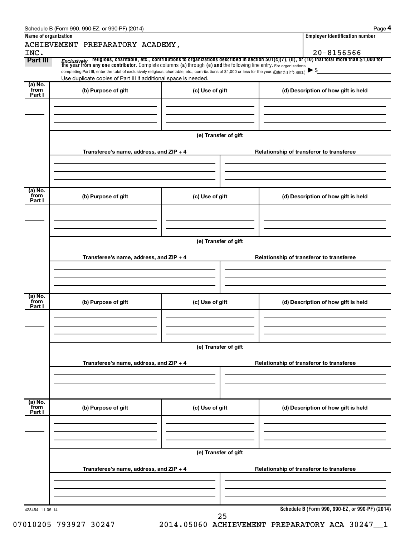| <b>Employer identification number</b><br>$20 - 8156566$<br><i>Exclusively</i> religious, charitable, etc., contributions to organizations described in section 501(c)(7), (8), or (10) that total more than \$1,000 for<br>the year from any one contributor. Complete columns (a) through (e) and<br>(d) Description of how gift is held<br>Relationship of transferor to transferee |  |  |  |  |  |  |
|---------------------------------------------------------------------------------------------------------------------------------------------------------------------------------------------------------------------------------------------------------------------------------------------------------------------------------------------------------------------------------------|--|--|--|--|--|--|
|                                                                                                                                                                                                                                                                                                                                                                                       |  |  |  |  |  |  |
|                                                                                                                                                                                                                                                                                                                                                                                       |  |  |  |  |  |  |
|                                                                                                                                                                                                                                                                                                                                                                                       |  |  |  |  |  |  |
|                                                                                                                                                                                                                                                                                                                                                                                       |  |  |  |  |  |  |
|                                                                                                                                                                                                                                                                                                                                                                                       |  |  |  |  |  |  |
|                                                                                                                                                                                                                                                                                                                                                                                       |  |  |  |  |  |  |
|                                                                                                                                                                                                                                                                                                                                                                                       |  |  |  |  |  |  |
|                                                                                                                                                                                                                                                                                                                                                                                       |  |  |  |  |  |  |
|                                                                                                                                                                                                                                                                                                                                                                                       |  |  |  |  |  |  |
|                                                                                                                                                                                                                                                                                                                                                                                       |  |  |  |  |  |  |
| (d) Description of how gift is held                                                                                                                                                                                                                                                                                                                                                   |  |  |  |  |  |  |
|                                                                                                                                                                                                                                                                                                                                                                                       |  |  |  |  |  |  |
|                                                                                                                                                                                                                                                                                                                                                                                       |  |  |  |  |  |  |
| Relationship of transferor to transferee                                                                                                                                                                                                                                                                                                                                              |  |  |  |  |  |  |
|                                                                                                                                                                                                                                                                                                                                                                                       |  |  |  |  |  |  |
| (d) Description of how gift is held                                                                                                                                                                                                                                                                                                                                                   |  |  |  |  |  |  |
|                                                                                                                                                                                                                                                                                                                                                                                       |  |  |  |  |  |  |
| (e) Transfer of gift                                                                                                                                                                                                                                                                                                                                                                  |  |  |  |  |  |  |
| Relationship of transferor to transferee                                                                                                                                                                                                                                                                                                                                              |  |  |  |  |  |  |
|                                                                                                                                                                                                                                                                                                                                                                                       |  |  |  |  |  |  |
| (d) Description of how gift is held                                                                                                                                                                                                                                                                                                                                                   |  |  |  |  |  |  |
|                                                                                                                                                                                                                                                                                                                                                                                       |  |  |  |  |  |  |
|                                                                                                                                                                                                                                                                                                                                                                                       |  |  |  |  |  |  |
| Relationship of transferor to transferee                                                                                                                                                                                                                                                                                                                                              |  |  |  |  |  |  |
|                                                                                                                                                                                                                                                                                                                                                                                       |  |  |  |  |  |  |
|                                                                                                                                                                                                                                                                                                                                                                                       |  |  |  |  |  |  |
|                                                                                                                                                                                                                                                                                                                                                                                       |  |  |  |  |  |  |

07010205 793927 30247 2014.05060 ACHIEVEMENT PREPARATORY ACA 30247 1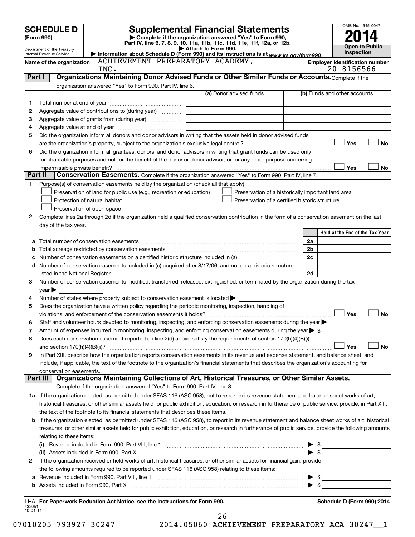|                          | <b>SCHEDULE D</b>                   |                                                                                                                                                                          | <b>Supplemental Financial Statements</b>                                                                                             |                                 | OMB No. 1545-0047                                       |                |
|--------------------------|-------------------------------------|--------------------------------------------------------------------------------------------------------------------------------------------------------------------------|--------------------------------------------------------------------------------------------------------------------------------------|---------------------------------|---------------------------------------------------------|----------------|
|                          | (Form 990)                          |                                                                                                                                                                          | Complete if the organization answered "Yes" to Form 990,<br>Part IV, line 6, 7, 8, 9, 10, 11a, 11b, 11c, 11d, 11e, 11f, 12a, or 12b. |                                 |                                                         |                |
|                          | Department of the Treasury          |                                                                                                                                                                          | Attach to Form 990.                                                                                                                  |                                 | Inspection                                              | Open to Public |
|                          | Internal Revenue Service            | ACHIEVEMENT PREPARATORY ACADEMY,                                                                                                                                         | Information about Schedule D (Form 990) and its instructions is at www.irs.gov/form990.                                              |                                 |                                                         |                |
|                          | Name of the organization            | INC.                                                                                                                                                                     |                                                                                                                                      |                                 | <b>Employer identification number</b><br>$20 - 8156566$ |                |
| Part I                   |                                     | Organizations Maintaining Donor Advised Funds or Other Similar Funds or Accounts. Complete if the                                                                        |                                                                                                                                      |                                 |                                                         |                |
|                          |                                     | organization answered "Yes" to Form 990, Part IV, line 6.                                                                                                                |                                                                                                                                      |                                 |                                                         |                |
|                          |                                     |                                                                                                                                                                          | (a) Donor advised funds                                                                                                              |                                 | (b) Funds and other accounts                            |                |
| 1                        |                                     | Aggregate value of contributions to (during year)                                                                                                                        |                                                                                                                                      |                                 |                                                         |                |
| 2<br>3                   |                                     | Aggregate value of grants from (during year)                                                                                                                             |                                                                                                                                      |                                 |                                                         |                |
| 4                        |                                     |                                                                                                                                                                          |                                                                                                                                      |                                 |                                                         |                |
| 5                        |                                     | Did the organization inform all donors and donor advisors in writing that the assets held in donor advised funds                                                         |                                                                                                                                      |                                 |                                                         |                |
|                          |                                     |                                                                                                                                                                          |                                                                                                                                      |                                 | Yes                                                     | <b>No</b>      |
| 6                        |                                     | Did the organization inform all grantees, donors, and donor advisors in writing that grant funds can be used only                                                        |                                                                                                                                      |                                 |                                                         |                |
|                          |                                     | for charitable purposes and not for the benefit of the donor or donor advisor, or for any other purpose conferring                                                       |                                                                                                                                      |                                 |                                                         |                |
| Part II                  | impermissible private benefit?      |                                                                                                                                                                          |                                                                                                                                      |                                 | Yes                                                     | No             |
|                          |                                     | Conservation Easements. Complete if the organization answered "Yes" to Form 990, Part IV, line 7.                                                                        |                                                                                                                                      |                                 |                                                         |                |
| 1.                       |                                     | Purpose(s) of conservation easements held by the organization (check all that apply).<br>Preservation of land for public use (e.g., recreation or education)             | Preservation of a historically important land area                                                                                   |                                 |                                                         |                |
|                          |                                     | Protection of natural habitat                                                                                                                                            | Preservation of a certified historic structure                                                                                       |                                 |                                                         |                |
|                          |                                     | Preservation of open space                                                                                                                                               |                                                                                                                                      |                                 |                                                         |                |
| 2                        |                                     | Complete lines 2a through 2d if the organization held a qualified conservation contribution in the form of a conservation easement on the last                           |                                                                                                                                      |                                 |                                                         |                |
|                          | day of the tax year.                |                                                                                                                                                                          |                                                                                                                                      |                                 |                                                         |                |
|                          |                                     |                                                                                                                                                                          |                                                                                                                                      |                                 | Held at the End of the Tax Year                         |                |
| а                        |                                     |                                                                                                                                                                          |                                                                                                                                      | 2a                              |                                                         |                |
| b                        |                                     |                                                                                                                                                                          |                                                                                                                                      | 2b                              |                                                         |                |
| с                        |                                     |                                                                                                                                                                          |                                                                                                                                      | 2c                              |                                                         |                |
| d                        |                                     | Number of conservation easements included in (c) acquired after 8/17/06, and not on a historic structure                                                                 |                                                                                                                                      |                                 |                                                         |                |
|                          |                                     | Number of conservation easements modified, transferred, released, extinguished, or terminated by the organization during the tax                                         |                                                                                                                                      | 2d                              |                                                         |                |
| 3                        | $\mathsf{year}$                     |                                                                                                                                                                          |                                                                                                                                      |                                 |                                                         |                |
| 4                        |                                     | Number of states where property subject to conservation easement is located >                                                                                            |                                                                                                                                      |                                 |                                                         |                |
| 5                        |                                     | Does the organization have a written policy regarding the periodic monitoring, inspection, handling of                                                                   |                                                                                                                                      |                                 |                                                         |                |
|                          |                                     |                                                                                                                                                                          |                                                                                                                                      |                                 | Yes                                                     | No             |
|                          |                                     | Staff and volunteer hours devoted to monitoring, inspecting, and enforcing conservation easements during the year                                                        |                                                                                                                                      |                                 |                                                         |                |
| 7                        |                                     | Amount of expenses incurred in monitoring, inspecting, and enforcing conservation easements during the year $\triangleright$ \$                                          |                                                                                                                                      |                                 |                                                         |                |
| 8                        |                                     | Does each conservation easement reported on line 2(d) above satisfy the requirements of section 170(h)(4)(B)(i)                                                          |                                                                                                                                      |                                 |                                                         |                |
|                          |                                     |                                                                                                                                                                          |                                                                                                                                      |                                 | Yes                                                     | No             |
| 9                        |                                     | In Part XIII, describe how the organization reports conservation easements in its revenue and expense statement, and balance sheet, and                                  |                                                                                                                                      |                                 |                                                         |                |
|                          | conservation easements.             | include, if applicable, the text of the footnote to the organization's financial statements that describes the organization's accounting for                             |                                                                                                                                      |                                 |                                                         |                |
|                          |                                     | Part III   Organizations Maintaining Collections of Art, Historical Treasures, or Other Similar Assets.                                                                  |                                                                                                                                      |                                 |                                                         |                |
|                          |                                     | Complete if the organization answered "Yes" to Form 990, Part IV, line 8.                                                                                                |                                                                                                                                      |                                 |                                                         |                |
|                          |                                     | 1a If the organization elected, as permitted under SFAS 116 (ASC 958), not to report in its revenue statement and balance sheet works of art,                            |                                                                                                                                      |                                 |                                                         |                |
|                          |                                     | historical treasures, or other similar assets held for public exhibition, education, or research in furtherance of public service, provide, in Part XIII,                |                                                                                                                                      |                                 |                                                         |                |
|                          |                                     | the text of the footnote to its financial statements that describes these items.                                                                                         |                                                                                                                                      |                                 |                                                         |                |
| b                        |                                     | If the organization elected, as permitted under SFAS 116 (ASC 958), to report in its revenue statement and balance sheet works of art, historical                        |                                                                                                                                      |                                 |                                                         |                |
|                          |                                     | treasures, or other similar assets held for public exhibition, education, or research in furtherance of public service, provide the following amounts                    |                                                                                                                                      |                                 |                                                         |                |
|                          | relating to these items:            |                                                                                                                                                                          |                                                                                                                                      |                                 |                                                         |                |
|                          |                                     |                                                                                                                                                                          |                                                                                                                                      | -\$<br>$\blacktriangleright$ \$ |                                                         |                |
| 2                        |                                     | (ii) Assets included in Form 990, Part X<br>If the organization received or held works of art, historical treasures, or other similar assets for financial gain, provide |                                                                                                                                      |                                 |                                                         |                |
|                          |                                     | the following amounts required to be reported under SFAS 116 (ASC 958) relating to these items:                                                                          |                                                                                                                                      |                                 |                                                         |                |
| а                        |                                     |                                                                                                                                                                          |                                                                                                                                      | - \$                            | <u>and the state of the state of the state</u>          |                |
| b                        | Assets included in Form 990, Part X |                                                                                                                                                                          |                                                                                                                                      | $\blacktriangleright$ s         |                                                         |                |
|                          |                                     |                                                                                                                                                                          |                                                                                                                                      |                                 |                                                         |                |
|                          |                                     | LHA For Paperwork Reduction Act Notice, see the Instructions for Form 990.                                                                                               |                                                                                                                                      |                                 | Schedule D (Form 990) 2014                              |                |
| 432051<br>$10 - 01 - 14$ |                                     |                                                                                                                                                                          |                                                                                                                                      |                                 |                                                         |                |
|                          |                                     |                                                                                                                                                                          | 26                                                                                                                                   |                                 |                                                         |                |

07010205 793927 30247 2014.05060 ACHIEVEMENT PREPARATORY ACA 30247 1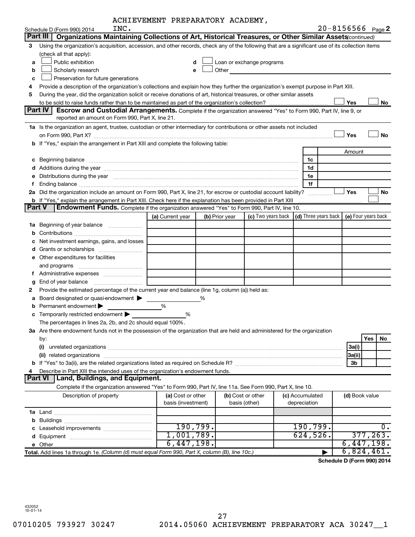|    |                                                                                                                                                                                                                                | ACHIEVEMENI FREPARAIORI ACADEMI, |   |                |                           |                      |                | $20 - 8156566$ Page 2 |
|----|--------------------------------------------------------------------------------------------------------------------------------------------------------------------------------------------------------------------------------|----------------------------------|---|----------------|---------------------------|----------------------|----------------|-----------------------|
|    | INC.<br>Schedule D (Form 990) 2014                                                                                                                                                                                             |                                  |   |                |                           |                      |                |                       |
|    | Part III   Organizations Maintaining Collections of Art, Historical Treasures, or Other Similar Assets (continued)                                                                                                             |                                  |   |                |                           |                      |                |                       |
| 3  | Using the organization's acquisition, accession, and other records, check any of the following that are a significant use of its collection items                                                                              |                                  |   |                |                           |                      |                |                       |
|    | (check all that apply):                                                                                                                                                                                                        |                                  |   |                |                           |                      |                |                       |
| a  | Public exhibition                                                                                                                                                                                                              | d                                |   |                | Loan or exchange programs |                      |                |                       |
| b  | Scholarly research                                                                                                                                                                                                             | e                                |   | Other          |                           |                      |                |                       |
| c  | Preservation for future generations                                                                                                                                                                                            |                                  |   |                |                           |                      |                |                       |
| 4  | Provide a description of the organization's collections and explain how they further the organization's exempt purpose in Part XIII.                                                                                           |                                  |   |                |                           |                      |                |                       |
| 5  | During the year, did the organization solicit or receive donations of art, historical treasures, or other similar assets                                                                                                       |                                  |   |                |                           |                      |                |                       |
|    |                                                                                                                                                                                                                                |                                  |   |                |                           |                      | Yes            | No                    |
|    | Part IV<br>Escrow and Custodial Arrangements. Complete if the organization answered "Yes" to Form 990, Part IV, line 9, or                                                                                                     |                                  |   |                |                           |                      |                |                       |
|    | reported an amount on Form 990, Part X, line 21.                                                                                                                                                                               |                                  |   |                |                           |                      |                |                       |
|    | 1a Is the organization an agent, trustee, custodian or other intermediary for contributions or other assets not included                                                                                                       |                                  |   |                |                           |                      |                |                       |
|    |                                                                                                                                                                                                                                |                                  |   |                |                           |                      | Yes            | <b>No</b>             |
|    | b If "Yes," explain the arrangement in Part XIII and complete the following table:                                                                                                                                             |                                  |   |                |                           |                      |                |                       |
|    |                                                                                                                                                                                                                                |                                  |   |                |                           |                      | Amount         |                       |
|    | Beginning balance measurements and the contract measurement of the contract measurement of the contract measurement of the contract measurement of the contract measurement of the contract measurement of the contract measur |                                  |   |                |                           | 1c                   |                |                       |
|    |                                                                                                                                                                                                                                |                                  |   |                |                           | 1d                   |                |                       |
| е  | Distributions during the year manufactured and continuum control of the state of the control of the year manufactured and control of the state of the state of the state of the state of the state of the state of the state o |                                  |   |                |                           | 1е                   |                |                       |
| f  |                                                                                                                                                                                                                                |                                  |   |                |                           | 1f                   |                |                       |
|    | 2a Did the organization include an amount on Form 990, Part X, line 21, for escrow or custodial account liability?                                                                                                             |                                  |   |                |                           |                      | Yes            | No                    |
|    | <b>b</b> If "Yes," explain the arrangement in Part XIII. Check here if the explanation has been provided in Part XIII                                                                                                          |                                  |   |                |                           |                      |                |                       |
|    | <b>Part V</b><br>Endowment Funds. Complete if the organization answered "Yes" to Form 990, Part IV, line 10.                                                                                                                   |                                  |   |                |                           |                      |                |                       |
|    |                                                                                                                                                                                                                                | (a) Current year                 |   | (b) Prior year | (c) Two years back        | (d) Three years back |                | (e) Four years back   |
| 1a | Beginning of year balance                                                                                                                                                                                                      |                                  |   |                |                           |                      |                |                       |
|    |                                                                                                                                                                                                                                |                                  |   |                |                           |                      |                |                       |
|    | Net investment earnings, gains, and losses                                                                                                                                                                                     |                                  |   |                |                           |                      |                |                       |
|    |                                                                                                                                                                                                                                |                                  |   |                |                           |                      |                |                       |
|    | <b>e</b> Other expenditures for facilities                                                                                                                                                                                     |                                  |   |                |                           |                      |                |                       |
|    | and programs                                                                                                                                                                                                                   |                                  |   |                |                           |                      |                |                       |
| f. |                                                                                                                                                                                                                                |                                  |   |                |                           |                      |                |                       |
| g  |                                                                                                                                                                                                                                |                                  |   |                |                           |                      |                |                       |
| 2  | Provide the estimated percentage of the current year end balance (line 1g, column (a)) held as:                                                                                                                                |                                  |   |                |                           |                      |                |                       |
|    | Board designated or quasi-endowment                                                                                                                                                                                            |                                  | % |                |                           |                      |                |                       |
|    | Permanent endowment                                                                                                                                                                                                            | %                                |   |                |                           |                      |                |                       |
|    | <b>c</b> Temporarily restricted endowment $\blacktriangleright$                                                                                                                                                                | %                                |   |                |                           |                      |                |                       |
|    | The percentages in lines 2a, 2b, and 2c should equal 100%.                                                                                                                                                                     |                                  |   |                |                           |                      |                |                       |
|    | 3a Are there endowment funds not in the possession of the organization that are held and administered for the organization                                                                                                     |                                  |   |                |                           |                      |                |                       |
|    | by:                                                                                                                                                                                                                            |                                  |   |                |                           |                      |                | Yes<br>No             |
|    |                                                                                                                                                                                                                                |                                  |   |                |                           |                      | 3a(i)          |                       |
|    | (ii) related organizations                                                                                                                                                                                                     |                                  |   |                |                           |                      | 3a(ii)         |                       |
|    |                                                                                                                                                                                                                                |                                  |   |                |                           |                      | 3b             |                       |
| 4  | Describe in Part XIII the intended uses of the organization's endowment funds.                                                                                                                                                 |                                  |   |                |                           |                      |                |                       |
|    | Land, Buildings, and Equipment.<br><b>Part VI</b>                                                                                                                                                                              |                                  |   |                |                           |                      |                |                       |
|    | Complete if the organization answered "Yes" to Form 990, Part IV, line 11a. See Form 990, Part X, line 10.                                                                                                                     |                                  |   |                |                           |                      |                |                       |
|    | Description of property                                                                                                                                                                                                        | (a) Cost or other                |   |                | (b) Cost or other         | (c) Accumulated      | (d) Book value |                       |
|    |                                                                                                                                                                                                                                | basis (investment)               |   | basis (other)  |                           | depreciation         |                |                       |
|    |                                                                                                                                                                                                                                |                                  |   |                |                           |                      |                |                       |
| b  |                                                                                                                                                                                                                                |                                  |   |                |                           |                      |                |                       |
|    | Leasehold improvements                                                                                                                                                                                                         | 190,799.                         |   |                |                           | 190,799.             |                | υ.                    |
|    |                                                                                                                                                                                                                                | 1,001,789.                       |   |                |                           | 624,526.             |                | 377, 263.             |
|    |                                                                                                                                                                                                                                | 6,447,198.                       |   |                |                           |                      |                | 6,447,198.            |
|    | Total. Add lines 1a through 1e. (Column (d) must equal Form 990, Part X, column (B), line 10c.)                                                                                                                                |                                  |   |                |                           |                      |                | 6,824,461.            |

**Schedule D (Form 990) 2014**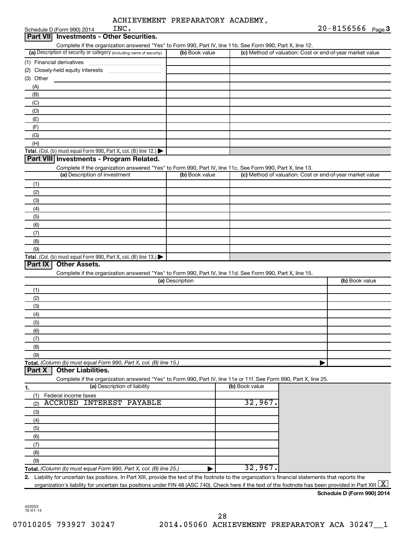| INC.<br>Schedule D (Form 990) 2014                                                                                                                                      |                 |                | $20 - 8156566$ Page 3                                     |
|-------------------------------------------------------------------------------------------------------------------------------------------------------------------------|-----------------|----------------|-----------------------------------------------------------|
| <b>Investments - Other Securities.</b><br><b>Part VII</b><br>Complete if the organization answered "Yes" to Form 990, Part IV, line 11b. See Form 990, Part X, line 12. |                 |                |                                                           |
| (a) Description of security or category (including name of security)                                                                                                    | (b) Book value  |                | (c) Method of valuation: Cost or end-of-year market value |
|                                                                                                                                                                         |                 |                |                                                           |
|                                                                                                                                                                         |                 |                |                                                           |
| (3) Other                                                                                                                                                               |                 |                |                                                           |
| (A)                                                                                                                                                                     |                 |                |                                                           |
| (B)                                                                                                                                                                     |                 |                |                                                           |
| (C)                                                                                                                                                                     |                 |                |                                                           |
| (D)                                                                                                                                                                     |                 |                |                                                           |
| (E)                                                                                                                                                                     |                 |                |                                                           |
| (F)                                                                                                                                                                     |                 |                |                                                           |
| (G)<br>(H)                                                                                                                                                              |                 |                |                                                           |
| Total. (Col. (b) must equal Form 990, Part X, col. (B) line 12.) $\blacktriangleright$                                                                                  |                 |                |                                                           |
| Part VIII Investments - Program Related.                                                                                                                                |                 |                |                                                           |
| Complete if the organization answered "Yes" to Form 990, Part IV, line 11c. See Form 990, Part X, line 13.                                                              |                 |                |                                                           |
| (a) Description of investment                                                                                                                                           | (b) Book value  |                | (c) Method of valuation: Cost or end-of-year market value |
| (1)                                                                                                                                                                     |                 |                |                                                           |
| (2)                                                                                                                                                                     |                 |                |                                                           |
| (3)                                                                                                                                                                     |                 |                |                                                           |
| (4)                                                                                                                                                                     |                 |                |                                                           |
| (5)                                                                                                                                                                     |                 |                |                                                           |
| (6)                                                                                                                                                                     |                 |                |                                                           |
| (7)                                                                                                                                                                     |                 |                |                                                           |
| (8)                                                                                                                                                                     |                 |                |                                                           |
| (9)                                                                                                                                                                     |                 |                |                                                           |
| Total. (Col. (b) must equal Form 990, Part X, col. (B) line 13.) $\blacktriangleright$<br><b>Other Assets.</b><br>Part IX                                               |                 |                |                                                           |
| Complete if the organization answered "Yes" to Form 990, Part IV, line 11d. See Form 990, Part X, line 15.                                                              |                 |                |                                                           |
|                                                                                                                                                                         | (a) Description |                | (b) Book value                                            |
| (1)                                                                                                                                                                     |                 |                |                                                           |
| (2)                                                                                                                                                                     |                 |                |                                                           |
| (3)                                                                                                                                                                     |                 |                |                                                           |
| (4)                                                                                                                                                                     |                 |                |                                                           |
| (5)                                                                                                                                                                     |                 |                |                                                           |
| (6)                                                                                                                                                                     |                 |                |                                                           |
| (7)                                                                                                                                                                     |                 |                |                                                           |
| (8)                                                                                                                                                                     |                 |                |                                                           |
| (9)                                                                                                                                                                     |                 |                |                                                           |
| Total. (Column (b) must equal Form 990, Part X, col. (B) line 15.)<br><b>Other Liabilities.</b><br>Part X                                                               |                 |                |                                                           |
|                                                                                                                                                                         |                 |                |                                                           |
| Complete if the organization answered "Yes" to Form 990, Part IV, line 11e or 11f. See Form 990, Part X, line 25.<br>(a) Description of liability                       |                 | (b) Book value |                                                           |
| 1.<br>Federal income taxes<br>(1)                                                                                                                                       |                 |                |                                                           |
| <b>ACCRUED INTEREST PAYABLE</b><br>(2)                                                                                                                                  |                 | 32,967.        |                                                           |
| (3)                                                                                                                                                                     |                 |                |                                                           |
| (4)                                                                                                                                                                     |                 |                |                                                           |
| (5)                                                                                                                                                                     |                 |                |                                                           |
| (6)                                                                                                                                                                     |                 |                |                                                           |
| (7)                                                                                                                                                                     |                 |                |                                                           |
| (8)                                                                                                                                                                     |                 |                |                                                           |
| (9)                                                                                                                                                                     |                 |                |                                                           |
| Total. (Column (b) must equal Form 990, Part X, col. (B) line 25.)                                                                                                      |                 | 32,967.        |                                                           |
| Liability for uncertain tax positions. In Part XIII, provide the text of the footnote to the organization's financial statements that reports the<br>2.                 |                 |                |                                                           |
| organization's liability for uncertain tax positions under FIN 48 (ASC 740). Check here if the text of the footnote has been provided in Part XIII $ X $                |                 |                |                                                           |
|                                                                                                                                                                         |                 |                | Schedule D (Form 990) 2014                                |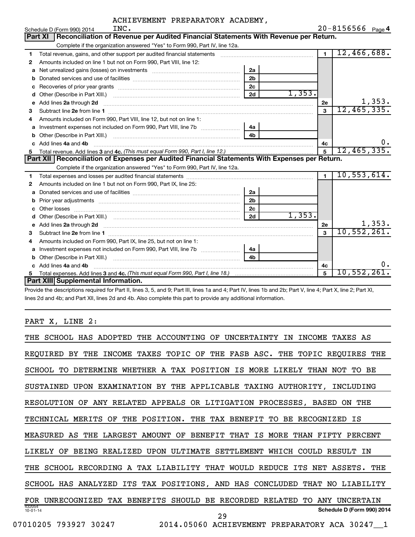|   | INC.<br>Schedule D (Form 990) 2014                                                                                                                                                                                                  |                |        |                         | $20 - 8156566$ Page 4 |
|---|-------------------------------------------------------------------------------------------------------------------------------------------------------------------------------------------------------------------------------------|----------------|--------|-------------------------|-----------------------|
|   | Part XI   Reconciliation of Revenue per Audited Financial Statements With Revenue per Return.                                                                                                                                       |                |        |                         |                       |
|   | Complete if the organization answered "Yes" to Form 990, Part IV, line 12a.                                                                                                                                                         |                |        |                         |                       |
| 1 | Total revenue, gains, and other support per audited financial statements                                                                                                                                                            |                |        | $\overline{1}$          | 12,466,688.           |
| 2 | Amounts included on line 1 but not on Form 990, Part VIII, line 12:                                                                                                                                                                 |                |        |                         |                       |
| a |                                                                                                                                                                                                                                     | 2a             |        |                         |                       |
|   |                                                                                                                                                                                                                                     | 2 <sub>b</sub> |        |                         |                       |
| c | Recoveries of prior year grants [11] matter contracts and prior year grants and prior year grants and prior year grants and prior year of the state of the state of the state of the state of the state of the state of the st      | 2 <sub>c</sub> |        |                         |                       |
| d |                                                                                                                                                                                                                                     | 2d             | 1,353. |                         |                       |
| е | Add lines 2a through 2d <b>contained a contained a contained a contained a</b> contained a contained a contained a contained a contained a contained a contained a contained a contained a contained a contained a contained a cont |                |        | 2e                      | 1,353.                |
| 3 |                                                                                                                                                                                                                                     |                |        | $\mathbf{3}$            | 12,465,335.           |
| 4 | Amounts included on Form 990, Part VIII, line 12, but not on line 1:                                                                                                                                                                |                |        |                         |                       |
|   |                                                                                                                                                                                                                                     | 4a l           |        |                         |                       |
| b |                                                                                                                                                                                                                                     | 4 <sub>b</sub> |        |                         |                       |
|   | Add lines 4a and 4b                                                                                                                                                                                                                 |                |        | 4с                      | υ.                    |
|   |                                                                                                                                                                                                                                     |                |        | 5                       | 12,465,335.           |
|   |                                                                                                                                                                                                                                     |                |        |                         |                       |
|   | Part XII Reconciliation of Expenses per Audited Financial Statements With Expenses per Return.                                                                                                                                      |                |        |                         |                       |
|   | Complete if the organization answered "Yes" to Form 990, Part IV, line 12a.                                                                                                                                                         |                |        |                         |                       |
| 1 |                                                                                                                                                                                                                                     |                |        | $\mathbf{1}$            | 10,553,614.           |
| 2 | Amounts included on line 1 but not on Form 990, Part IX, line 25:                                                                                                                                                                   |                |        |                         |                       |
| a |                                                                                                                                                                                                                                     | 2a             |        |                         |                       |
|   |                                                                                                                                                                                                                                     | 2 <sub>b</sub> |        |                         |                       |
| c |                                                                                                                                                                                                                                     | 2 <sub>c</sub> |        |                         |                       |
| d |                                                                                                                                                                                                                                     | 2d             | 1,353. |                         |                       |
|   | Add lines 2a through 2d <b>contained a contained a contained a contained a</b> contained a contact the contact of the contact of the contact of the contact of the contact of the contact of the contact of the contact of the cont |                |        | 2e                      | 1,353.                |
| 3 |                                                                                                                                                                                                                                     |                |        | $\overline{\mathbf{3}}$ | 10,552,261.           |
| 4 | Amounts included on Form 990, Part IX, line 25, but not on line 1:                                                                                                                                                                  |                |        |                         |                       |
|   |                                                                                                                                                                                                                                     |                |        |                         |                       |
| b |                                                                                                                                                                                                                                     | 4b             |        |                         |                       |
|   | Add lines 4a and 4b                                                                                                                                                                                                                 |                |        | 4c                      | ο.                    |
|   | Part XIII Supplemental Information.                                                                                                                                                                                                 |                |        | 5                       | 10,552,261.           |

Provide the descriptions required for Part II, lines 3, 5, and 9; Part III, lines 1a and 4; Part IV, lines 1b and 2b; Part V, line 4; Part X, line 2; Part XI, lines 2d and 4b; and Part XII, lines 2d and 4b. Also complete this part to provide any additional information.

## PART X, LINE 2:

| THE ACCOUNTING OF<br>THE SCHOOL HAS ADOPTED<br>UNCERTAINTY<br>INCOME<br>ΙN<br>TAXES AS                   |
|----------------------------------------------------------------------------------------------------------|
| TAXES TOPIC OF THE FASB ASC. THE TOPIC REQUIRES THE<br>REOUIRED<br>BY<br><b>INCOME</b><br>THE            |
| DETERMINE WHETHER A TAX POSITION IS MORE LIKELY THAN NOT<br>SCHOOL<br>TO.<br>BE<br>TO.                   |
| UPON EXAMINATION BY THE APPLICABLE TAXING AUTHORITY, INCLUDING<br>SUSTAINED                              |
| ANY RELATED APPEALS OR LITIGATION PROCESSES, BASED ON THE<br>RESOLUTION OF                               |
| TECHNICAL<br>MERITS OF<br>THE POSITION. THE TAX BENEFIT TO<br>BE RECOGNIZED<br>ΙS                        |
| LARGEST AMOUNT OF<br>BENEFIT<br><b>MEASURED</b><br>AS<br>THAT IS MORE<br>THAN<br>PERCENT<br>THE<br>FIFTY |
| BEING REALIZED UPON ULTIMATE SETTLEMENT WHICH COULD RESULT IN<br>LIKELY OF                               |
| THE SCHOOL RECORDING A TAX LIABILITY THAT WOULD REDUCE<br>ITS NET ASSETS.<br>THE                         |
| SCHOOL HAS ANALYZED ITS TAX POSITIONS, AND HAS CONCLUDED<br>THAT<br>NO LIABILITY                         |
| SHOULD<br>BE RECORDED RELATED<br>UNRECOGNIZED TAX BENEFITS<br>ANY UNCERTAIN<br>FOR<br>TO.                |
| 432054<br>Schedule D (Form 990) 2014<br>$10 - 01 - 14$<br>29                                             |
| 2014.05060 ACHIEVEMENT PREPARATORY ACA 30247<br>07010205 793927 30247<br>-1                              |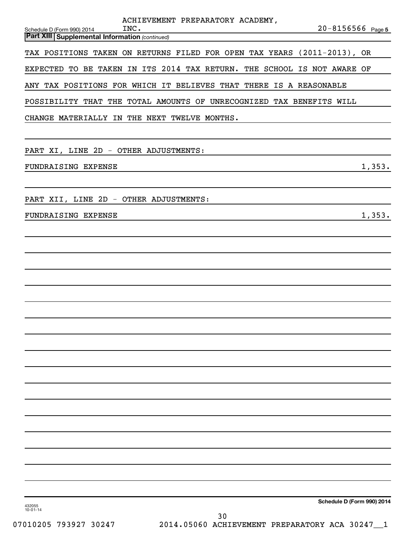| ACHIEVEMENT PREPARATORY ACADEMY,<br>$20 - 8156566$ Page 5<br>INC.<br>Schedule D (Form 990) 2014<br>Part XIII Supplemental Information (continued) |        |
|---------------------------------------------------------------------------------------------------------------------------------------------------|--------|
| TAX POSITIONS TAKEN ON RETURNS FILED FOR OPEN TAX YEARS (2011-2013), OR                                                                           |        |
| EXPECTED TO BE TAKEN IN ITS 2014 TAX RETURN. THE SCHOOL IS NOT AWARE OF                                                                           |        |
| ANY TAX POSITIONS FOR WHICH IT BELIEVES THAT THERE IS A REASONABLE                                                                                |        |
| POSSIBILITY THAT THE TOTAL AMOUNTS OF UNRECOGNIZED TAX BENEFITS WILL                                                                              |        |
| CHANGE MATERIALLY IN THE NEXT TWELVE MONTHS.                                                                                                      |        |
|                                                                                                                                                   |        |
| PART XI, LINE 2D - OTHER ADJUSTMENTS:                                                                                                             |        |
| FUNDRAISING EXPENSE                                                                                                                               | 1,353. |
| PART XII, LINE 2D - OTHER ADJUSTMENTS:                                                                                                            |        |
| FUNDRAISING EXPENSE                                                                                                                               | 1,353. |
|                                                                                                                                                   |        |
|                                                                                                                                                   |        |
|                                                                                                                                                   |        |
|                                                                                                                                                   |        |
|                                                                                                                                                   |        |
|                                                                                                                                                   |        |
|                                                                                                                                                   |        |
|                                                                                                                                                   |        |
|                                                                                                                                                   |        |
|                                                                                                                                                   |        |
|                                                                                                                                                   |        |
|                                                                                                                                                   |        |
|                                                                                                                                                   |        |
|                                                                                                                                                   |        |
|                                                                                                                                                   |        |
|                                                                                                                                                   |        |
| Schedule D (Form 990) 2014<br>432055                                                                                                              |        |
| $10 - 01 - 14$<br>30                                                                                                                              |        |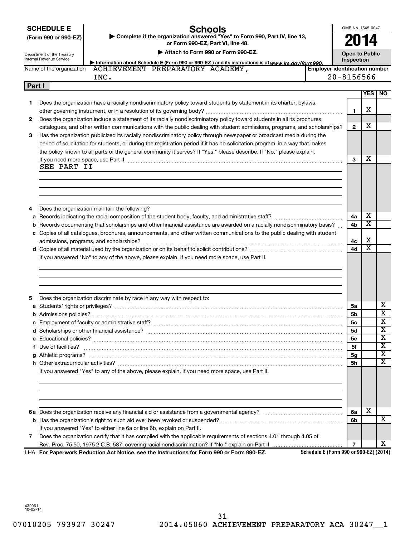| <b>SCHEDULE E</b> |  |
|-------------------|--|
|                   |  |

## **Schools**

OMB No. 1545-0047 **2014**

| (Form 990 or 990-EZ) | ► Complete if the organization answered "Yes" to Form 990, Part IV, line 13, |
|----------------------|------------------------------------------------------------------------------|
|                      | or Form 990-EZ. Part VI. line 48.                                            |
|                      |                                                                              |

|        | Attach to Form 990 or Form 990-EZ.<br>Department of the Treasury<br>Internal Revenue Service<br>Inspection<br>Information about Schedule E (Form 990 or 990-EZ) and its instructions is at www.irs.gov/form990. |                                                                                                                                                                                                                                    |  |                                       | <b>Open to Public</b> |                         |
|--------|-----------------------------------------------------------------------------------------------------------------------------------------------------------------------------------------------------------------|------------------------------------------------------------------------------------------------------------------------------------------------------------------------------------------------------------------------------------|--|---------------------------------------|-----------------------|-------------------------|
|        | Name of the organization                                                                                                                                                                                        | ACHIEVEMENT PREPARATORY ACADEMY,                                                                                                                                                                                                   |  | <b>Employer identification number</b> |                       |                         |
|        |                                                                                                                                                                                                                 | INC.                                                                                                                                                                                                                               |  | $20 - 8156566$                        |                       |                         |
| Part I |                                                                                                                                                                                                                 |                                                                                                                                                                                                                                    |  |                                       |                       |                         |
|        |                                                                                                                                                                                                                 |                                                                                                                                                                                                                                    |  |                                       | <b>YES</b>            | <b>NO</b>               |
| 1      |                                                                                                                                                                                                                 | Does the organization have a racially nondiscriminatory policy toward students by statement in its charter, bylaws,                                                                                                                |  |                                       |                       |                         |
|        |                                                                                                                                                                                                                 |                                                                                                                                                                                                                                    |  | 1                                     | х                     |                         |
| 2      |                                                                                                                                                                                                                 | Does the organization include a statement of its racially nondiscriminatory policy toward students in all its brochures,                                                                                                           |  |                                       |                       |                         |
|        |                                                                                                                                                                                                                 | catalogues, and other written communications with the public dealing with student admissions, programs, and scholarships?                                                                                                          |  | $\mathbf{2}$                          | х                     |                         |
| З      |                                                                                                                                                                                                                 | Has the organization publicized its racially nondiscriminatory policy through newspaper or broadcast media during the                                                                                                              |  |                                       |                       |                         |
|        |                                                                                                                                                                                                                 | period of solicitation for students, or during the registration period if it has no solicitation program, in a way that makes                                                                                                      |  |                                       |                       |                         |
|        |                                                                                                                                                                                                                 | the policy known to all parts of the general community it serves? If "Yes," please describe. If "No," please explain.                                                                                                              |  |                                       |                       |                         |
|        |                                                                                                                                                                                                                 | If you need more space, use Part II manufactured and an intervention of the space of the contract of the contract of the contract of the contract of the contract of the contract of the contract of the contract of the contr     |  | З                                     | X                     |                         |
|        | SEE PART II                                                                                                                                                                                                     |                                                                                                                                                                                                                                    |  |                                       |                       |                         |
|        |                                                                                                                                                                                                                 |                                                                                                                                                                                                                                    |  |                                       |                       |                         |
| 4      |                                                                                                                                                                                                                 | Does the organization maintain the following?                                                                                                                                                                                      |  |                                       |                       |                         |
| а      |                                                                                                                                                                                                                 |                                                                                                                                                                                                                                    |  | 4a                                    | х                     |                         |
| b      |                                                                                                                                                                                                                 | Records documenting that scholarships and other financial assistance are awarded on a racially nondiscriminatory basis?                                                                                                            |  | 4b                                    | х                     |                         |
|        |                                                                                                                                                                                                                 | c Copies of all catalogues, brochures, announcements, and other written communications to the public dealing with student                                                                                                          |  |                                       |                       |                         |
|        |                                                                                                                                                                                                                 |                                                                                                                                                                                                                                    |  | 4 <sub>c</sub>                        | х                     |                         |
|        |                                                                                                                                                                                                                 |                                                                                                                                                                                                                                    |  | 4d                                    | х                     |                         |
|        |                                                                                                                                                                                                                 |                                                                                                                                                                                                                                    |  |                                       |                       |                         |
| 5      |                                                                                                                                                                                                                 | Does the organization discriminate by race in any way with respect to:                                                                                                                                                             |  |                                       |                       |                         |
|        |                                                                                                                                                                                                                 |                                                                                                                                                                                                                                    |  | 5a                                    |                       | х                       |
|        |                                                                                                                                                                                                                 |                                                                                                                                                                                                                                    |  | 5b                                    |                       | $\overline{\textbf{x}}$ |
|        |                                                                                                                                                                                                                 |                                                                                                                                                                                                                                    |  | <b>5c</b>                             |                       | х                       |
|        |                                                                                                                                                                                                                 |                                                                                                                                                                                                                                    |  | <b>5d</b>                             |                       | х                       |
|        |                                                                                                                                                                                                                 |                                                                                                                                                                                                                                    |  | 5e                                    |                       | х                       |
|        |                                                                                                                                                                                                                 | f Use of facilities? <b>www.communities.</b> We can be a series of the contract of the contract of the contract of the contract of the contract of the contract of the contract of the contract of the contract of the contract of |  | 5f                                    |                       | $\overline{\textbf{x}}$ |
|        |                                                                                                                                                                                                                 |                                                                                                                                                                                                                                    |  | 5g                                    |                       | $\overline{\texttt{x}}$ |
|        |                                                                                                                                                                                                                 |                                                                                                                                                                                                                                    |  | 5h                                    |                       | $\overline{\textbf{X}}$ |
|        |                                                                                                                                                                                                                 | If you answered "Yes" to any of the above, please explain. If you need more space, use Part II.                                                                                                                                    |  |                                       |                       |                         |
|        |                                                                                                                                                                                                                 |                                                                                                                                                                                                                                    |  |                                       |                       |                         |
|        |                                                                                                                                                                                                                 |                                                                                                                                                                                                                                    |  | 6а                                    | X                     |                         |
|        |                                                                                                                                                                                                                 |                                                                                                                                                                                                                                    |  | 6b                                    |                       | x                       |
|        |                                                                                                                                                                                                                 | If you answered "Yes" to either line 6a or line 6b, explain on Part II.                                                                                                                                                            |  |                                       |                       |                         |
|        |                                                                                                                                                                                                                 |                                                                                                                                                                                                                                    |  |                                       |                       |                         |
| 7      |                                                                                                                                                                                                                 | Does the organization certify that it has complied with the applicable requirements of sections 4.01 through 4.05 of                                                                                                               |  |                                       |                       |                         |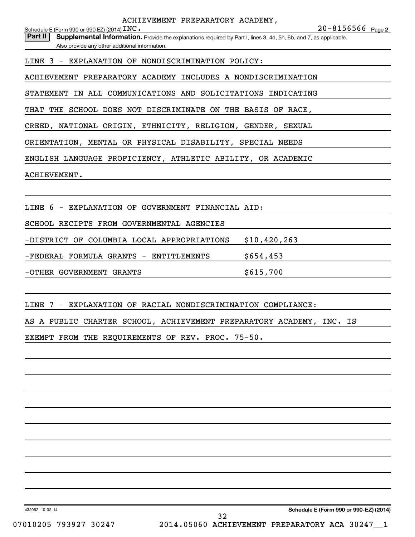**2** INC. 20-8156566

Schedule E (Form 990 or 990-EZ) (2014)  $\text{INC}$  . Part II | Supplemental Information. Provide the explanations required by Part I, lines 3, 4d, 5h, 6b, and 7, as applicable. Also provide any other additional information.

LINE 3 - EXPLANATION OF NONDISCRIMINATION POLICY:

ACHIEVEMENT PREPARATORY ACADEMY INCLUDES A NONDISCRIMINATION

STATEMENT IN ALL COMMUNICATIONS AND SOLICITATIONS INDICATING

THAT THE SCHOOL DOES NOT DISCRIMINATE ON THE BASIS OF RACE,

CREED, NATIONAL ORIGIN, ETHNICITY, RELIGION, GENDER, SEXUAL

ORIENTATION, MENTAL OR PHYSICAL DISABILITY, SPECIAL NEEDS

ENGLISH LANGUAGE PROFICIENCY, ATHLETIC ABILITY, OR ACADEMIC

ACHIEVEMENT.

LINE 6 - EXPLANATION OF GOVERNMENT FINANCIAL AID:

SCHOOL RECIPTS FROM GOVERNMENTAL AGENCIES

-DISTRICT OF COLUMBIA LOCAL APPROPRIATIONS \$10,420,263

-FEDERAL FORMULA GRANTS - ENTITLEMENTS  $\sim$  \$654,453

-OTHER GOVERNMENT GRANTS **\$615,700** 

LINE 7 - EXPLANATION OF RACIAL NONDISCRIMINATION COMPLIANCE:

AS A PUBLIC CHARTER SCHOOL, ACHIEVEMENT PREPARATORY ACADEMY, INC. IS

EXEMPT FROM THE REQUIREMENTS OF REV. PROC. 75-50.

432062 10-02-14

07010205 793927 30247 2014.05060 ACHIEVEMENT PREPARATORY ACA 30247 1 32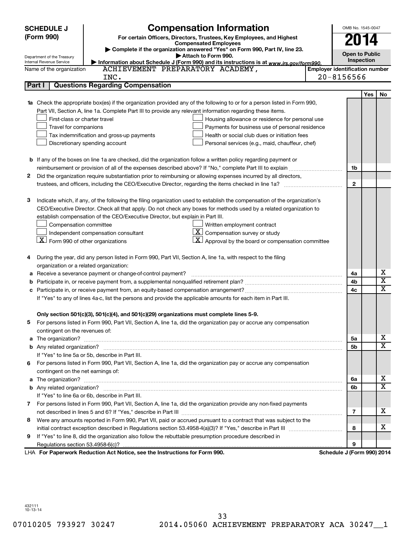| <b>Compensation Information</b><br>(Form 990)<br>For certain Officers, Directors, Trustees, Key Employees, and Highest<br>2014<br><b>Compensated Employees</b><br>Complete if the organization answered "Yes" on Form 990, Part IV, line 23.<br><b>Open to Public</b><br>Attach to Form 990.<br>Department of the Treasury<br>Inspection<br>Information about Schedule J (Form 990) and its instructions is at www.irs.gov/form990.<br>Internal Revenue Service<br>ACHIEVEMENT PREPARATORY ACADEMY,<br><b>Employer identification number</b><br>Name of the organization<br>$20 - 8156566$<br>INC.<br>Part I<br><b>Questions Regarding Compensation</b><br>Yes<br>1a Check the appropriate box(es) if the organization provided any of the following to or for a person listed in Form 990,<br>Part VII, Section A, line 1a. Complete Part III to provide any relevant information regarding these items.<br>First-class or charter travel<br>Housing allowance or residence for personal use<br>Travel for companions<br>Payments for business use of personal residence<br>Health or social club dues or initiation fees<br>Tax indemnification and gross-up payments |                              |
|-------------------------------------------------------------------------------------------------------------------------------------------------------------------------------------------------------------------------------------------------------------------------------------------------------------------------------------------------------------------------------------------------------------------------------------------------------------------------------------------------------------------------------------------------------------------------------------------------------------------------------------------------------------------------------------------------------------------------------------------------------------------------------------------------------------------------------------------------------------------------------------------------------------------------------------------------------------------------------------------------------------------------------------------------------------------------------------------------------------------------------------------------------------------------|------------------------------|
|                                                                                                                                                                                                                                                                                                                                                                                                                                                                                                                                                                                                                                                                                                                                                                                                                                                                                                                                                                                                                                                                                                                                                                         |                              |
|                                                                                                                                                                                                                                                                                                                                                                                                                                                                                                                                                                                                                                                                                                                                                                                                                                                                                                                                                                                                                                                                                                                                                                         |                              |
|                                                                                                                                                                                                                                                                                                                                                                                                                                                                                                                                                                                                                                                                                                                                                                                                                                                                                                                                                                                                                                                                                                                                                                         |                              |
|                                                                                                                                                                                                                                                                                                                                                                                                                                                                                                                                                                                                                                                                                                                                                                                                                                                                                                                                                                                                                                                                                                                                                                         |                              |
|                                                                                                                                                                                                                                                                                                                                                                                                                                                                                                                                                                                                                                                                                                                                                                                                                                                                                                                                                                                                                                                                                                                                                                         |                              |
|                                                                                                                                                                                                                                                                                                                                                                                                                                                                                                                                                                                                                                                                                                                                                                                                                                                                                                                                                                                                                                                                                                                                                                         |                              |
|                                                                                                                                                                                                                                                                                                                                                                                                                                                                                                                                                                                                                                                                                                                                                                                                                                                                                                                                                                                                                                                                                                                                                                         |                              |
|                                                                                                                                                                                                                                                                                                                                                                                                                                                                                                                                                                                                                                                                                                                                                                                                                                                                                                                                                                                                                                                                                                                                                                         | No                           |
|                                                                                                                                                                                                                                                                                                                                                                                                                                                                                                                                                                                                                                                                                                                                                                                                                                                                                                                                                                                                                                                                                                                                                                         |                              |
|                                                                                                                                                                                                                                                                                                                                                                                                                                                                                                                                                                                                                                                                                                                                                                                                                                                                                                                                                                                                                                                                                                                                                                         |                              |
|                                                                                                                                                                                                                                                                                                                                                                                                                                                                                                                                                                                                                                                                                                                                                                                                                                                                                                                                                                                                                                                                                                                                                                         |                              |
|                                                                                                                                                                                                                                                                                                                                                                                                                                                                                                                                                                                                                                                                                                                                                                                                                                                                                                                                                                                                                                                                                                                                                                         |                              |
|                                                                                                                                                                                                                                                                                                                                                                                                                                                                                                                                                                                                                                                                                                                                                                                                                                                                                                                                                                                                                                                                                                                                                                         |                              |
| Discretionary spending account<br>Personal services (e.g., maid, chauffeur, chef)                                                                                                                                                                                                                                                                                                                                                                                                                                                                                                                                                                                                                                                                                                                                                                                                                                                                                                                                                                                                                                                                                       |                              |
|                                                                                                                                                                                                                                                                                                                                                                                                                                                                                                                                                                                                                                                                                                                                                                                                                                                                                                                                                                                                                                                                                                                                                                         |                              |
| <b>b</b> If any of the boxes on line 1a are checked, did the organization follow a written policy regarding payment or                                                                                                                                                                                                                                                                                                                                                                                                                                                                                                                                                                                                                                                                                                                                                                                                                                                                                                                                                                                                                                                  |                              |
| 1b                                                                                                                                                                                                                                                                                                                                                                                                                                                                                                                                                                                                                                                                                                                                                                                                                                                                                                                                                                                                                                                                                                                                                                      |                              |
| Did the organization require substantiation prior to reimbursing or allowing expenses incurred by all directors,<br>2                                                                                                                                                                                                                                                                                                                                                                                                                                                                                                                                                                                                                                                                                                                                                                                                                                                                                                                                                                                                                                                   |                              |
| $\mathbf{2}$                                                                                                                                                                                                                                                                                                                                                                                                                                                                                                                                                                                                                                                                                                                                                                                                                                                                                                                                                                                                                                                                                                                                                            |                              |
|                                                                                                                                                                                                                                                                                                                                                                                                                                                                                                                                                                                                                                                                                                                                                                                                                                                                                                                                                                                                                                                                                                                                                                         |                              |
| Indicate which, if any, of the following the filing organization used to establish the compensation of the organization's<br>з                                                                                                                                                                                                                                                                                                                                                                                                                                                                                                                                                                                                                                                                                                                                                                                                                                                                                                                                                                                                                                          |                              |
| CEO/Executive Director. Check all that apply. Do not check any boxes for methods used by a related organization to                                                                                                                                                                                                                                                                                                                                                                                                                                                                                                                                                                                                                                                                                                                                                                                                                                                                                                                                                                                                                                                      |                              |
| establish compensation of the CEO/Executive Director, but explain in Part III.                                                                                                                                                                                                                                                                                                                                                                                                                                                                                                                                                                                                                                                                                                                                                                                                                                                                                                                                                                                                                                                                                          |                              |
| Compensation committee<br>Written employment contract                                                                                                                                                                                                                                                                                                                                                                                                                                                                                                                                                                                                                                                                                                                                                                                                                                                                                                                                                                                                                                                                                                                   |                              |
| $ \mathbf{X} $ Compensation survey or study<br>Independent compensation consultant                                                                                                                                                                                                                                                                                                                                                                                                                                                                                                                                                                                                                                                                                                                                                                                                                                                                                                                                                                                                                                                                                      |                              |
| $\lfloor \underline{X} \rfloor$ Form 990 of other organizations<br>$\underline{\textbf{X}}$ Approval by the board or compensation committee                                                                                                                                                                                                                                                                                                                                                                                                                                                                                                                                                                                                                                                                                                                                                                                                                                                                                                                                                                                                                             |                              |
|                                                                                                                                                                                                                                                                                                                                                                                                                                                                                                                                                                                                                                                                                                                                                                                                                                                                                                                                                                                                                                                                                                                                                                         |                              |
| During the year, did any person listed in Form 990, Part VII, Section A, line 1a, with respect to the filing<br>4                                                                                                                                                                                                                                                                                                                                                                                                                                                                                                                                                                                                                                                                                                                                                                                                                                                                                                                                                                                                                                                       |                              |
| organization or a related organization:                                                                                                                                                                                                                                                                                                                                                                                                                                                                                                                                                                                                                                                                                                                                                                                                                                                                                                                                                                                                                                                                                                                                 |                              |
| Receive a severance payment or change-of-control payment?<br>4a<br>а                                                                                                                                                                                                                                                                                                                                                                                                                                                                                                                                                                                                                                                                                                                                                                                                                                                                                                                                                                                                                                                                                                    | х                            |
| 4b<br>b                                                                                                                                                                                                                                                                                                                                                                                                                                                                                                                                                                                                                                                                                                                                                                                                                                                                                                                                                                                                                                                                                                                                                                 | $\overline{\text{x}}$        |
| 4c<br>c                                                                                                                                                                                                                                                                                                                                                                                                                                                                                                                                                                                                                                                                                                                                                                                                                                                                                                                                                                                                                                                                                                                                                                 | $\overline{\mathtt{x}}$      |
| If "Yes" to any of lines 4a-c, list the persons and provide the applicable amounts for each item in Part III.                                                                                                                                                                                                                                                                                                                                                                                                                                                                                                                                                                                                                                                                                                                                                                                                                                                                                                                                                                                                                                                           |                              |
|                                                                                                                                                                                                                                                                                                                                                                                                                                                                                                                                                                                                                                                                                                                                                                                                                                                                                                                                                                                                                                                                                                                                                                         |                              |
| Only section 501(c)(3), 501(c)(4), and 501(c)(29) organizations must complete lines 5-9.                                                                                                                                                                                                                                                                                                                                                                                                                                                                                                                                                                                                                                                                                                                                                                                                                                                                                                                                                                                                                                                                                |                              |
| For persons listed in Form 990, Part VII, Section A, line 1a, did the organization pay or accrue any compensation                                                                                                                                                                                                                                                                                                                                                                                                                                                                                                                                                                                                                                                                                                                                                                                                                                                                                                                                                                                                                                                       |                              |
| contingent on the revenues of:                                                                                                                                                                                                                                                                                                                                                                                                                                                                                                                                                                                                                                                                                                                                                                                                                                                                                                                                                                                                                                                                                                                                          |                              |
| 5a                                                                                                                                                                                                                                                                                                                                                                                                                                                                                                                                                                                                                                                                                                                                                                                                                                                                                                                                                                                                                                                                                                                                                                      | x<br>$\overline{\mathtt{x}}$ |
| 5 <sub>b</sub>                                                                                                                                                                                                                                                                                                                                                                                                                                                                                                                                                                                                                                                                                                                                                                                                                                                                                                                                                                                                                                                                                                                                                          |                              |
| If "Yes" to line 5a or 5b, describe in Part III.                                                                                                                                                                                                                                                                                                                                                                                                                                                                                                                                                                                                                                                                                                                                                                                                                                                                                                                                                                                                                                                                                                                        |                              |
| For persons listed in Form 990, Part VII, Section A, line 1a, did the organization pay or accrue any compensation<br>6.                                                                                                                                                                                                                                                                                                                                                                                                                                                                                                                                                                                                                                                                                                                                                                                                                                                                                                                                                                                                                                                 |                              |
| contingent on the net earnings of:                                                                                                                                                                                                                                                                                                                                                                                                                                                                                                                                                                                                                                                                                                                                                                                                                                                                                                                                                                                                                                                                                                                                      | x                            |
| 6a                                                                                                                                                                                                                                                                                                                                                                                                                                                                                                                                                                                                                                                                                                                                                                                                                                                                                                                                                                                                                                                                                                                                                                      | $\overline{\mathtt{x}}$      |
| 6b                                                                                                                                                                                                                                                                                                                                                                                                                                                                                                                                                                                                                                                                                                                                                                                                                                                                                                                                                                                                                                                                                                                                                                      |                              |
| If "Yes" to line 6a or 6b, describe in Part III.                                                                                                                                                                                                                                                                                                                                                                                                                                                                                                                                                                                                                                                                                                                                                                                                                                                                                                                                                                                                                                                                                                                        |                              |
| 7 For persons listed in Form 990, Part VII, Section A, line 1a, did the organization provide any non-fixed payments                                                                                                                                                                                                                                                                                                                                                                                                                                                                                                                                                                                                                                                                                                                                                                                                                                                                                                                                                                                                                                                     | х                            |
| 7                                                                                                                                                                                                                                                                                                                                                                                                                                                                                                                                                                                                                                                                                                                                                                                                                                                                                                                                                                                                                                                                                                                                                                       |                              |
| Were any amounts reported in Form 990, Part VII, paid or accrued pursuant to a contract that was subject to the<br>8                                                                                                                                                                                                                                                                                                                                                                                                                                                                                                                                                                                                                                                                                                                                                                                                                                                                                                                                                                                                                                                    | х                            |
| 8                                                                                                                                                                                                                                                                                                                                                                                                                                                                                                                                                                                                                                                                                                                                                                                                                                                                                                                                                                                                                                                                                                                                                                       |                              |
| If "Yes" to line 8, did the organization also follow the rebuttable presumption procedure described in<br>9<br>9                                                                                                                                                                                                                                                                                                                                                                                                                                                                                                                                                                                                                                                                                                                                                                                                                                                                                                                                                                                                                                                        |                              |
| LHA For Paperwork Reduction Act Notice, see the Instructions for Form 990.<br>Schedule J (Form 990) 2014                                                                                                                                                                                                                                                                                                                                                                                                                                                                                                                                                                                                                                                                                                                                                                                                                                                                                                                                                                                                                                                                |                              |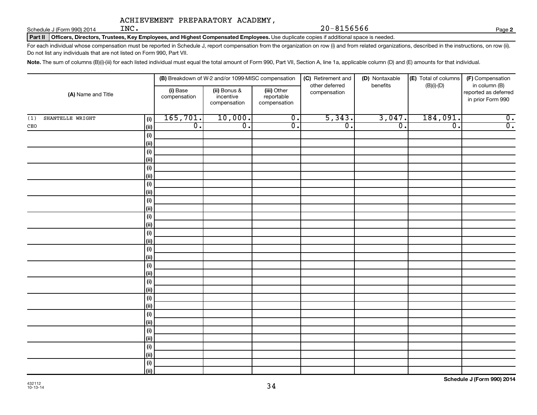Schedule J (Form 990) 2014  $\text{INC.}$ 

Part II | Officers, Directors, Trustees, Key Employees, and Highest Compensated Employees. Use duplicate copies if additional space is needed.

For each individual whose compensation must be reported in Schedule J, report compensation from the organization on row (i) and from related organizations, described in the instructions, on row (ii). Do not list any individuals that are not listed on Form 990, Part VII.

 $20 - 8156566$ 

Note. The sum of columns (B)(i)-(iii) for each listed individual must equal the total amount of Form 990, Part VII, Section A, line 1a, applicable column (D) and (E) amounts for that individual.

|                                | (B) Breakdown of W-2 and/or 1099-MISC compensation |                                           |                                           | (C) Retirement and             | (D) Nontaxable              | (E) Total of columns        | (F) Compensation                                           |
|--------------------------------|----------------------------------------------------|-------------------------------------------|-------------------------------------------|--------------------------------|-----------------------------|-----------------------------|------------------------------------------------------------|
| (A) Name and Title             | (i) Base<br>compensation                           | (ii) Bonus &<br>incentive<br>compensation | (iii) Other<br>reportable<br>compensation | other deferred<br>compensation | benefits                    | $(B)(i)-(D)$                | in column (B)<br>reported as deferred<br>in prior Form 990 |
| SHANTELLE WRIGHT<br>(1)<br>(i) | 165, 701.                                          | 10,000.                                   | $\overline{\mathfrak{o}}$ .               | 5,343.                         | 3,047.                      | 184,091.                    | $\overline{0}$ .                                           |
| (ii)<br>$\mathtt{CEO}$         | $\overline{0}$ .                                   | $\overline{\mathfrak{o}}$ .               | $\overline{0}$ .                          | $\overline{0}$ .               | $\overline{\mathfrak{o}}$ . | $\overline{\mathfrak{o}}$ . | $\overline{0}$ .                                           |
| (i)                            |                                                    |                                           |                                           |                                |                             |                             |                                                            |
| $\vert$ (ii)                   |                                                    |                                           |                                           |                                |                             |                             |                                                            |
| (i)                            |                                                    |                                           |                                           |                                |                             |                             |                                                            |
| $\vert$ (ii)                   |                                                    |                                           |                                           |                                |                             |                             |                                                            |
| (i)                            |                                                    |                                           |                                           |                                |                             |                             |                                                            |
| (ii)                           |                                                    |                                           |                                           |                                |                             |                             |                                                            |
| (i)                            |                                                    |                                           |                                           |                                |                             |                             |                                                            |
| $\vert$ (ii)                   |                                                    |                                           |                                           |                                |                             |                             |                                                            |
| (i)                            |                                                    |                                           |                                           |                                |                             |                             |                                                            |
| $\vert$ (ii)                   |                                                    |                                           |                                           |                                |                             |                             |                                                            |
| (i)<br>$\vert$ (ii)            |                                                    |                                           |                                           |                                |                             |                             |                                                            |
| (i)                            |                                                    |                                           |                                           |                                |                             |                             |                                                            |
| (ii)                           |                                                    |                                           |                                           |                                |                             |                             |                                                            |
| (i)                            |                                                    |                                           |                                           |                                |                             |                             |                                                            |
| (ii)                           |                                                    |                                           |                                           |                                |                             |                             |                                                            |
| $(\sf{i})$                     |                                                    |                                           |                                           |                                |                             |                             |                                                            |
| (ii)                           |                                                    |                                           |                                           |                                |                             |                             |                                                            |
| $(\sf{i})$                     |                                                    |                                           |                                           |                                |                             |                             |                                                            |
| (ii)                           |                                                    |                                           |                                           |                                |                             |                             |                                                            |
| (i)                            |                                                    |                                           |                                           |                                |                             |                             |                                                            |
| (ii)                           |                                                    |                                           |                                           |                                |                             |                             |                                                            |
| $(\sf{i})$                     |                                                    |                                           |                                           |                                |                             |                             |                                                            |
| (ii)                           |                                                    |                                           |                                           |                                |                             |                             |                                                            |
| (i)                            |                                                    |                                           |                                           |                                |                             |                             |                                                            |
| (ii)                           |                                                    |                                           |                                           |                                |                             |                             |                                                            |
| (i)                            |                                                    |                                           |                                           |                                |                             |                             |                                                            |
| (ii)                           |                                                    |                                           |                                           |                                |                             |                             |                                                            |
| (i)<br>(ii)                    |                                                    |                                           |                                           |                                |                             |                             |                                                            |
|                                |                                                    |                                           |                                           |                                |                             |                             |                                                            |

**2**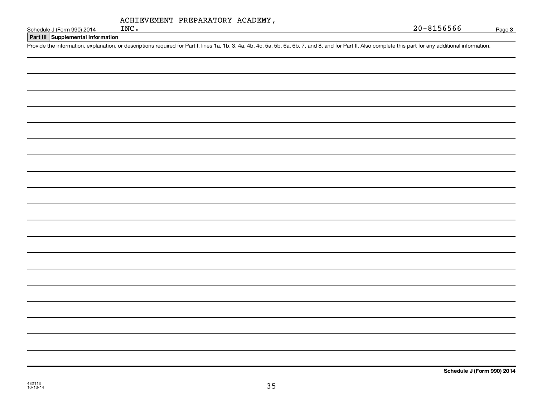| ACHIEVEMENT PREPARATORY ACADEMY, |  |
|----------------------------------|--|
|                                  |  |

 $20 - 8156566$ 

**3**

Schedule J (Form 990) 2014  $\text{INC.}$ 

**Part III Supplemental Information**

Provide the information, explanation, or descriptions required for Part I, lines 1a, 1b, 3, 4a, 4b, 4c, 5a, 5b, 6a, 6b, 7, and 8, and for Part II. Also complete this part for any additional information.

**Schedule J (Form 990) 2014**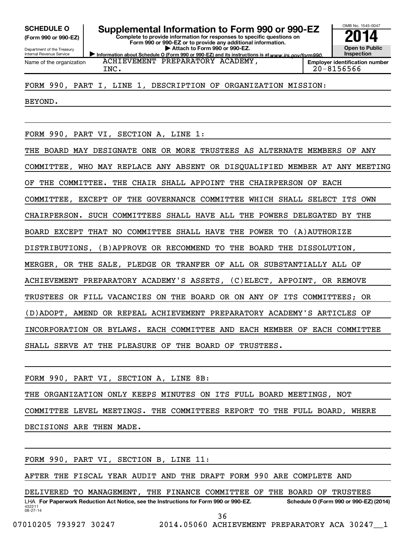**(Form 990 or 990-EZ)**

Department of the Treasury Internal Revenue Service

**Form 990 or 990-EZ or to provide any additional information. | Attach to Form 990 or 990-EZ.**

**Complete to provide information for responses to specific questions on**

Information about Schedule O (Form 990 or 990-EZ) and its instructions is at www.irs.gov/form990.

OMB No. 1545-0047 **Open to Public Inspection Employer identification number** SCHEDULE O **Supplemental Information to Form 990 or 990-EZ 2014**<br>(Form 990 or 990-EZ) **2014** 

Name of the organization

ACHIEVEMENT PREPARATORY ACADEMY, INC. 20-8156566

FORM 990, PART I, LINE 1, DESCRIPTION OF ORGANIZATION MISSION:

BEYOND.

FORM 990, PART VI, SECTION A, LINE 1:

THE BOARD MAY DESIGNATE ONE OR MORE TRUSTEES AS ALTERNATE MEMBERS OF ANY COMMITTEE, WHO MAY REPLACE ANY ABSENT OR DISQUALIFIED MEMBER AT ANY MEETING OF THE COMMITTEE. THE CHAIR SHALL APPOINT THE CHAIRPERSON OF EACH COMMITTEE, EXCEPT OF THE GOVERNANCE COMMITTEE WHICH SHALL SELECT ITS OWN CHAIRPERSON. SUCH COMMITTEES SHALL HAVE ALL THE POWERS DELEGATED BY THE BOARD EXCEPT THAT NO COMMITTEE SHALL HAVE THE POWER TO (A)AUTHORIZE DISTRIBUTIONS, (B)APPROVE OR RECOMMEND TO THE BOARD THE DISSOLUTION, MERGER, OR THE SALE, PLEDGE OR TRANFER OF ALL OR SUBSTANTIALLY ALL OF ACHIEVEMENT PREPARATORY ACADEMY'S ASSETS, (C)ELECT, APPOINT, OR REMOVE TRUSTEES OR FILL VACANCIES ON THE BOARD OR ON ANY OF ITS COMMITTEES; OR (D)ADOPT, AMEND OR REPEAL ACHIEVEMENT PREPARATORY ACADEMY'S ARTICLES OF INCORPORATION OR BYLAWS. EACH COMMITTEE AND EACH MEMBER OF EACH COMMITTEE SHALL SERVE AT THE PLEASURE OF THE BOARD OF TRUSTEES.

FORM 990, PART VI, SECTION A, LINE 8B: THE ORGANIZATION ONLY KEEPS MINUTES ON ITS FULL BOARD MEETINGS, NOT COMMITTEE LEVEL MEETINGS. THE COMMITTEES REPORT TO THE FULL BOARD, WHERE DECISIONS ARE THEN MADE.

FORM 990, PART VI, SECTION B, LINE 11:

AFTER THE FISCAL YEAR AUDIT AND THE DRAFT FORM 990 ARE COMPLETE AND

432211 08-27-14 LHA For Paperwork Reduction Act Notice, see the Instructions for Form 990 or 990-EZ. Schedule O (Form 990 or 990-EZ) (2014) DELIVERED TO MANAGEMENT, THE FINANCE COMMITTEE OF THE BOARD OF TRUSTEES

36

07010205 793927 30247 2014.05060 ACHIEVEMENT PREPARATORY ACA 30247 1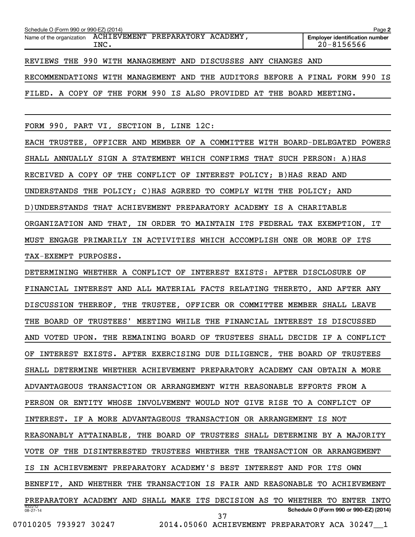| Schedule O (Form 990 or 990-EZ) (2014)                                      | Page 2                                              |  |  |
|-----------------------------------------------------------------------------|-----------------------------------------------------|--|--|
| Name of the organization ACHIEVEMENT PREPARATORY ACADEMY,<br>INC.           | <b>Employer identification number</b><br>20-8156566 |  |  |
| REVIEWS THE 990 WITH MANAGEMENT AND DISCUSSES ANY CHANGES AND               |                                                     |  |  |
| RECOMMENDATIONS WITH MANAGEMENT AND THE AUDITORS BEFORE A FINAL FORM 990 IS |                                                     |  |  |
| FILED. A COPY OF THE FORM 990 IS ALSO PROVIDED AT THE BOARD MEETING.        |                                                     |  |  |

FORM 990, PART VI, SECTION B, LINE 12C:

EACH TRUSTEE, OFFICER AND MEMBER OF A COMMITTEE WITH BOARD-DELEGATED POWERS SHALL ANNUALLY SIGN A STATEMENT WHICH CONFIRMS THAT SUCH PERSON: A)HAS RECEIVED A COPY OF THE CONFLICT OF INTEREST POLICY; B)HAS READ AND UNDERSTANDS THE POLICY; C)HAS AGREED TO COMPLY WITH THE POLICY; AND D)UNDERSTANDS THAT ACHIEVEMENT PREPARATORY ACADEMY IS A CHARITABLE ORGANIZATION AND THAT, IN ORDER TO MAINTAIN ITS FEDERAL TAX EXEMPTION, IT MUST ENGAGE PRIMARILY IN ACTIVITIES WHICH ACCOMPLISH ONE OR MORE OF ITS TAX-EXEMPT PURPOSES.

432212 08-27-14 **Schedule O (Form 990 or 990-EZ) (2014)** DETERMINING WHETHER A CONFLICT OF INTEREST EXISTS: AFTER DISCLOSURE OF FINANCIAL INTEREST AND ALL MATERIAL FACTS RELATING THERETO, AND AFTER ANY DISCUSSION THEREOF, THE TRUSTEE, OFFICER OR COMMITTEE MEMBER SHALL LEAVE THE BOARD OF TRUSTEES' MEETING WHILE THE FINANCIAL INTEREST IS DISCUSSED AND VOTED UPON. THE REMAINING BOARD OF TRUSTEES SHALL DECIDE IF A CONFLICT OF INTEREST EXISTS. AFTER EXERCISING DUE DILIGENCE, THE BOARD OF TRUSTEES SHALL DETERMINE WHETHER ACHIEVEMENT PREPARATORY ACADEMY CAN OBTAIN A MORE ADVANTAGEOUS TRANSACTION OR ARRANGEMENT WITH REASONABLE EFFORTS FROM A PERSON OR ENTITY WHOSE INVOLVEMENT WOULD NOT GIVE RISE TO A CONFLICT OF INTEREST. IF A MORE ADVANTAGEOUS TRANSACTION OR ARRANGEMENT IS NOT REASONABLY ATTAINABLE, THE BOARD OF TRUSTEES SHALL DETERMINE BY A MAJORITY VOTE OF THE DISINTERESTED TRUSTEES WHETHER THE TRANSACTION OR ARRANGEMENT IS IN ACHIEVEMENT PREPARATORY ACADEMY'S BEST INTEREST AND FOR ITS OWN BENEFIT, AND WHETHER THE TRANSACTION IS FAIR AND REASONABLE TO ACHIEVEMENT PREPARATORY ACADEMY AND SHALL MAKE ITS DECISION AS TO WHETHER TO ENTER INTO 37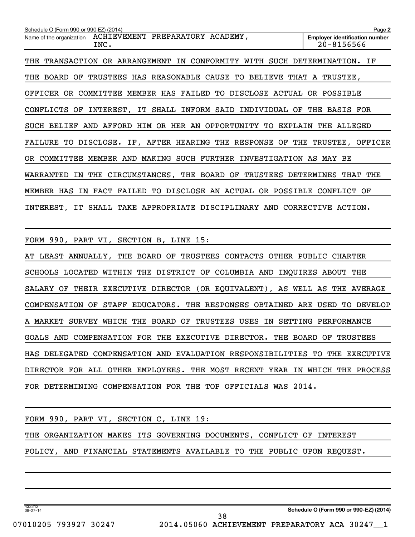| Schedule O (Form 990 or 990-EZ) (2014)                                      | Page 2                                                  |
|-----------------------------------------------------------------------------|---------------------------------------------------------|
| Name of the organization ACHIEVEMENT PREPARATORY ACADEMY,<br>INC.           | <b>Employer identification number</b><br>$20 - 8156566$ |
| THE TRANSACTION OR ARRANGEMENT IN CONFORMITY WITH SUCH DETERMINATION.       | ΙF                                                      |
| THE BOARD OF TRUSTEES HAS REASONABLE CAUSE TO BELIEVE THAT A TRUSTEE,       |                                                         |
| OR COMMITTEE MEMBER HAS FAILED TO DISCLOSE ACTUAL OR POSSIBLE<br>OFFICER    |                                                         |
| CONFLICTS OF INTEREST, IT SHALL INFORM SAID<br>INDIVIDUAL<br>OF             | BASIS FOR<br>THE                                        |
| AND AFFORD HIM OR HER AN OPPORTUNITY TO<br>EXPLAIN<br>SUCH BELIEF           | THE ALLEGED                                             |
| FAILURE TO DISCLOSE. IF, AFTER HEARING THE RESPONSE OF THE TRUSTEE, OFFICER |                                                         |
| MEMBER AND MAKING SUCH FURTHER INVESTIGATION AS<br>OR COMMITTEE             | MAY BE                                                  |
| THE CIRCUMSTANCES, THE BOARD OF TRUSTEES<br>WARRANTED<br>IN                 | DETERMINES<br>THE<br>THAT                               |
| IN FACT FAILED TO DISCLOSE AN ACTUAL OR POSSIBLE<br>MEMBER HAS              | CONFLICT OF                                             |
| SHALL TAKE APPROPRIATE DISCIPLINARY AND CORRECTIVE<br>INTEREST,<br>IT       | ACTION.                                                 |
|                                                                             |                                                         |

FORM 990, PART VI, SECTION B, LINE 15:

AT LEAST ANNUALLY, THE BOARD OF TRUSTEES CONTACTS OTHER PUBLIC CHARTER SCHOOLS LOCATED WITHIN THE DISTRICT OF COLUMBIA AND INQUIRES ABOUT THE SALARY OF THEIR EXECUTIVE DIRECTOR (OR EQUIVALENT), AS WELL AS THE AVERAGE COMPENSATION OF STAFF EDUCATORS. THE RESPONSES OBTAINED ARE USED TO DEVELOP A MARKET SURVEY WHICH THE BOARD OF TRUSTEES USES IN SETTING PERFORMANCE GOALS AND COMPENSATION FOR THE EXECUTIVE DIRECTOR. THE BOARD OF TRUSTEES HAS DELEGATED COMPENSATION AND EVALUATION RESPONSIBILITIES TO THE EXECUTIVE DIRECTOR FOR ALL OTHER EMPLOYEES. THE MOST RECENT YEAR IN WHICH THE PROCESS FOR DETERMINING COMPENSATION FOR THE TOP OFFICIALS WAS 2014.

FORM 990, PART VI, SECTION C, LINE 19: THE ORGANIZATION MAKES ITS GOVERNING DOCUMENTS, CONFLICT OF INTEREST POLICY, AND FINANCIAL STATEMENTS AVAILABLE TO THE PUBLIC UPON REQUEST.

38